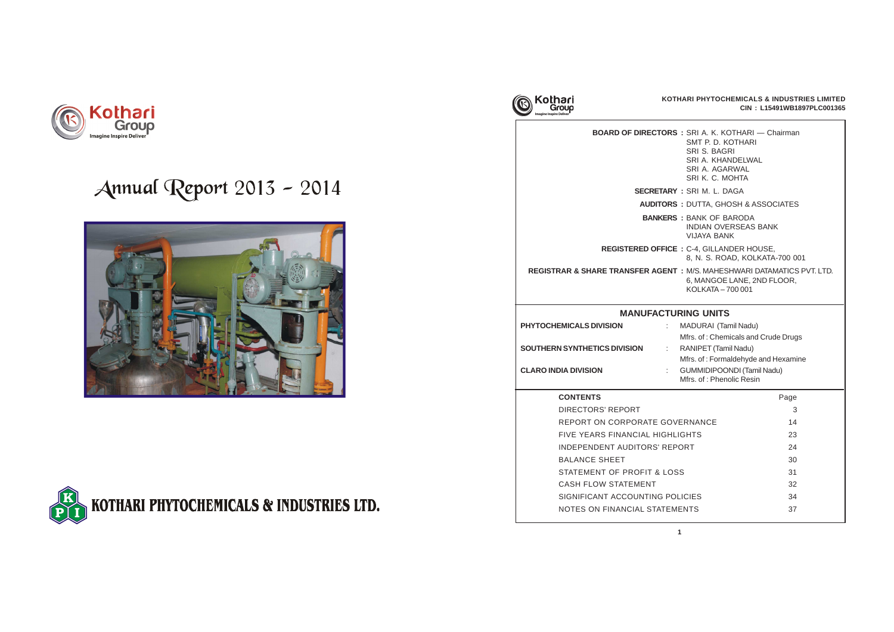

**BOARD OF DIRECTORS** 

**SECRETARY**  $A$ **UDITORS** 

**BANKERS** 

**REGISTERED OFFICE** 

**REGISTRAR & SHARE TRANSFER AGENT** 

## **MANUFACTU**

| S: SRI A. K. KOTHARI - Chairman<br>SMT P. D. KOTHARI<br>SRI S. BAGRI<br>SRI A. KHANDELWAL<br>SRI A. AGARWAL<br>SRI K. C. MOHTA                  |      |  |  |  |
|-------------------------------------------------------------------------------------------------------------------------------------------------|------|--|--|--|
| SRI M. L. DAGA                                                                                                                                  |      |  |  |  |
| <b>: DUTTA, GHOSH &amp; ASSOCIATES</b>                                                                                                          |      |  |  |  |
| : BANK OF BARODA<br><b>INDIAN OVERSEAS BANK</b><br><b>VIJAYA BANK</b>                                                                           |      |  |  |  |
| E: C-4, GILLANDER HOUSE,<br>8, N. S. ROAD, KOLKATA-700 001                                                                                      |      |  |  |  |
| I: M/S. MAHESHWARI DATAMATICS PVT. LTD.<br>6, MANGOE LANE, 2ND FLOOR,<br>KOLKATA - 700 001                                                      |      |  |  |  |
| <b>RING UNITS</b><br>MADURAI (Tamil Nadu)<br>Mfrs. of: Chemicals and Crude Drugs<br>RANIPET (Tamil Nadu)<br>Mfrs. of: Formaldehyde and Hexamine |      |  |  |  |
| <b>GUMMIDIPOONDI (Tamil Nadu)</b><br>Mfrs. of: Phenolic Resin                                                                                   |      |  |  |  |
|                                                                                                                                                 | Page |  |  |  |
|                                                                                                                                                 | 3    |  |  |  |
| /ERNANCE                                                                                                                                        | 14   |  |  |  |
| <b>IGHTS</b><br>23                                                                                                                              |      |  |  |  |
| <b>PORT</b>                                                                                                                                     | 24   |  |  |  |
|                                                                                                                                                 | 30   |  |  |  |
| SS                                                                                                                                              | 31   |  |  |  |
|                                                                                                                                                 | 32   |  |  |  |
| <b>LICIES</b>                                                                                                                                   | 34   |  |  |  |
| <b>IENTS</b>                                                                                                                                    | 37   |  |  |  |
|                                                                                                                                                 |      |  |  |  |

| PHYTOCHEMICALS DIVISION             | MADURAI (Tamil Nadu)                                          |
|-------------------------------------|---------------------------------------------------------------|
|                                     | Mfrs. of: Chemicals and Crude                                 |
| <b>SOUTHERN SYNTHETICS DIVISION</b> | RANIPET (Tamil Nadu)                                          |
|                                     | Mfrs. of: Formaldehyde and He                                 |
| <b>CLARO INDIA DIVISION</b>         | <b>GUMMIDIPOONDI (Tamil Nadu)</b><br>Mfrs. of: Phenolic Resin |

## **CONTENTS**

DIRECTORS' REPORT REPORT ON CORPORATE GOV FIVE YEARS FINANCIAL HIGHL INDEPENDENT AUDITORS' REP BALANCE SHEET STATEMENT OF PROFIT & LOS CASH FLOW STATEMENT SIGNIFICANT ACCOUNTING PO NOTES ON FINANCIAL STATEM



# Annual Report 2013 - 2014



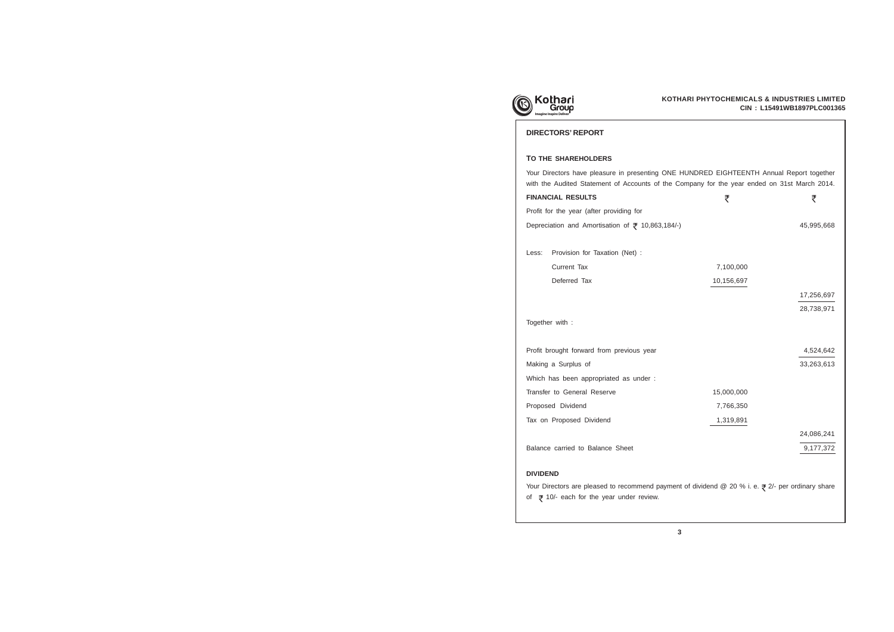

## **DIRECTORS' REPORT**

## **TO THE SHAREHOLDERS**

## **FINANCIAL RESULTS**

Profit for the year (after providing for

Which has been appropriated as under : Transfer to General Reserve 15,000,000

Tax on Proposed Dividend 1,319,891

Less: Provision for Taxation (Net) : Current Tax 7,100,000 Deferred Tax 10,156,697



Together with :

## **DIVIDEND**

of  $\overline{z}$  10/- each for the year under review.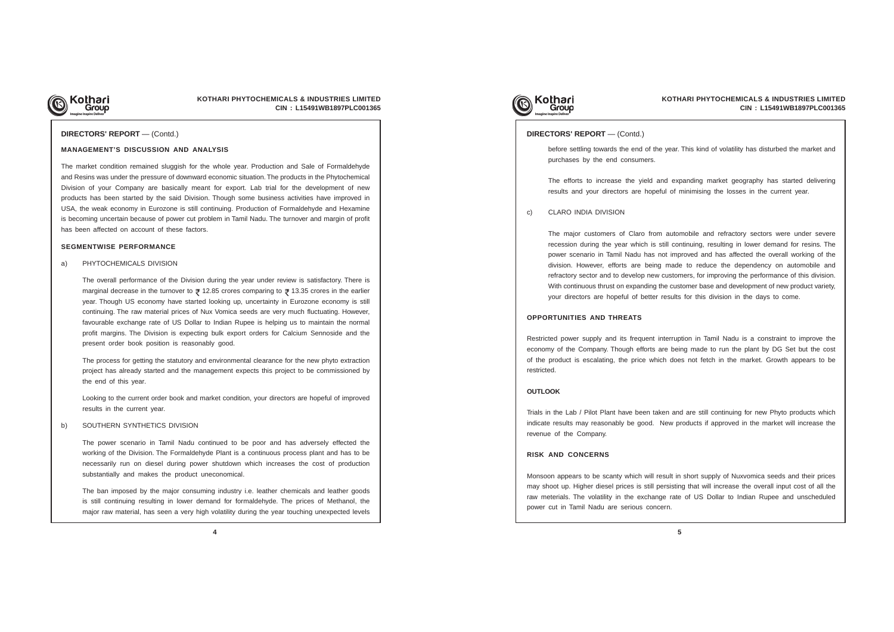

## **KOTHARI PHYTOCHEMICALS & INDUSTRIES LIMITED CIN : L15491WB1897PLC001365**

## **DIRECTORS' REPORT** — (Contd.)

### **MANAGEMENT'S DISCUSSION AND ANALYSIS**

The market condition remained sluggish for the whole year. Production and Sale of Formaldehyde and Resins was under the pressure of downward economic situation. The products in the Phytochemical Division of your Company are basically meant for export. Lab trial for the development of new products has been started by the said Division. Though some business activities have improved in USA, the weak economy in Eurozone is still continuing. Production of Formaldehyde and Hexamine is becoming uncertain because of power cut problem in Tamil Nadu. The turnover and margin of profit has been affected on account of these factors.

#### **SEGMENTWISE PERFORMANCE**

#### a) PHYTOCHEMICALS DIVISION

The overall performance of the Division during the year under review is satisfactory. There is marginal decrease in the turnover to  $\geq 12.85$  crores comparing to  $\geq 13.35$  crores in the earlier year. Though US economy have started looking up, uncertainty in Eurozone economy is still continuing. The raw material prices of Nux Vomica seeds are very much fluctuating. However, favourable exchange rate of US Dollar to Indian Rupee is helping us to maintain the normal profit margins. The Division is expecting bulk export orders for Calcium Sennoside and the present order book position is reasonably good.

The process for getting the statutory and environmental clearance for the new phyto extraction project has already started and the management expects this project to be commissioned by the end of this year.

Looking to the current order book and market condition, your directors are hopeful of improved results in the current year.

#### b) SOUTHERN SYNTHETICS DIVISION

The power scenario in Tamil Nadu continued to be poor and has adversely effected the working of the Division. The Formaldehyde Plant is a continuous process plant and has to be necessarily run on diesel during power shutdown which increases the cost of production substantially and makes the product uneconomical.

The ban imposed by the major consuming industry i.e. leather chemicals and leather goods is still continuing resulting in lower demand for formaldehyde. The prices of Methanol, the major raw material, has seen a very high volatility during the year touching unexpected levels



#### **DIRECTORS' REPORT** — (Contd.)

before settling towards the end of the year. This kind of volatility has disturbed the market and purchases by the end consumers.

The efforts to increase the yield and expanding market geography has started delivering results and your directors are hopeful of minimising the losses in the current year.

c) CLARO INDIA DIVISION

The major customers of Claro from automobile and refractory sectors were under severe recession during the year which is still continuing, resulting in lower demand for resins. The power scenario in Tamil Nadu has not improved and has affected the overall working of the division. However, efforts are being made to reduce the dependency on automobile and refractory sector and to develop new customers, for improving the performance of this division. With continuous thrust on expanding the customer base and development of new product variety, your directors are hopeful of better results for this division in the days to come.

#### **OPPORTUNITIES AND THREATS**

Restricted power supply and its frequent interruption in Tamil Nadu is a constraint to improve the economy of the Company. Though efforts are being made to run the plant by DG Set but the cost of the product is escalating, the price which does not fetch in the market. Growth appears to be restricted.

## **OUTLOOK**

Trials in the Lab / Pilot Plant have been taken and are still continuing for new Phyto products which indicate results may reasonably be good. New products if approved in the market will increase the revenue of the Company.

#### **RISK AND CONCERNS**

Monsoon appears to be scanty which will result in short supply of Nuxvomica seeds and their prices may shoot up. Higher diesel prices is still persisting that will increase the overall input cost of all the raw meterials. The volatility in the exchange rate of US Dollar to Indian Rupee and unscheduled power cut in Tamil Nadu are serious concern.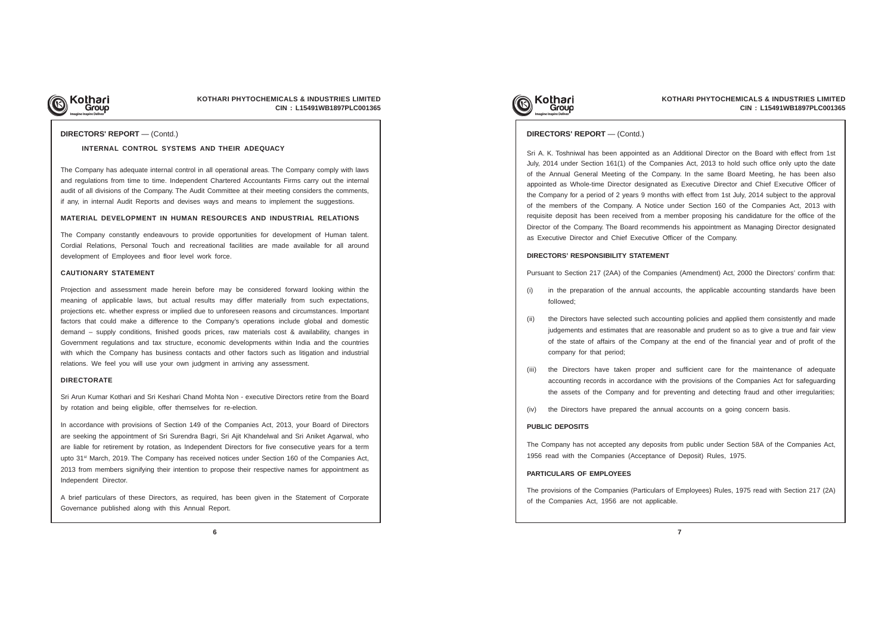

## **KOTHARI PHYTOCHEMICALS & INDUSTRIES LIMITED CIN : L15491WB1897PLC001365**

#### **DIRECTORS' REPORT** — (Contd.)

#### **INTERNAL CONTROL SYSTEMS AND THEIR ADEQUACY**

The Company has adequate internal control in all operational areas. The Company comply with laws and regulations from time to time. Independent Chartered Accountants Firms carry out the internal audit of all divisions of the Company. The Audit Committee at their meeting considers the comments, if any, in internal Audit Reports and devises ways and means to implement the suggestions.

### **MATERIAL DEVELOPMENT IN HUMAN RESOURCES AND INDUSTRIAL RELATIONS**

The Company constantly endeavours to provide opportunities for development of Human talent. Cordial Relations, Personal Touch and recreational facilities are made available for all around development of Employees and floor level work force.

#### **CAUTIONARY STATEMENT**

Projection and assessment made herein before may be considered forward looking within the meaning of applicable laws, but actual results may differ materially from such expectations, projections etc. whether express or implied due to unforeseen reasons and circumstances. Important factors that could make a difference to the Company's operations include global and domestic demand – supply conditions, finished goods prices, raw materials cost & availability, changes in Government regulations and tax structure, economic developments within India and the countries with which the Company has business contacts and other factors such as litigation and industrial relations. We feel you will use your own judgment in arriving any assessment.

#### **DIRECTORATE**

Sri Arun Kumar Kothari and Sri Keshari Chand Mohta Non - executive Directors retire from the Board by rotation and being eligible, offer themselves for re-election.

In accordance with provisions of Section 149 of the Companies Act, 2013, your Board of Directors are seeking the appointment of Sri Surendra Bagri, Sri Ajit Khandelwal and Sri Aniket Agarwal, who are liable for retirement by rotation, as Independent Directors for five consecutive years for a term upto 31<sup>st</sup> March, 2019. The Company has received notices under Section 160 of the Companies Act, 2013 from members signifying their intention to propose their respective names for appointment as Independent Director.

A brief particulars of these Directors, as required, has been given in the Statement of Corporate Governance published along with this Annual Report.



## **PARTICULARS OF EMPLOYEES**

The provisions of the Companies (Particulars of Employees) Rules, 1975 read with Section 217 (2A) of the Companies Act, 1956 are not applicable.

Sri A. K. Toshniwal has been appointed as an Additional Director on the Board with effect from 1st July, 2014 under Section 161(1) of the Companies Act, 2013 to hold such office only upto the date of the Annual General Meeting of the Company. In the same Board Meeting, he has been also appointed as Whole-time Director designated as Executive Director and Chief Executive Officer of the Company for a period of 2 years 9 months with effect from 1st July, 2014 subject to the approval of the members of the Company. A Notice under Section 160 of the Companies Act, 2013 with requisite deposit has been received from a member proposing his candidature for the office of the Director of the Company. The Board recommends his appointment as Managing Director designated as Executive Director and Chief Executive Officer of the Company.

## **DIRECTORS' RESPONSIBILITY STATEMENT**

Pursuant to Section 217 (2AA) of the Companies (Amendment) Act, 2000 the Directors' confirm that: (i) in the preparation of the annual accounts, the applicable accounting standards have been

(ii) the Directors have selected such accounting policies and applied them consistently and made judgements and estimates that are reasonable and prudent so as to give a true and fair view of the state of affairs of the Company at the end of the financial year and of profit of the

- followed;
- company for that period;
- 
- (iv) the Directors have prepared the annual accounts on a going concern basis.

(iii) the Directors have taken proper and sufficient care for the maintenance of adequate accounting records in accordance with the provisions of the Companies Act for safeguarding the assets of the Company and for preventing and detecting fraud and other irregularities;

## **PUBLIC DEPOSITS**

The Company has not accepted any deposits from public under Section 58A of the Companies Act, 1956 read with the Companies (Acceptance of Deposit) Rules, 1975.

## **DIRECTORS' REPORT** — (Contd.)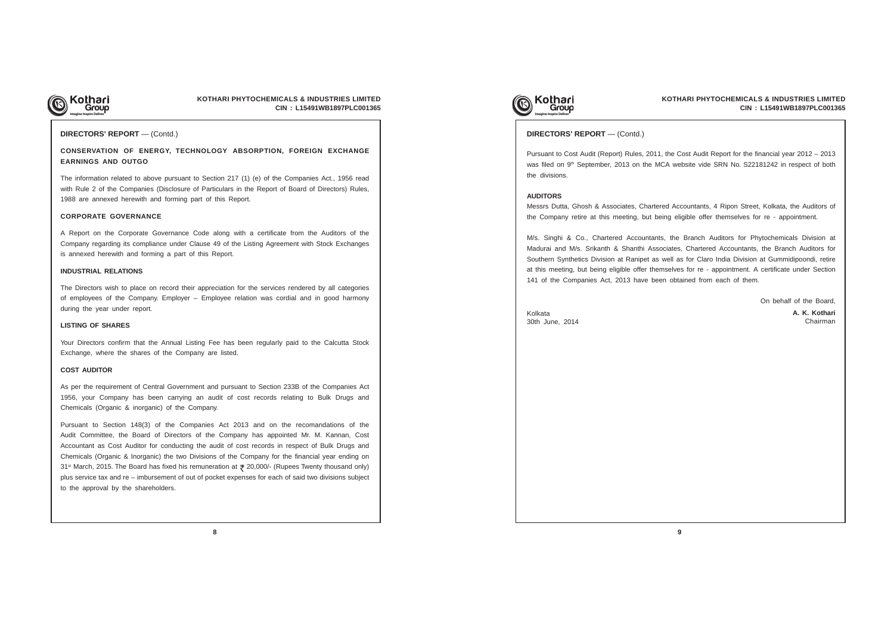

## **KOTHARI PHYTOCHEMICALS & INDUSTRIES LIMITED CIN : L15491WB1897PLC001365**

## **CONSERVATION OF ENERGY, TECHNOLOGY ABSORPTION, FOREIGN EXCHANGE EARNINGS AND OUTGO**

The information related to above pursuant to Section 217 (1) (e) of the Companies Act., 1956 read with Rule 2 of the Companies (Disclosure of Particulars in the Report of Board of Directors) Rules, 1988 are annexed herewith and forming part of this Report.

#### **CORPORATE GOVERNANCE**

A Report on the Corporate Governance Code along with a certificate from the Auditors of the Company regarding its compliance under Clause 49 of the Listing Agreement with Stock Exchanges is annexed herewith and forming a part of this Report.

#### **INDUSTRIAL RELATIONS**

The Directors wish to place on record their appreciation for the services rendered by all categories of employees of the Company. Employer – Employee relation was cordial and in good harmony during the year under report.

### **LISTING OF SHARES**

Your Directors confirm that the Annual Listing Fee has been regularly paid to the Calcutta Stock Exchange, where the shares of the Company are listed.

#### **COST AUDITOR**

As per the requirement of Central Government and pursuant to Section 233B of the Companies Act 1956, your Company has been carrying an audit of cost records relating to Bulk Drugs and Chemicals (Organic & inorganic) of the Company.

Pursuant to Section 148(3) of the Companies Act 2013 and on the recomandations of the Audit Committee, the Board of Directors of the Company has appointed Mr. M. Kannan, Cost Accountant as Cost Auditor for conducting the audit of cost records in respect of Bulk Drugs and Chemicals (Organic & Inorganic) the two Divisions of the Company for the financial year ending on 31<sup>st</sup> March, 2015. The Board has fixed his remuneration at ₹ 20,000/- (Rupees Twenty thousand only) plus service tax and re – imbursement of out of pocket expenses for each of said two divisions subject to the approval by the shareholders.





### **DIRECTORS' REPORT** — (Contd.)

Pursuant to Cost Audit (Report) Rules, 2011, the Cost Audit Report for the financial year 2012 – 2013 was filed on 9<sup>th</sup> September, 2013 on the MCA website vide SRN No. S22181242 in respect of both the divisions.

#### **AUDITORS**

Messrs Dutta, Ghosh & Associates, Chartered Accountants, 4 Ripon Street, Kolkata, the Auditors of the Company retire at this meeting, but being eligible offer themselves for re - appointment.

M/s. Singhi & Co., Chartered Accountants, the Branch Auditors for Phytochemicals Division at Madurai and M/s. Srikanth & Shanthi Associates, Chartered Accountants, the Branch Auditors for Southern Synthetics Division at Ranipet as well as for Claro India Division at Gummidipoondi, retire at this meeting, but being eligible offer themselves for re - appointment. A certificate under Section 141 of the Companies Act, 2013 have been obtained from each of them.

On behalf of the Board,

### **DIRECTORS' REPORT** — (Contd.)

Kolkata 30th June, 2014 **A. K. Kothari** Chairman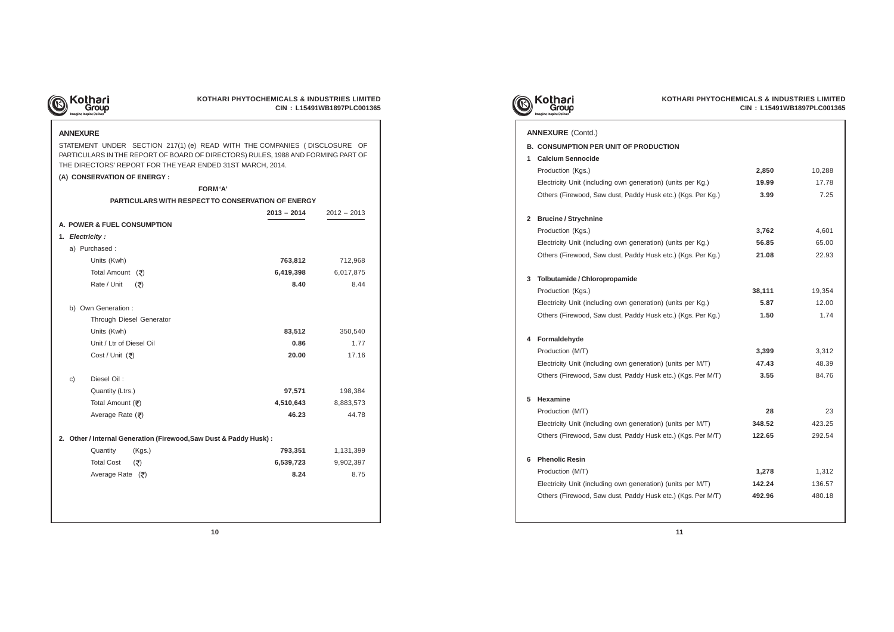

## **KOTHARI PHYTOCHEMICALS & INDUSTRIES LIMITED CIN : L15491WB1897PLC001365**

## **ANNEXURE**

STATEMENT UNDER SECTION 217(1) (e) READ WITH THE COMPANIES ( DISCLOSURE OF PARTICULARS IN THE REPORT OF BOARD OF DIRECTORS) RULES, 1988 AND FORMING PART OF THE DIRECTORS' REPORT FOR THE YEAR ENDED 31ST MARCH, 2014.

## **(A) CONSERVATION OF ENERGY :**

- **B. CONSUMPTION PER UNIT OF PRODUCTION**
- **1 Calcium Sennocide**
	- Production (Kgs.)

Electricity Unit (including own generation) (unit Others (Firewood, Saw dust, Paddy Husk etc.)

| <b>FORM'A'</b>                                                     |               |               |
|--------------------------------------------------------------------|---------------|---------------|
| PARTICULARS WITH RESPECT TO CONSERVATION OF ENERGY                 |               |               |
|                                                                    | $2013 - 2014$ | $2012 - 2013$ |
| A. POWER & FUEL CONSUMPTION                                        |               |               |
| 1. Electricity:                                                    |               |               |
| a) Purchased :                                                     |               |               |
| Units (Kwh)                                                        | 763,812       | 712,968       |
| Total Amount $(\bar{\tau})$                                        | 6,419,398     | 6,017,875     |
| Rate / Unit<br>$(\overline{\zeta})$                                | 8.40          | 8.44          |
| b) Own Generation :                                                |               |               |
| Through Diesel Generator                                           |               |               |
| Units (Kwh)                                                        | 83,512        | 350,540       |
| Unit / Ltr of Diesel Oil                                           | 0.86          | 1.77          |
| Cost / Unit (₹)                                                    | 20.00         | 17.16         |
| Diesel Oil:<br>c)                                                  |               |               |
| Quantity (Ltrs.)                                                   | 97,571        | 198,384       |
| Total Amount (₹)                                                   | 4,510,643     | 8,883,573     |
| Average Rate (₹)                                                   | 46.23         | 44.78         |
| 2. Other / Internal Generation (Firewood, Saw Dust & Paddy Husk) : |               |               |
| Quantity<br>(Kgs.)                                                 | 793,351       | 1,131,399     |
| <b>Total Cost</b><br>$(\overline{\mathbf{x}})$                     | 6,539,723     | 9,902,397     |
| Average Rate $(3)$                                                 | 8.24          | 8.75          |
|                                                                    |               |               |
|                                                                    |               |               |







| Ń              |                 |                 |
|----------------|-----------------|-----------------|
|                | 2,850           | 10,288          |
| its per Kg.)   | 19.99           | 17.78           |
| (Kgs. Per Kg.) | 3.99            | 7.25            |
|                | 3,762           | 4,601           |
| its per Kg.)   | 56.85           | 65.00           |
| (Kgs. Per Kg.) | 21.08           | 22.93           |
|                |                 |                 |
|                | 38,111          | 19,354          |
| its per Kg.)   | 5.87            | 12.00           |
| (Kgs. Per Kg.) | 1.50            | 1.74            |
|                | 3,399           | 3,312           |
| its per M/T)   | 47.43           | 48.39           |
| (Kgs. Per M/T) | 3.55            | 84.76           |
|                |                 |                 |
|                | 28              | 23              |
| its per M/T)   | 348.52          | 423.25          |
| (Kgs. Per M/T) | 122.65          | 292.54          |
|                |                 |                 |
| its per M/T)   | 1,278<br>142.24 | 1,312<br>136.57 |
| (Kgs. Per M/T) | 492.96          | 480.18          |
|                |                 |                 |

## **2 Brucine / Strychnine**

Production (Kgs.) Electricity Unit (including own generation) (unit Others (Firewood, Saw dust, Paddy Husk etc.)

## **3 Tolbutamide / Chloropropamide**

Production (Kgs.) Electricity Unit (including own generation) (unit Others (Firewood, Saw dust, Paddy Husk etc.)

## **4 Formaldehyde**

Production (M/T)

Electricity Unit (including own generation) (uni Others (Firewood, Saw dust, Paddy Husk etc.)

## **5 Hexamine**

Production (M/T) Electricity Unit (including own generation) (unit Others (Firewood, Saw dust, Paddy Husk etc.)

## **6 Phenolic Resin**

Production (M/T)

Electricity Unit (including own generation) (unit Others (Firewood, Saw dust, Paddy Husk etc.)

## **ANNEXURE** (Contd.)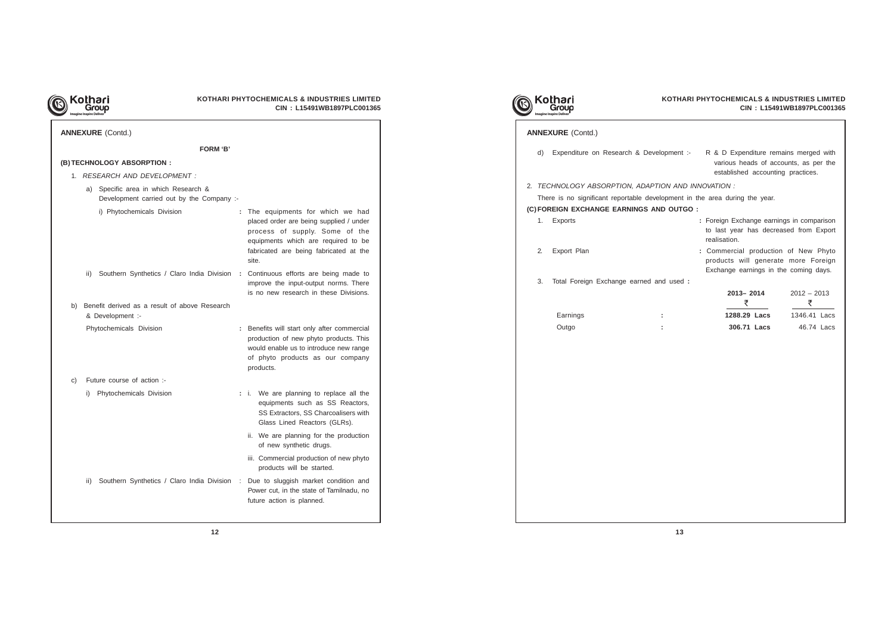

| <b>ANNEXURE (Contd.)</b>                                                          |                                                                                                                                                                                                          |  |  |  |  |  |
|-----------------------------------------------------------------------------------|----------------------------------------------------------------------------------------------------------------------------------------------------------------------------------------------------------|--|--|--|--|--|
| FORM 'B'                                                                          |                                                                                                                                                                                                          |  |  |  |  |  |
| (B) TECHNOLOGY ABSORPTION :                                                       |                                                                                                                                                                                                          |  |  |  |  |  |
| 1. RESEARCH AND DEVELOPMENT :                                                     |                                                                                                                                                                                                          |  |  |  |  |  |
| a) Specific area in which Research &<br>Development carried out by the Company :- |                                                                                                                                                                                                          |  |  |  |  |  |
| i) Phytochemicals Division                                                        | : The equipments for which we had<br>placed order are being supplied / under<br>process of supply. Some of the<br>equipments which are required to be<br>fabricated are being fabricated at the<br>site. |  |  |  |  |  |
| ii) Southern Synthetics / Claro India Division                                    | : Continuous efforts are being made to<br>improve the input-output norms. There<br>is no new research in these Divisions.                                                                                |  |  |  |  |  |
| Benefit derived as a result of above Research<br>b)<br>& Development :-           |                                                                                                                                                                                                          |  |  |  |  |  |
| Phytochemicals Division                                                           | : Benefits will start only after commercial<br>production of new phyto products. This<br>would enable us to introduce new range<br>of phyto products as our company<br>products.                         |  |  |  |  |  |
| Future course of action :-<br>C)                                                  |                                                                                                                                                                                                          |  |  |  |  |  |
| i) Phytochemicals Division                                                        | : i. We are planning to replace all the<br>equipments such as SS Reactors,<br>SS Extractors, SS Charcoalisers with<br>Glass Lined Reactors (GLRs).                                                       |  |  |  |  |  |
|                                                                                   | ii. We are planning for the production<br>of new synthetic drugs.                                                                                                                                        |  |  |  |  |  |
|                                                                                   | iii. Commercial production of new phyto<br>products will be started.                                                                                                                                     |  |  |  |  |  |
| Southern Synthetics / Claro India Division<br>ii)                                 | Due to sluggish market condition and<br>÷<br>Power cut, in the state of Tamilnadu, no<br>future action is planned.                                                                                       |  |  |  |  |  |
|                                                                                   |                                                                                                                                                                                                          |  |  |  |  |  |

| d) l |                                         | Expenditure on Research & Development :-                                    | R & D Expenditure remains merged with<br>various heads of accounts, as per the<br>established accounting practices.  |                    |
|------|-----------------------------------------|-----------------------------------------------------------------------------|----------------------------------------------------------------------------------------------------------------------|--------------------|
|      |                                         | TECHNOLOGY ABSORPTION, ADAPTION AND INNOVATION :                            |                                                                                                                      |                    |
|      |                                         | There is no significant reportable development in the area during the year. |                                                                                                                      |                    |
|      |                                         | FOREIGN EXCHANGE EARNINGS AND OUTGO :                                       |                                                                                                                      |                    |
| 1.   | Exports                                 |                                                                             | : Foreign Exchange earnings in comparison<br>to last year has decreased from Export<br>realisation.                  |                    |
| 2.   | Export Plan                             |                                                                             | : Commercial production of New Phyto<br>products will generate more Foreign<br>Exchange earnings in the coming days. |                    |
| 3.   | Total Foreign Exchange earned and used: |                                                                             |                                                                                                                      |                    |
|      |                                         |                                                                             | 2013-2014<br>₹                                                                                                       | $2012 - 2013$<br>₹ |
|      | Earnings                                |                                                                             | 1288.29 Lacs                                                                                                         | 1346.41 Lacs       |
|      | Outgo                                   |                                                                             | 306.71 Lacs                                                                                                          | 46.74 Lacs         |
|      |                                         |                                                                             |                                                                                                                      |                    |

|    | Kothari                                                                     |    | <b>KOTHARI PHYTOCHEMICALS &amp; I</b>                                 | <b>CIN: L154</b> |
|----|-----------------------------------------------------------------------------|----|-----------------------------------------------------------------------|------------------|
|    | <b>ANNEXURE (Contd.)</b>                                                    |    |                                                                       |                  |
| d) | Expenditure on Research & Development :- R & D Expenditure re               |    | various heads of a<br>established accoun                              |                  |
|    | 2. TECHNOLOGY ABSORPTION, ADAPTION AND INNOVATION :                         |    |                                                                       |                  |
|    | There is no significant reportable development in the area during the year. |    |                                                                       |                  |
|    | (C) FOREIGN EXCHANGE EARNINGS AND OUTGO :                                   |    |                                                                       |                  |
| 1. | Exports                                                                     |    | : Foreign Exchange ear<br>to last year has deci<br>realisation.       |                  |
| 2. | Export Plan                                                                 |    | : Commercial producti<br>products will genera<br>Exchange earnings in |                  |
| 3. | Total Foreign Exchange earned and used :                                    |    |                                                                       |                  |
|    |                                                                             |    | $2013 - 2014$<br>₹                                                    |                  |
|    | Earnings                                                                    | ÷. | 1288.29 Lacs                                                          |                  |
|    | Outgo                                                                       |    | 306.71 Lacs                                                           |                  |
|    |                                                                             |    |                                                                       |                  |
|    |                                                                             |    |                                                                       |                  |
|    |                                                                             |    |                                                                       |                  |
|    |                                                                             |    |                                                                       |                  |
|    |                                                                             |    |                                                                       |                  |
|    |                                                                             |    |                                                                       |                  |
|    |                                                                             |    |                                                                       |                  |
|    |                                                                             |    |                                                                       |                  |
|    |                                                                             |    |                                                                       |                  |
|    |                                                                             |    |                                                                       |                  |
|    |                                                                             |    |                                                                       |                  |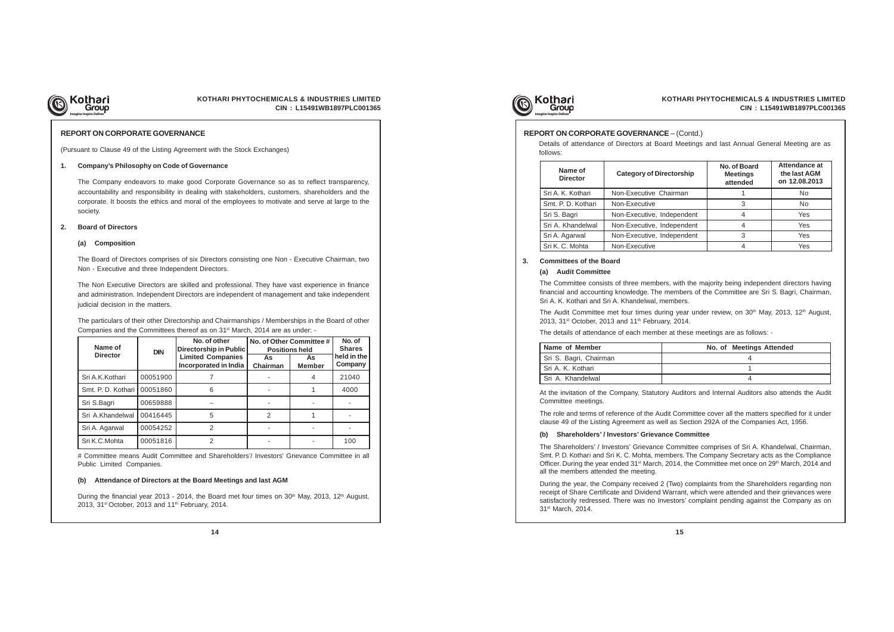

## **KOTHARI PHYTOCHEMICALS & INDUSTRIES LIMITED CIN : L15491WB1897PLC001365**

### **REPORT ON CORPORATE GOVERNANCE**

(Pursuant to Clause 49 of the Listing Agreement with the Stock Exchanges)

#### **1. Company's Philosophy on Code of Governance**

The Company endeavors to make good Corporate Governance so as to reflect transparency, accountability and responsibility in dealing with stakeholders, customers, shareholders and the corporate. It boosts the ethics and moral of the employees to motivate and serve at large to the society.

#### **2. Board of Directors**

#### **(a) Composition**

The Board of Directors comprises of six Directors consisting one Non - Executive Chairman, two Non - Executive and three Independent Directors.

The Non Executive Directors are skilled and professional. They have vast experience in finance and administration. Independent Directors are independent of management and take independent judicial decision in the matters.

The particulars of their other Directorship and Chairmanships / Memberships in the Board of other Companies and the Committees thereof as on 31st March, 2014 are as under: -

# Committee means Audit Committee and Shareholders'/ Investors' Grievance Committee in all Public Limited Companies.

| Name of            | <b>DIN</b> | No. of other<br><b>Directorship in Public</b>     | No. of Other Committee #<br><b>Positions held</b> | No. of<br><b>Shares</b> |                        |
|--------------------|------------|---------------------------------------------------|---------------------------------------------------|-------------------------|------------------------|
| <b>Director</b>    |            | <b>Limited Companies</b><br>Incorporated in India | As<br><b>Chairman</b>                             | As<br><b>Member</b>     | held in the<br>Company |
| Sri A.K.Kothari    | 00051900   |                                                   |                                                   | 4                       | 21040                  |
| Smt. P. D. Kothari | 00051860   | 6                                                 |                                                   |                         | 4000                   |
| Sri S.Bagri        | 00659888   |                                                   |                                                   |                         |                        |
| Sri A.Khandelwal   | 00416445   | 5                                                 | $\mathfrak{p}$                                    |                         |                        |
| Sri A. Agarwal     | 00054252   | 2                                                 |                                                   |                         |                        |
| Sri K.C.Mohta      | 00051816   | 2                                                 |                                                   |                         | 100                    |

#### **(b) Attendance of Directors at the Board Meetings and last AGM**

During the financial year 2013 - 2014, the Board met four times on  $30<sup>th</sup>$  May, 2013, 12<sup>th</sup> August, 2013, 31<sup>st</sup> October, 2013 and 11<sup>th</sup> February, 2014.



Details of attendance of Directors at Board Meetings and last Annual General Meeting are as follows:

#### **REPORT ON CORPORATE GOVERNANCE** – (Contd.)

| Name of<br><b>Director</b> | <b>Category of Directorship</b> | No. of Board<br><b>Meetings</b><br>attended | Attendance at<br>the last AGM<br>on 12.08.2013 |
|----------------------------|---------------------------------|---------------------------------------------|------------------------------------------------|
| Sri A. K. Kothari          | Non-Executive Chairman          |                                             | No                                             |
| Smt. P. D. Kothari         | Non-Executive                   | 3                                           | No                                             |
| Sri S. Bagri               | Non-Executive, Independent      | 4                                           | Yes                                            |
| Sri A. Khandelwal          | Non-Executive, Independent      | 4                                           | Yes                                            |
| Sri A. Agarwal             | Non-Executive, Independent      | 3                                           | Yes                                            |
| Sri K. C. Mohta            | Non-Executive                   | 4                                           | Yes                                            |

| Name of Member         | No. of Meetings Attended |
|------------------------|--------------------------|
| Sri S. Bagri, Chairman |                          |
| Sri A. K. Kothari      |                          |
| Sri A. Khandelwal      |                          |

### **3. Committees of the Board**

### **(a) Audit Committee**

The Committee consists of three members, with the majority being independent directors having financial and accounting knowledge. The members of the Committee are Sri S. Bagri, Chairman, Sri A. K. Kothari and Sri A. Khandelwal, members.

The Audit Committee met four times during year under review, on 30<sup>th</sup> May, 2013, 12<sup>th</sup> August, 2013, 31<sup>st</sup> October, 2013 and 11<sup>th</sup> February, 2014.

The details of attendance of each member at these meetings are as follows: -

At the invitation of the Company, Statutory Auditors and Internal Auditors also attends the Audit Committee meetings.

The role and terms of reference of the Audit Committee cover all the matters specified for it under clause 49 of the Listing Agreement as well as Section 292A of the Companies Act, 1956.

## **(b) Shareholders' / Investors' Grievance Committee**

The Shareholders' / Investors' Grievance Committee comprises of Sri A. Khandelwal, Chairman, Smt. P. D. Kothari and Sri K. C. Mohta, members. The Company Secretary acts as the Compliance Officer. During the year ended 31<sup>st</sup> March, 2014, the Committee met once on 29<sup>th</sup> March, 2014 and all the members attended the meeting.

During the year, the Company received 2 (Two) complaints from the Shareholders regarding non receipt of Share Certificate and Dividend Warrant, which were attended and their grievances were satisfactorily redressed. There was no Investors' complaint pending against the Company as on 31st March, 2014.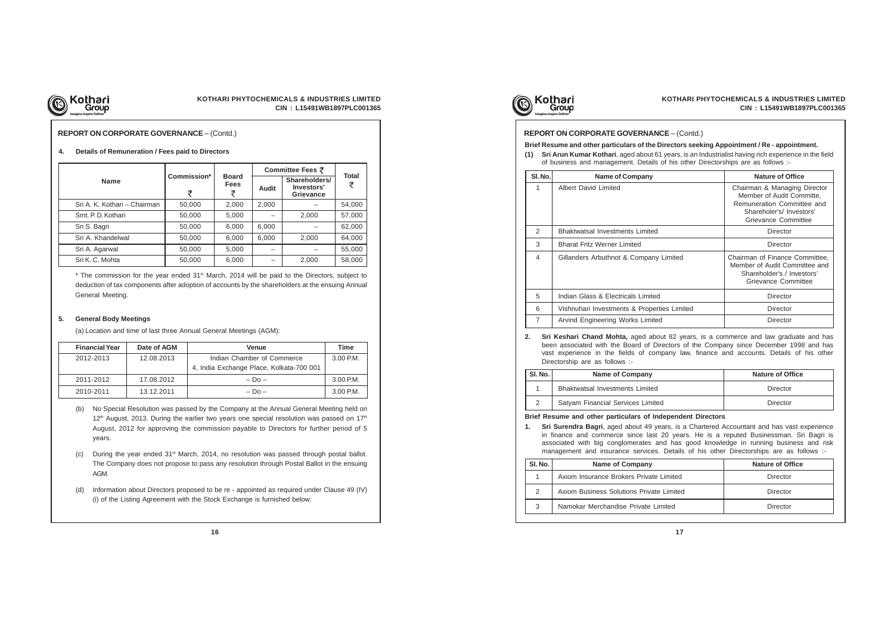

## **KOTHARI PHYTOCHEMICALS & INDUSTRIES LIMITED CIN : L15491WB1897PLC001365**

## **REPORT ON CORPORATE GOVERNANCE** – (Contd.)

|                              |                  |                                  | Committee Fees ₹ |                                                 |                   |
|------------------------------|------------------|----------------------------------|------------------|-------------------------------------------------|-------------------|
| <b>Name</b>                  | Commission*<br>₹ | <b>Board</b><br><b>Fees</b><br>₹ | Audit            | Shareholders/<br>Investors'<br><b>Grievance</b> | <b>Total</b><br>₹ |
| Sri A. K. Kothari - Chairman | 50,000           | 2,000                            | 2,000            |                                                 | 54,000            |
| Smt. P. D. Kothari           | 50,000           | 5,000                            |                  | 2,000                                           | 57,000            |
| Sri S. Bagri                 | 50,000           | 6,000                            | 6,000            |                                                 | 62,000            |
| Sri A. Khandelwal            | 50,000           | 6,000                            | 6,000            | 2,000                                           | 64,000            |
| Sri A. Agarwal               | 50,000           | 5,000                            |                  |                                                 | 55,000            |
| Sri K. C. Mohta              | 50,000           | 6,000                            |                  | 2,000                                           | 58,000            |

 $*$  The commission for the year ended 31 $st$  March, 2014 will be paid to the Directors, subject to deduction of tax components after adoption of accounts by the shareholders at the ensuing Annual General Meeting.

## **4. Details of Remuneration / Fees paid to Directors**

#### **5. General Body Meetings**

(a) Location and time of last three Annual General Meetings (AGM):

| <b>Financial Year</b> | Date of AGM | <b>Venue</b>                             | Time        |
|-----------------------|-------------|------------------------------------------|-------------|
| 2012-2013             | 12.08.2013  | Indian Chamber of Commerce               | $3.00$ P.M. |
|                       |             | 4, India Exchange Place, Kolkata-700 001 |             |
| 2011-2012             | 17.08.2012  | $-$ Do $-$                               | 3.00 P.M.   |
| 2010-2011             | 13.12.2011  | $-$ Do $-$                               | 3.00 P.M.   |

- (b) No Special Resolution was passed by the Company at the Annual General Meeting held on  $12<sup>th</sup>$  August, 2013. During the earlier two years one special resolution was passed on 17<sup>th</sup> August, 2012 for approving the commission payable to Directors for further period of 5 years.
- (c) During the year ended  $31^{st}$  March, 2014, no resolution was passed through postal ballot. The Company does not propose to pass any resolution through Postal Ballot in the ensuing AGM.
- (d) Information about Directors proposed to be re appointed as required under Clause 49 (IV) (i) of the Listing Agreement with the Stock Exchange is furnished below:





| SI. No.        | <b>Name of Company</b>                                                                                                                                                                                                                                                                                                                                                                                                                  | <b>Nature of Office</b>                                                                                                                    |
|----------------|-----------------------------------------------------------------------------------------------------------------------------------------------------------------------------------------------------------------------------------------------------------------------------------------------------------------------------------------------------------------------------------------------------------------------------------------|--------------------------------------------------------------------------------------------------------------------------------------------|
| 1              | <b>Albert David Limited</b>                                                                                                                                                                                                                                                                                                                                                                                                             | Chairman & Managing Director<br>Member of Audit Committe,<br>Remuneration Committee and<br>Shareholer's/ Investors'<br>Grievance Committee |
| 2              | <b>Bhaktwatsal Investments Limited</b>                                                                                                                                                                                                                                                                                                                                                                                                  | Director                                                                                                                                   |
| 3              | <b>Bharat Fritz Werner Limited</b>                                                                                                                                                                                                                                                                                                                                                                                                      | Director                                                                                                                                   |
| 4              | Gillanders Arbuthnot & Company Limited                                                                                                                                                                                                                                                                                                                                                                                                  | Chairman of Finance Committee,<br>Member of Audit Committee and<br>Shareholder's / Investors'<br>Grievance Committee                       |
| 5              | Indian Glass & Electricals Limited                                                                                                                                                                                                                                                                                                                                                                                                      | Director                                                                                                                                   |
| 6              | Vishnuhari Investments & Properties Limited                                                                                                                                                                                                                                                                                                                                                                                             | Director                                                                                                                                   |
| $\overline{7}$ | Arvind Engineering Works Limited                                                                                                                                                                                                                                                                                                                                                                                                        | Director                                                                                                                                   |
| 2.             |                                                                                                                                                                                                                                                                                                                                                                                                                                         |                                                                                                                                            |
|                | Sri Keshari Chand Mohta, aged about 82 years, is a commerce and law graduate and has<br>been associated with the Board of Directors of the Company since December 1998 and has<br>vast experience in the fields of company law, finance and accounts. Details of his other<br>Directorship are as follows :-                                                                                                                            |                                                                                                                                            |
| SI. No.        | <b>Name of Company</b>                                                                                                                                                                                                                                                                                                                                                                                                                  | <b>Nature of Office</b>                                                                                                                    |
| 1              | <b>Bhaktwatsal Investments Limited</b>                                                                                                                                                                                                                                                                                                                                                                                                  | Director                                                                                                                                   |
| $\overline{2}$ | Satyam Financial Services Limited                                                                                                                                                                                                                                                                                                                                                                                                       | Director                                                                                                                                   |
| 1.             | Brief Resume and other particulars of Independent Directors<br>Sri Surendra Bagri, aged about 49 years, is a Chartered Accountant and has vast experience<br>in finance and commerce since last 20 years. He is a reputed Businessman. Sri Bagri is<br>associated with big conglomerates and has good knowledge in running business and risk<br>management and insurance services. Details of his other Directorships are as follows :- |                                                                                                                                            |
| SI. No.        | Name of Company                                                                                                                                                                                                                                                                                                                                                                                                                         | <b>Nature of Office</b>                                                                                                                    |
| 1              | Axiom Insurance Brokers Private Limited                                                                                                                                                                                                                                                                                                                                                                                                 | Director                                                                                                                                   |
| $\overline{2}$ | Axiom Business Solutions Private Limited                                                                                                                                                                                                                                                                                                                                                                                                | Director                                                                                                                                   |

### **REPORT ON CORPORATE GOVERNANCE** – (Contd.)

**Brief Resume and other particulars of the Directors seeking Appointment / Re - appointment.**

**(1) Sri Arun Kumar Kothari**, aged about 61 years, is an Industrialist having rich experience in the field of business and management. Details of his other Directorships are as follows :-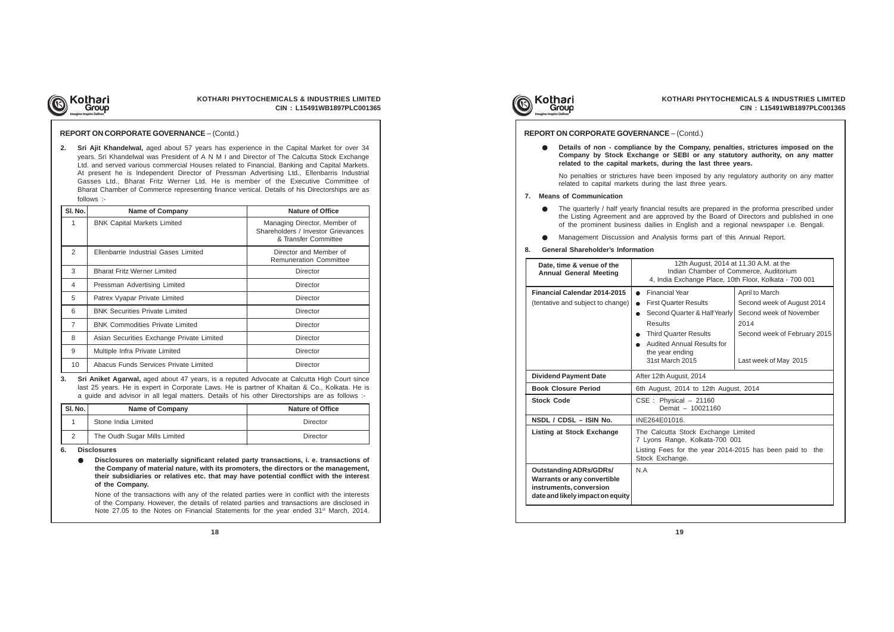

## **KOTHARI PHYTOCHEMICALS & INDUSTRIES LIMITED CIN : L15491WB1897PLC001365**

**2. Sri Ajit Khandelwal,** aged about 57 years has experience in the Capital Market for over 34 years. Sri Khandelwal was President of A N M I and Director of The Calcutta Stock Exchange Ltd. and served various commercial Houses related to Financial, Banking and Capital Markets. At present he is Independent Director of Pressman Advertising Ltd., Ellenbarris Industrial Gasses Ltd., Bharat Fritz Werner Ltd. He is member of the Executive Committee of Bharat Chamber of Commerce representing finance vertical. Details of his Directorships are as follows :-

> None of the transactions with any of the related parties were in conflict with the interests of the Company. However, the details of related parties and transactions are disclosed in Note 27.05 to the Notes on Financial Statements for the year ended 31<sup>st</sup> March, 2014.





#### **REPORT ON CORPORATE GOVERNANCE** – (Contd.)

**3. Sri Aniket Agarwal,** aged about 47 years, is a reputed Advocate at Calcutta High Court since last 25 years. He is expert in Corporate Laws. He is partner of Khaitan & Co., Kolkata. He is a guide and advisor in all legal matters. Details of his other Directorships are as follows :-

| SI. No. | <b>Name of Company</b>       | <b>Nature of Office</b> |  |  |
|---------|------------------------------|-------------------------|--|--|
|         | Stone India Limited          | Director                |  |  |
| 2       | The Oudh Sugar Mills Limited | Director                |  |  |

### **6. Disclosures**

| SI. No.        | <b>Name of Company</b>                    | <b>Nature of Office</b>                                                                    |
|----------------|-------------------------------------------|--------------------------------------------------------------------------------------------|
| 1              | <b>BNK Capital Markets Limited</b>        | Managing Director, Member of<br>Shareholders / Investor Grievances<br>& Transfer Committee |
| 2              | Ellenbarrie Industrial Gases Limited      | Director and Member of<br><b>Remuneration Committee</b>                                    |
| 3              | <b>Bharat Fritz Werner Limited</b>        | Director                                                                                   |
| 4              | Pressman Advertising Limited              | Director                                                                                   |
| 5              | Patrex Vyapar Private Limited             | Director                                                                                   |
| 6              | <b>BNK Securities Private Limited</b>     | Director                                                                                   |
| $\overline{7}$ | <b>BNK Commodities Private Limited</b>    | Director                                                                                   |
| 8              | Asian Securities Exchange Private Limited | Director                                                                                   |
| 9              | Multiple Infra Private Limited            | Director                                                                                   |
| 10             | Abacus Funds Services Private Limited     | Director                                                                                   |

● **Disclosures on materially significant related party transactions, i. e. transactions of the Company of material nature, with its promoters, the directors or the management, their subsidiaries or relatives etc. that may have potential conflict with the interest of the Company.**

## ● **Details of non - compliance by the Company, penalties, strictures imposed on the Company by Stock Exchange or SEBI or any statutory authority, on any matter related to the capital markets, during the last three years.** No penalties or strictures have been imposed by any regulatory authority on any matter related to capital markets during the last three years. **7. Means of Communication** ● The quarterly / half yearly financial results are prepared in the proforma prescribed under the Listing Agreement and are approved by the Board of Directors and published in one of the prominent business dailies in English and a regional newspaper i.e. Bengali. ● Management Discussion and Analysis forms part of this Annual Report. **8. General Shareholder's Information REPORT ON CORPORATE GOVERNANCE** – (Contd.) **Date, time & venue of the Annual General Meeting Financial Calendar Pinancisc Property Calculated April to March**  $\left| \right\rangle$  arter Results  $\left| \right\rangle$  Second week of August 2014 Quarter & Half Yearly Second week of November 2014 arter Results  $\vert$  Second week of February 2015 **Annual Results for** ending<br>ch 2015 Last week of May 2015 12th August, 2014 at 11.30 A.M. at the Idian Chamber of Commerce, Auditorium Exchange Place, 10th Floor, Kolkata - 700 001 **Digust, 2014 Book Closure Period** 6th August, 2014 to 12th August, 2014 **Sical – 21160**  $hat - 10021160$ **NSDL / CDSL – ISIN No. I** INE264E01016. a Stock Exchange Limited nge, Kolkata-700 001 for the year 2014-2015 has been paid to the ange. **Outstanding ADRs/GDRs/ |** N.A **Warrants or any convertible instruments, conversion date and likely impact on equity**

- 
- 

| Date, time & venue of the<br><b>Annual General Meeting</b>                                     | ln<br>4, India              |
|------------------------------------------------------------------------------------------------|-----------------------------|
| <b>Financial Calendar 2014-2015</b>                                                            | Financial<br>$\bullet$      |
| (tentative and subject to change)                                                              | First Qua                   |
|                                                                                                | Second C                    |
|                                                                                                | Results                     |
|                                                                                                | <b>Third Qua</b>            |
|                                                                                                | Audited A                   |
|                                                                                                | the year<br>31st Maro       |
|                                                                                                |                             |
| <b>Dividend Payment Date</b>                                                                   | After 12th Au               |
| <b>Book Closure Period</b>                                                                     | 6th August,                 |
| <b>Stock Code</b>                                                                              | CSE: Phys<br>Dem            |
|                                                                                                |                             |
| NSDL / CDSL - ISIN No.                                                                         | <b>INE264E010</b>           |
| Listing at Stock Exchange                                                                      | The Calcutta<br>7 Lyons Ra  |
|                                                                                                | Listing Fees<br>Stock Excha |
| <b>Outstanding ADRs/GDRs/</b><br><b>Warrants or any convertible</b><br>instruments, conversion | N.A                         |
| date and likely impact on equity                                                               |                             |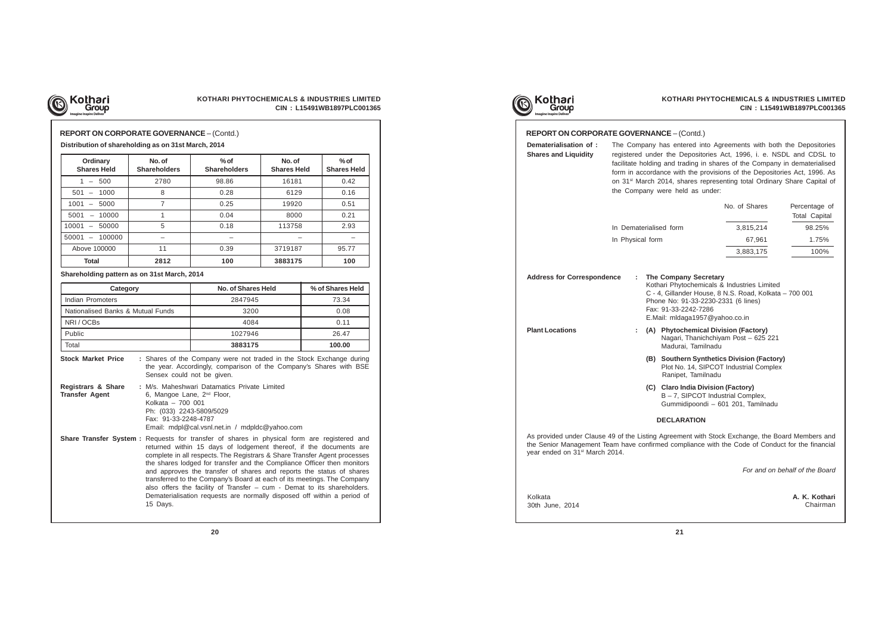

## **KOTHARI PHYTOCHEMICALS & INDUSTRIES LIMITED CIN : L15491WB1897PLC001365**

| Ordinary<br><b>Shares Held</b>             | No. of<br><b>Shareholders</b> | $%$ of<br><b>Shareholders</b> | No. of<br><b>Shares Held</b> | $%$ of<br><b>Shares Held</b> |
|--------------------------------------------|-------------------------------|-------------------------------|------------------------------|------------------------------|
| 500<br>$\overline{\phantom{0}}$            | 2780                          | 98.86                         | 16181                        | 0.42                         |
| 501<br>1000<br>$\overline{\phantom{0}}$    | 8                             | 0.28                          | 6129                         | 0.16                         |
| 1001<br>5000<br>$\overline{\phantom{0}}$   | 7                             | 0.25                          | 19920                        | 0.51                         |
| 5001<br>10000<br>$\overline{\phantom{0}}$  |                               | 0.04                          | 8000                         | 0.21                         |
| 10001<br>50000<br>$\overline{\phantom{0}}$ | 5                             | 0.18                          | 113758                       | 2.93                         |
| 50001<br>100000                            |                               |                               |                              |                              |
| Above 100000                               | 11                            | 0.39                          | 3719187                      | 95.77                        |
| Total                                      | 2812                          | 100                           | 3883175                      | 100                          |

### **Distribution of shareholding as on 31st March, 2014**

**Shareholding pattern as on 31st March, 2014**

| Category                          | No. of Shares Held | % of Shares Held |
|-----------------------------------|--------------------|------------------|
| Indian Promoters                  | 2847945            | 73.34            |
| Nationalised Banks & Mutual Funds | 3200               | 0.08             |
| NRI/OCBs                          | 4084               | 0.11             |
| Public                            | 1027946            | 26.47            |
| Total                             | 3883175            | 100.00           |

| <b>REPORT ON CORPORATE GOVERNANCE – (Contd.)</b> |  |
|--------------------------------------------------|--|
|--------------------------------------------------|--|

rents are complete in all respects. The Registrars & Share Transfer Agent processes the shares lodged for transfer and the Compliance Officer then monitors and approves the transfer of shares and reports the status of shares transferred to the Company's Board at each of its meetings. The Company also offers the facility of Transfer – cum - Demat to its shareholders. Dematerialisation requests are normally disposed off within a period of 15 Days.









**Stock Market Price :** Shares of the Company were not traded in the Stock Exchange during the year. Accordingly, comparison of the Company's Shares with BSE Sensex could not be given. **Registrars & Share :** M/s. Maheshwari Datamatics Private Limited

| <b>Transfer Agent</b> | 6, Mangoe Lane, 2 <sup>nd</sup> Floor,<br>Kolkata - 700 001<br>Ph: (033) 2243-5809/5029<br>Fax: 91-33-2248-4787<br>Email: mdpl@cal.vsnl.net.in / mdpldc@yahoo.com                                                                                    |  |  |
|-----------------------|------------------------------------------------------------------------------------------------------------------------------------------------------------------------------------------------------------------------------------------------------|--|--|
|                       | <b>Share Transfer System:</b> Requests for transfer of shares in physical form are registered and<br>returned within 15 days of lodgement thereof, if the documents are<br>complete in all respects. The Registrary & Share Transfer Agent processes |  |  |

| <b>REPORT ON CORPORATE GOVERNANCE - (Contd.)</b>                                                            |                                                                                                                                                                                                                                                                                                                                                                                                                              |                    |                                                                                      |                                       |  |  |
|-------------------------------------------------------------------------------------------------------------|------------------------------------------------------------------------------------------------------------------------------------------------------------------------------------------------------------------------------------------------------------------------------------------------------------------------------------------------------------------------------------------------------------------------------|--------------------|--------------------------------------------------------------------------------------|---------------------------------------|--|--|
| Dematerialisation of:<br><b>Shares and Liquidity</b>                                                        | The Company has entered into Agreements with both the Depositories<br>registered under the Depositories Act, 1996, i. e. NSDL and CDSL to<br>facilitate holding and trading in shares of the Company in dematerialised<br>form in accordance with the provisions of the Depositories Act, 1996. As<br>on 31 <sup>st</sup> March 2014, shares representing total Ordinary Share Capital of<br>the Company were held as under: |                    |                                                                                      |                                       |  |  |
|                                                                                                             |                                                                                                                                                                                                                                                                                                                                                                                                                              |                    | No. of Shares                                                                        | Percentage of<br><b>Total Capital</b> |  |  |
|                                                                                                             | In Dematerialised form                                                                                                                                                                                                                                                                                                                                                                                                       |                    | 3,815,214                                                                            | 98.25%                                |  |  |
|                                                                                                             | In Physical form                                                                                                                                                                                                                                                                                                                                                                                                             |                    | 67,961                                                                               | 1.75%                                 |  |  |
|                                                                                                             |                                                                                                                                                                                                                                                                                                                                                                                                                              |                    | 3,883,175                                                                            | 100%                                  |  |  |
| <b>Plant Locations</b>                                                                                      | Kothari Phytochemicals & Industries Limited<br>C - 4, Gillander House, 8 N.S. Road, Kolkata - 700 001<br>Phone No: 91-33-2230-2331 (6 lines)<br>Fax: 91-33-2242-7286<br>E.Mail: mldaga1957@yahoo.co.in<br>(A) Phytochemical Division (Factory)<br>÷<br>Nagari, Thanichchiyam Post - 625 221<br>Madurai, Tamilnadu                                                                                                            |                    |                                                                                      |                                       |  |  |
|                                                                                                             |                                                                                                                                                                                                                                                                                                                                                                                                                              | Ranipet, Tamilnadu | (B) Southern Synthetics Division (Factory)<br>Plot No. 14, SIPCOT Industrial Complex |                                       |  |  |
| (C) Claro India Division (Factory)<br>B-7, SIPCOT Industrial Complex,<br>Gummidipoondi - 601 201, Tamilnadu |                                                                                                                                                                                                                                                                                                                                                                                                                              |                    |                                                                                      |                                       |  |  |
|                                                                                                             |                                                                                                                                                                                                                                                                                                                                                                                                                              | <b>DECLARATION</b> |                                                                                      |                                       |  |  |
|                                                                                                             | As provided under Clause 49 of the Listing Agreement with Stock Exchange, the Board Members and<br>the Senior Management Team have confirmed compliance with the Code of Conduct for the financial<br>year ended on 31 <sup>st</sup> March 2014.                                                                                                                                                                             |                    |                                                                                      |                                       |  |  |

For and on behalf of the Board

Kolkata 30th June, 2014 **A. K. Kothari** Chairman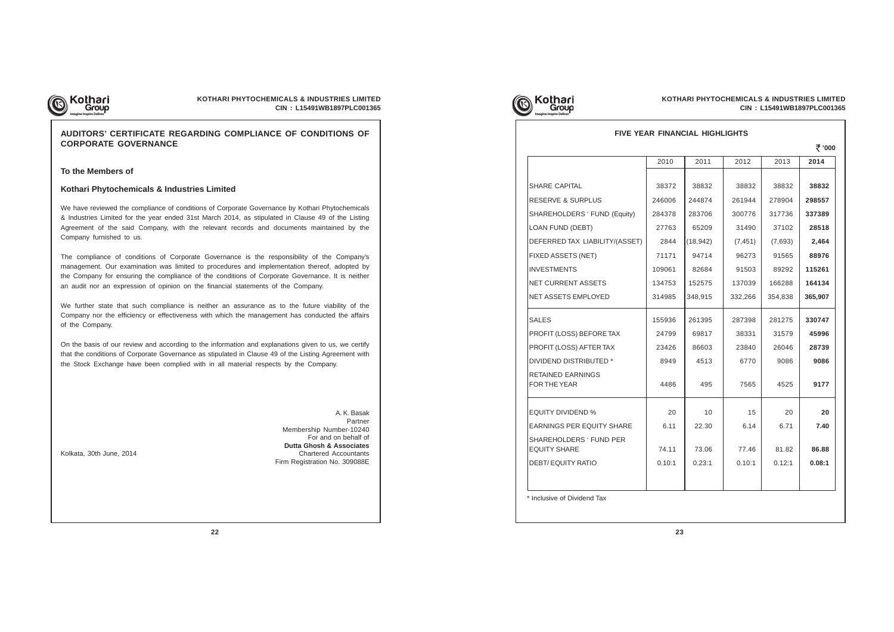

## **KOTHARI PHYTOCHEMICALS & INDUSTRIES LIMITED CIN : L15491WB1897PLC001365**

## **AUDITORS' CERTIFICATE REGARDING COMPLIANCE OF CONDITIONS OF CORPORATE GOVERNANCE**

**To the Members of**

### **Kothari Phytochemicals & Industries Limited**

We have reviewed the compliance of conditions of Corporate Governance by Kothari Phytochemicals & Industries Limited for the year ended 31st March 2014, as stipulated in Clause 49 of the Listing Agreement of the said Company, with the relevant records and documents maintained by the Company furnished to us.

The compliance of conditions of Corporate Governance is the responsibility of the Company's management. Our examination was limited to procedures and implementation thereof, adopted by the Company for ensuring the compliance of the conditions of Corporate Governance. It is neither an audit nor an expression of opinion on the financial statements of the Company.

We further state that such compliance is neither an assurance as to the future viability of the Company nor the efficiency or effectiveness with which the management has conducted the affairs of the Company.

On the basis of our review and according to the information and explanations given to us, we certify that the conditions of Corporate Governance as stipulated in Clause 49 of the Listing Agreement with the Stock Exchange have been complied with in all material respects by the Company.

A. K. Basak Partner Membership Number-10240 For and on behalf of **Dutta Ghosh & Associates** Kolkata, 30th June, 2014 **Chartered Accountants** Firm Registration No. 309088E







## **FIVE YEAR FINANCIAL HIGHLIGHTS**

 **'000**

|                                                | 2010   | 2011      | 2012     | 2013    | 2014    |
|------------------------------------------------|--------|-----------|----------|---------|---------|
|                                                |        |           |          |         |         |
| SHARE CAPITAL                                  | 38372  | 38832     | 38832    | 38832   | 38832   |
| <b>RESERVE &amp; SURPLUS</b>                   | 246006 | 244874    | 261944   | 278904  | 298557  |
| SHAREHOLDERS ' FUND (Equity)                   | 284378 | 283706    | 300776   | 317736  | 337389  |
| <b>LOAN FUND (DEBT)</b>                        | 27763  | 65209     | 31490    | 37102   | 28518   |
| DEFERRED TAX LIABILITY/(ASSET)                 | 2844   | (18, 942) | (7, 451) | (7,693) | 2,464   |
| FIXED ASSETS (NET)                             | 71171  | 94714     | 96273    | 91565   | 88976   |
| <b>INVESTMENTS</b>                             | 109061 | 82684     | 91503    | 89292   | 115261  |
| NET CURRENT ASSETS                             | 134753 | 152575    | 137039   | 166288  | 164134  |
| NET ASSETS EMPLOYED                            | 314985 | 348,915   | 332,266  | 354,838 | 365,907 |
| <b>SALES</b>                                   | 155936 | 261395    | 287398   | 281275  | 330747  |
| PROFIT (LOSS) BEFORE TAX                       | 24799  | 69817     | 38331    | 31579   | 45996   |
| PROFIT (LOSS) AFTER TAX                        | 23426  | 86603     | 23840    | 26046   | 28739   |
| DIVIDEND DISTRIBUTED *                         | 8949   | 4513      | 6770     | 9086    | 9086    |
| RETAINED EARNINGS<br>FOR THE YEAR              | 4486   | 495       | 7565     | 4525    | 9177    |
| <b>EQUITY DIVIDEND %</b>                       | 20     | 10        | 15       | 20      | 20      |
| <b>EARNINGS PER EQUITY SHARE</b>               | 6.11   | 22.30     | 6.14     | 6.71    | 7.40    |
| SHAREHOLDERS ' FUND PER<br><b>EQUITY SHARE</b> | 74.11  | 73.06     | 77.46    | 81.82   | 86.88   |
| <b>DEBT/EQUITY RATIO</b>                       | 0.10:1 | 0.23:1    | 0.10:1   | 0.12:1  | 0.08:1  |
|                                                |        |           |          |         |         |
|                                                |        |           |          |         |         |

\* Inclusive of Dividend Tax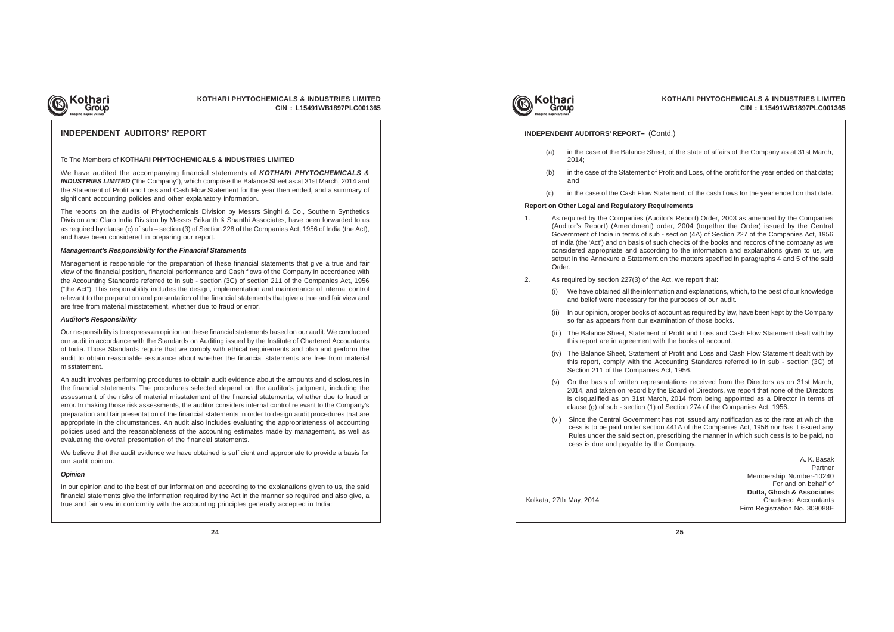

## **KOTHARI PHYTOCHEMICALS & INDUSTRIES LIMITED CIN : L15491WB1897PLC001365**

## **INDEPENDENT AUDITORS' REPORT**

#### To The Members of **KOTHARI PHYTOCHEMICALS & INDUSTRIES LIMITED**

We have audited the accompanying financial statements of **KOTHARI PHYTOCHEMICALS & INDUSTRIES LIMITED** ("the Company"), which comprise the Balance Sheet as at 31st March, 2014 and the Statement of Profit and Loss and Cash Flow Statement for the year then ended, and a summary of significant accounting policies and other explanatory information.

The reports on the audits of Phytochemicals Division by Messrs Singhi & Co., Southern Synthetics Division and Claro India Division by Messrs Srikanth & Shanthi Associates, have been forwarded to us as required by clause (c) of sub – section (3) of Section 228 of the Companies Act, 1956 of India (the Act), and have been considered in preparing our report.

#### **Management's Responsibility for the Financial Statements**

Management is responsible for the preparation of these financial statements that give a true and fair view of the financial position, financial performance and Cash flows of the Company in accordance with the Accounting Standards referred to in sub - section (3C) of section 211 of the Companies Act, 1956 ("the Act"). This responsibility includes the design, implementation and maintenance of internal control relevant to the preparation and presentation of the financial statements that give a true and fair view and are free from material misstatement, whether due to fraud or error.

#### **Auditor's Responsibility**

Our responsibility is to express an opinion on these financial statements based on our audit. We conducted our audit in accordance with the Standards on Auditing issued by the Institute of Chartered Accountants of India. Those Standards require that we comply with ethical requirements and plan and perform the audit to obtain reasonable assurance about whether the financial statements are free from material misstatement.

An audit involves performing procedures to obtain audit evidence about the amounts and disclosures in the financial statements. The procedures selected depend on the auditor's judgment, including the assessment of the risks of material misstatement of the financial statements, whether due to fraud or error. In making those risk assessments, the auditor considers internal control relevant to the Company's preparation and fair presentation of the financial statements in order to design audit procedures that are appropriate in the circumstances. An audit also includes evaluating the appropriateness of accounting policies used and the reasonableness of the accounting estimates made by management, as well as evaluating the overall presentation of the financial statements.

We believe that the audit evidence we have obtained is sufficient and appropriate to provide a basis for our audit opinion.

#### **Opinion**

In our opinion and to the best of our information and according to the explanations given to us, the said financial statements give the information required by the Act in the manner so required and also give, a true and fair view in conformity with the accounting principles generally accepted in India:



## **INDEPENDENT AUDITORS' REPORT–** (Contd.)

A. K. Basak Partner Membership Number-10240 For and on behalf of **Dutta, Ghosh & Associates** Kolkata, 27th May, 2014 Chartered Accountants Firm Registration No. 309088E

(a) in the case of the Balance Sheet, of the state of affairs of the Company as at 31st March,

- 2014;
- and
- 

(b) in the case of the Statement of Profit and Loss, of the profit for the year ended on that date;

(c) in the case of the Cash Flow Statement, of the cash flows for the year ended on that date.

## **Report on Other Legal and Regulatory Requirements**

1. As required by the Companies (Auditor's Report) Order, 2003 as amended by the Companies (Auditor's Report) (Amendment) order, 2004 (together the Order) issued by the Central Government of India in terms of sub - section (4A) of Section 227 of the Companies Act, 1956 of India (the 'Act') and on basis of such checks of the books and records of the company as we considered appropriate and according to the information and explanations given to us, we setout in the Annexure a Statement on the matters specified in paragraphs 4 and 5 of the said

- Order.
- 2. As required by section 227(3) of the Act, we report that:
	- (i) We have obtained all the information and explanations, which, to the best of our knowledge and belief were necessary for the purposes of our audit.
	- (ii) In our opinion, proper books of account as required by law, have been kept by the Company so far as appears from our examination of those books.
	- (iii) The Balance Sheet, Statement of Profit and Loss and Cash Flow Statement dealt with by this report are in agreement with the books of account.
	- (iv) The Balance Sheet, Statement of Profit and Loss and Cash Flow Statement dealt with by this report, comply with the Accounting Standards referred to in sub - section (3C) of Section 211 of the Companies Act, 1956.
	- (v) On the basis of written representations received from the Directors as on 31st March, 2014, and taken on record by the Board of Directors, we report that none of the Directors is disqualified as on 31st March, 2014 from being appointed as a Director in terms of clause (g) of sub - section (1) of Section 274 of the Companies Act, 1956.
	- (vi) Since the Central Government has not issued any notification as to the rate at which the cess is to be paid under section 441A of the Companies Act, 1956 nor has it issued any Rules under the said section, prescribing the manner in which such cess is to be paid, no cess is due and payable by the Company.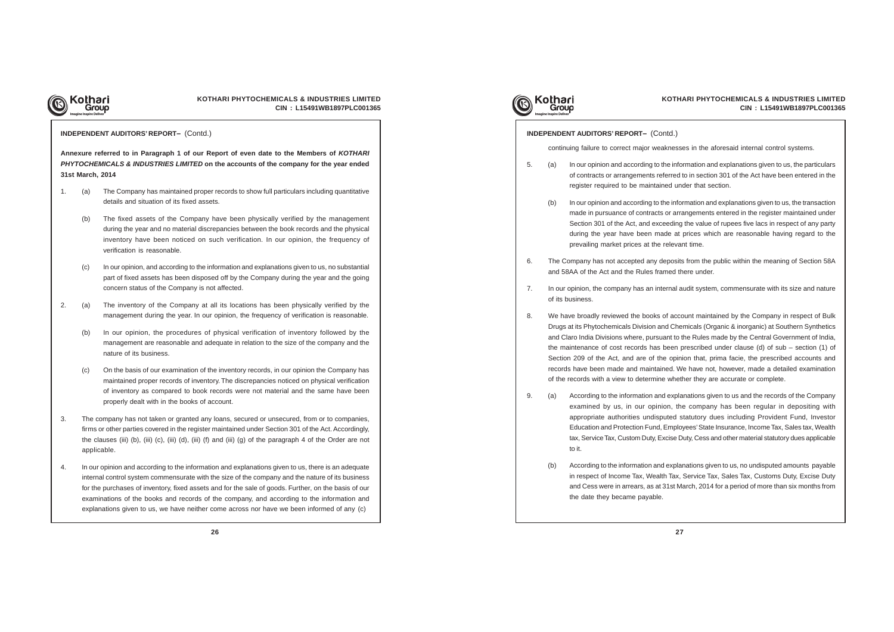

## **KOTHARI PHYTOCHEMICALS & INDUSTRIES LIMITED CIN : L15491WB1897PLC001365**

**Annexure referred to in Paragraph 1 of our Report of even date to the Members of KOTHARI PHYTOCHEMICALS & INDUSTRIES LIMITED on the accounts of the company for the year ended 31st March, 2014**

- 1. (a) The Company has maintained proper records to show full particulars including quantitative details and situation of its fixed assets.
	- (b) The fixed assets of the Company have been physically verified by the management during the year and no material discrepancies between the book records and the physical inventory have been noticed on such verification. In our opinion, the frequency of verification is reasonable.
	- (c) In our opinion, and according to the information and explanations given to us, no substantial part of fixed assets has been disposed off by the Company during the year and the going concern status of the Company is not affected.
- 2. (a) The inventory of the Company at all its locations has been physically verified by the management during the year. In our opinion, the frequency of verification is reasonable.
	- (b) In our opinion, the procedures of physical verification of inventory followed by the management are reasonable and adequate in relation to the size of the company and the nature of its business.
	- (c) On the basis of our examination of the inventory records, in our opinion the Company has maintained proper records of inventory. The discrepancies noticed on physical verification of inventory as compared to book records were not material and the same have been properly dealt with in the books of account.
- 3. The company has not taken or granted any loans, secured or unsecured, from or to companies, firms or other parties covered in the register maintained under Section 301 of the Act. Accordingly, the clauses (iii) (b), (iii) (c), (iii) (d), (iii) (f) and (iii) (g) of the paragraph 4 of the Order are not applicable.
- 4. In our opinion and according to the information and explanations given to us, there is an adequate internal control system commensurate with the size of the company and the nature of its business for the purchases of inventory, fixed assets and for the sale of goods. Further, on the basis of our examinations of the books and records of the company, and according to the information and explanations given to us, we have neither come across nor have we been informed of any (c)



#### **INDEPENDENT AUDITORS' REPORT–** (Contd.)

continuing failure to correct major weaknesses in the aforesaid internal control systems.

5. (a) In our opinion and according to the information and explanations given to us, the particulars of contracts or arrangements referred to in section 301 of the Act have been entered in the

(b) In our opinion and according to the information and explanations given to us, the transaction made in pursuance of contracts or arrangements entered in the register maintained under Section 301 of the Act, and exceeding the value of rupees five lacs in respect of any party during the year have been made at prices which are reasonable having regard to the

6. The Company has not accepted any deposits from the public within the meaning of Section 58A

7. In our opinion, the company has an internal audit system, commensurate with its size and nature

8. We have broadly reviewed the books of account maintained by the Company in respect of Bulk Drugs at its Phytochemicals Division and Chemicals (Organic & inorganic) at Southern Synthetics and Claro India Divisions where, pursuant to the Rules made by the Central Government of India, the maintenance of cost records has been prescribed under clause (d) of sub – section (1) of Section 209 of the Act, and are of the opinion that, prima facie, the prescribed accounts and records have been made and maintained. We have not, however, made a detailed examination

- register required to be maintained under that section.
	- prevailing market prices at the relevant time.
- and 58AA of the Act and the Rules framed there under.
- of its business.
- of the records with a view to determine whether they are accurate or complete.
- to it.
	- the date they became payable.

9. (a) According to the information and explanations given to us and the records of the Company examined by us, in our opinion, the company has been regular in depositing with appropriate authorities undisputed statutory dues including Provident Fund, Investor Education and Protection Fund, Employees' State Insurance, Income Tax, Sales tax, Wealth tax, Service Tax, Custom Duty, Excise Duty, Cess and other material statutory dues applicable

(b) According to the information and explanations given to us, no undisputed amounts payable in respect of Income Tax, Wealth Tax, Service Tax, Sales Tax, Customs Duty, Excise Duty and Cess were in arrears, as at 31st March, 2014 for a period of more than six months from

## **INDEPENDENT AUDITORS' REPORT–** (Contd.)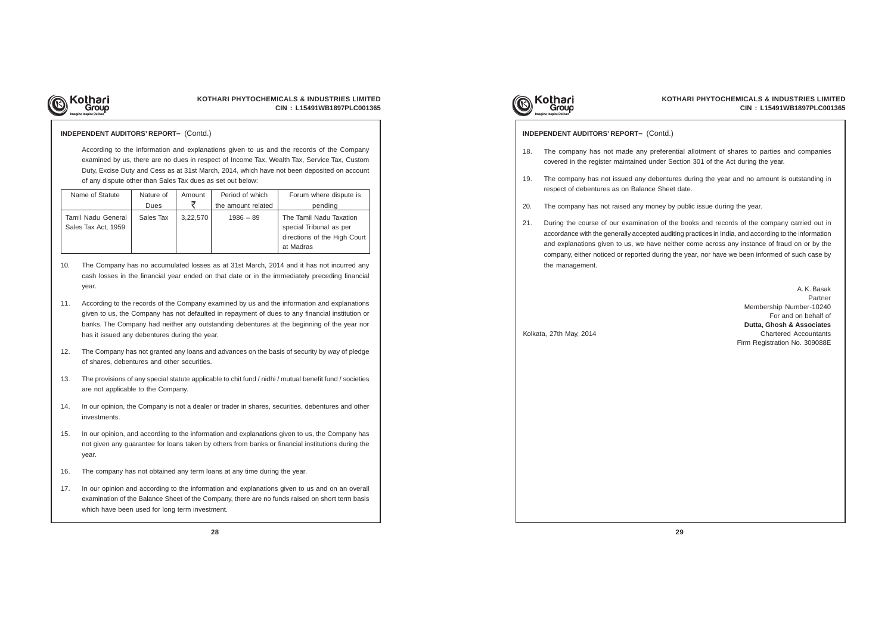

## **KOTHARI PHYTOCHEMICALS & INDUSTRIES LIMITED CIN : L15491WB1897PLC001365**

According to the information and explanations given to us and the records of the Company examined by us, there are no dues in respect of Income Tax, Wealth Tax, Service Tax, Custom Duty, Excise Duty and Cess as at 31st March, 2014, which have not been deposited on account of any dispute other than Sales Tax dues as set out below:

- 10. The Company has no accumulated losses as at 31st March, 2014 and it has not incurred any cash losses in the financial year ended on that date or in the immediately preceding financial year.
- 11. According to the records of the Company examined by us and the information and explanations given to us, the Company has not defaulted in repayment of dues to any financial institution or banks. The Company had neither any outstanding debentures at the beginning of the year nor has it issued any debentures during the year.
- 12. The Company has not granted any loans and advances on the basis of security by way of pledge of shares, debentures and other securities.
- 13. The provisions of any special statute applicable to chit fund / nidhi / mutual benefit fund / societies are not applicable to the Company.
- 14. In our opinion, the Company is not a dealer or trader in shares, securities, debentures and other investments.
- 15. In our opinion, and according to the information and explanations given to us, the Company has not given any guarantee for loans taken by others from banks or financial institutions during the year.
- 16. The company has not obtained any term loans at any time during the year.
- 17. In our opinion and according to the information and explanations given to us and on an overall examination of the Balance Sheet of the Company, there are no funds raised on short term basis which have been used for long term investment.



### **INDEPENDENT AUDITORS' REPORT–** (Contd.)

| Name of Statute     | Nature of | Amount                  | Period of which | Forum where dispute is       |
|---------------------|-----------|-------------------------|-----------------|------------------------------|
|                     | Dues      | ₹<br>the amount related |                 | pending                      |
| Tamil Nadu General  | Sales Tax | 3,22,570                | $1986 - 89$     | The Tamil Nadu Taxation      |
| Sales Tax Act, 1959 |           |                         |                 | special Tribunal as per      |
|                     |           |                         |                 | directions of the High Court |
|                     |           |                         |                 | at Madras                    |

18. The company has not made any preferential allotment of shares to parties and companies

19. The company has not issued any debentures during the year and no amount is outstanding in

- covered in the register maintained under Section 301 of the Act during the year.
- respect of debentures as on Balance Sheet date.
- 20. The company has not raised any money by public issue during the year.
- the management.

21. During the course of our examination of the books and records of the company carried out in accordance with the generally accepted auditing practices in India, and according to the information and explanations given to us, we have neither come across any instance of fraud on or by the company, either noticed or reported during the year, nor have we been informed of such case by

A. K. Basak Partner Membership Number-10240 For and on behalf of **Dutta, Ghosh & Associates** Kolkata, 27th May, 2014 Chartered Accountants Firm Registration No. 309088E

#### **INDEPENDENT AUDITORS' REPORT–** (Contd.)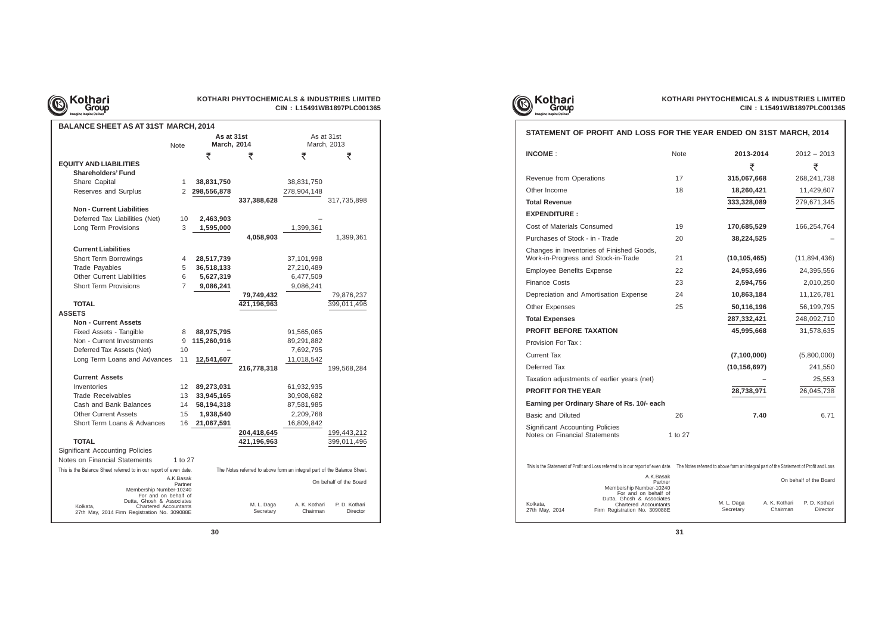

# **CIN : L15491WB1897PLC001365**

| <b>BALANCE SHEET AS AT 31ST MARCH, 2014</b>                       |                      |                    |                                                                         |                           |                           |  |
|-------------------------------------------------------------------|----------------------|--------------------|-------------------------------------------------------------------------|---------------------------|---------------------------|--|
| As at 31st<br>As at 31st                                          |                      |                    |                                                                         |                           |                           |  |
|                                                                   | <b>Note</b>          | <b>March, 2014</b> |                                                                         |                           | March, 2013               |  |
|                                                                   |                      | ₹                  | ₹                                                                       | ₹                         | ₹                         |  |
| <b>EQUITY AND LIABILITIES</b>                                     |                      |                    |                                                                         |                           |                           |  |
| <b>Shareholders' Fund</b>                                         |                      |                    |                                                                         |                           |                           |  |
| Share Capital                                                     | 1                    | 38,831,750         |                                                                         | 38,831,750                |                           |  |
| Reserves and Surplus                                              | 2                    | 298,556,878        |                                                                         | 278,904,148               |                           |  |
|                                                                   |                      |                    | 337,388,628                                                             |                           | 317,735,898               |  |
| <b>Non - Current Liabilities</b>                                  |                      |                    |                                                                         |                           |                           |  |
| Deferred Tax Liabilities (Net)                                    | 10                   | 2,463,903          |                                                                         |                           |                           |  |
| Long Term Provisions                                              | 3                    | 1,595,000          |                                                                         | 1,399,361                 |                           |  |
|                                                                   |                      |                    | 4,058,903                                                               |                           | 1,399,361                 |  |
| <b>Current Liabilities</b>                                        |                      |                    |                                                                         |                           |                           |  |
| Short Term Borrowings                                             | 4                    | 28,517,739         |                                                                         | 37,101,998                |                           |  |
| <b>Trade Payables</b>                                             | 5                    | 36,518,133         |                                                                         | 27,210,489                |                           |  |
| <b>Other Current Liabilities</b>                                  | 6                    | 5,627,319          |                                                                         | 6,477,509                 |                           |  |
| <b>Short Term Provisions</b>                                      | 7                    | 9,086,241          |                                                                         | 9,086,241                 |                           |  |
|                                                                   |                      |                    | 79,749,432                                                              |                           | 79,876,237                |  |
| <b>TOTAL</b>                                                      |                      |                    | 421,196,963                                                             |                           | 399,011,496               |  |
| <b>ASSETS</b>                                                     |                      |                    |                                                                         |                           |                           |  |
| <b>Non - Current Assets</b>                                       |                      |                    |                                                                         |                           |                           |  |
| Fixed Assets - Tangible                                           | 8                    | 88,975,795         |                                                                         | 91,565,065                |                           |  |
| Non - Current Investments                                         | 9                    | 115,260,916        |                                                                         | 89,291,882                |                           |  |
| Deferred Tax Assets (Net)                                         | 10                   |                    |                                                                         | 7,692,795                 |                           |  |
| Long Term Loans and Advances                                      | 11                   | 12,541,607         |                                                                         | 11,018,542                |                           |  |
|                                                                   |                      |                    | 216,778,318                                                             |                           | 199,568,284               |  |
| <b>Current Assets</b>                                             |                      |                    |                                                                         |                           |                           |  |
| Inventories                                                       | 12                   | 89,273,031         |                                                                         | 61,932,935                |                           |  |
| Trade Receivables                                                 | 13                   | 33,945,165         |                                                                         | 30,908,682                |                           |  |
| Cash and Bank Balances                                            | 14                   | 58,194,318         |                                                                         | 87,581,985                |                           |  |
| <b>Other Current Assets</b>                                       | 15                   | 1,938,540          |                                                                         | 2,209,768                 |                           |  |
| Short Term Loans & Advances                                       | 16                   | 21,067,591         |                                                                         | 16,809,842                |                           |  |
|                                                                   |                      |                    | 204,418,645                                                             |                           | 199,443,212               |  |
| <b>TOTAL</b>                                                      |                      |                    | 421,196,963                                                             |                           | 399,011,496               |  |
| <b>Significant Accounting Policies</b>                            |                      |                    |                                                                         |                           |                           |  |
| Notes on Financial Statements                                     | 1 to 27              |                    |                                                                         |                           |                           |  |
| This is the Balance Sheet referred to in our report of even date. |                      |                    | The Notes referred to above form an integral part of the Balance Sheet. |                           |                           |  |
|                                                                   | A.K.Basak<br>Partner |                    |                                                                         |                           | On behalf of the Board    |  |
| Membership Number-10240                                           |                      |                    |                                                                         |                           |                           |  |
| For and on behalf of<br>Dutta, Ghosh & Associates                 |                      |                    |                                                                         |                           |                           |  |
| Kolkata,<br>Chartered Accountants                                 |                      |                    | M. L. Daga<br>Secretary                                                 | A. K. Kothari<br>Chairman | P. D. Kothari<br>Director |  |
| 27th May, 2014 Firm Registration No. 309088E                      |                      |                    |                                                                         |                           |                           |  |

| Grol<br><b>Imagine Inspire Delive</b>                                                                                    |             |                                                                                       | CIN: L15491WB1897PLC001365            |
|--------------------------------------------------------------------------------------------------------------------------|-------------|---------------------------------------------------------------------------------------|---------------------------------------|
| STATEMENT OF PROFIT AND LOSS FOR THE YEAR ENDED ON 31ST MARCH, 2014                                                      |             |                                                                                       |                                       |
| <b>INCOME:</b>                                                                                                           | <b>Note</b> | 2013-2014                                                                             | $2012 - 2013$                         |
|                                                                                                                          |             | ₹                                                                                     | ₹                                     |
| Revenue from Operations                                                                                                  | 17          | 315,067,668                                                                           | 268,241,738                           |
| Other Income                                                                                                             | 18          | 18,260,421                                                                            | 11,429,607                            |
| <b>Total Revenue</b>                                                                                                     |             | 333,328,089                                                                           | 279,671,345                           |
| <b>EXPENDITURE:</b>                                                                                                      |             |                                                                                       |                                       |
| Cost of Materials Consumed                                                                                               | 19          | 170,685,529                                                                           | 166,254,764                           |
| Purchases of Stock - in - Trade                                                                                          | 20          | 38,224,525                                                                            |                                       |
| Changes in Inventories of Finished Goods,<br>Work-in-Progress and Stock-in-Trade                                         | 21          | (10, 105, 465)                                                                        | (11,894,436)                          |
| <b>Employee Benefits Expense</b>                                                                                         | 22          | 24,953,696                                                                            | 24,395,556                            |
| <b>Finance Costs</b>                                                                                                     | 23          | 2,594,756                                                                             | 2,010,250                             |
| Depreciation and Amortisation Expense                                                                                    | 24          | 10,863,184                                                                            | 11,126,781                            |
| Other Expenses                                                                                                           | 25          | 50,116,196                                                                            | 56,199,795                            |
| <b>Total Expenses</b>                                                                                                    |             | 287,332,421                                                                           | 248,092,710                           |
| <b>PROFIT BEFORE TAXATION</b>                                                                                            |             | 45,995,668                                                                            | 31,578,635                            |
| Provision For Tax:                                                                                                       |             |                                                                                       |                                       |
| <b>Current Tax</b>                                                                                                       |             | (7, 100, 000)                                                                         | (5,800,000)                           |
| Deferred Tax                                                                                                             |             | (10, 156, 697)                                                                        | 241,550                               |
| Taxation adjustments of earlier years (net)                                                                              |             |                                                                                       | 25,553                                |
| <b>PROFIT FOR THE YEAR</b>                                                                                               |             | 28,738,971                                                                            | 26,045,738                            |
| Earning per Ordinary Share of Rs. 10/- each                                                                              |             |                                                                                       |                                       |
| Basic and Diluted                                                                                                        | 26          | 7.40                                                                                  | 6.71                                  |
| <b>Significant Accounting Policies</b><br>Notes on Financial Statements                                                  | 1 to 27     |                                                                                       |                                       |
| This is the Statement of Profit and Loss referred to in our report of even date.                                         |             | The Notes referred to above form an integral part of the Statement of Profit and Loss |                                       |
| A.K.Basak<br>Partner<br>Membership Number-10240<br>For and on behalf of                                                  |             |                                                                                       | On behalf of the Board                |
| Dutta, Ghosh & Associates<br>Kolkata,<br><b>Chartered Accountants</b><br>27th May, 2014<br>Firm Registration No. 309088E |             | M. L. Daga<br>A. K. Kothari<br>Secretary                                              | P. D. Kothari<br>Chairman<br>Director |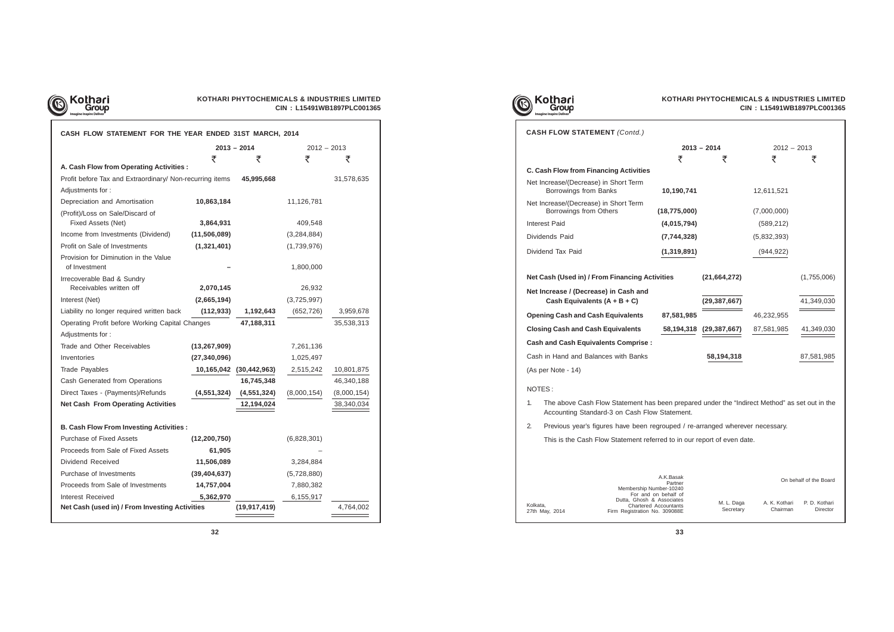

## **KOTHARI PHYTOCHEMICALS & INDUSTRIES LIMITED CIN : L15491WB1897PLC001365**

| CASH FLOW STATEMENT FOR THE YEAR ENDED 31ST MARCH, 2014  |                |                         |               |             |
|----------------------------------------------------------|----------------|-------------------------|---------------|-------------|
|                                                          |                | $2012 - 2013$           |               |             |
|                                                          | ₹              | ₹                       | ₹             | ₹           |
| A. Cash Flow from Operating Activities :                 |                |                         |               |             |
| Profit before Tax and Extraordinary/ Non-recurring items |                | 45,995,668              |               | 31,578,635  |
| Adjustments for:                                         |                |                         |               |             |
| Depreciation and Amortisation                            | 10,863,184     |                         | 11,126,781    |             |
| (Profit)/Loss on Sale/Discard of<br>Fixed Assets (Net)   |                |                         | 409,548       |             |
|                                                          | 3,864,931      |                         |               |             |
| Income from Investments (Dividend)                       | (11,506,089)   |                         | (3, 284, 884) |             |
| Profit on Sale of Investments                            | (1,321,401)    |                         | (1,739,976)   |             |
| Provision for Diminution in the Value<br>of Investment   |                |                         | 1,800,000     |             |
| Irrecoverable Bad & Sundry                               |                |                         |               |             |
| Receivables written off                                  | 2,070,145      |                         | 26,932        |             |
| Interest (Net)                                           | (2,665,194)    |                         | (3,725,997)   |             |
| Liability no longer required written back                | (112, 933)     | 1,192,643               | (652, 726)    | 3,959,678   |
| Operating Profit before Working Capital Changes          |                | 47,188,311              |               | 35,538,313  |
| Adjustments for:                                         |                |                         |               |             |
| Trade and Other Receivables                              | (13, 267, 909) |                         | 7,261,136     |             |
| Inventories                                              | (27, 340, 096) |                         | 1,025,497     |             |
| Trade Payables                                           |                | 10,165,042 (30,442,963) | 2,515,242     | 10,801,875  |
| Cash Generated from Operations                           |                | 16,745,348              |               | 46,340,188  |
| Direct Taxes - (Payments)/Refunds                        | (4, 551, 324)  | (4, 551, 324)           | (8,000,154)   | (8,000,154) |
| <b>Net Cash From Operating Activities</b>                |                | 12,194,024              |               | 38,340,034  |
| <b>B. Cash Flow From Investing Activities:</b>           |                |                         |               |             |
| <b>Purchase of Fixed Assets</b>                          | (12, 200, 750) |                         | (6,828,301)   |             |
| Proceeds from Sale of Fixed Assets                       | 61,905         |                         |               |             |
| Dividend Received                                        | 11,506,089     |                         | 3,284,884     |             |
| Purchase of Investments                                  | (39, 404, 637) |                         | (5,728,880)   |             |
| Proceeds from Sale of Investments                        | 14,757,004     |                         | 7,880,382     |             |
| Interest Received                                        | 5,362,970      |                         | 6,155,917     |             |
| Net Cash (used in) / From Investing Activities           |                | (19, 917, 419)          |               | 4,764,002   |
|                                                          |                |                         |               |             |



## CAS

|                                                                                                                                                      | <b>CASH FLOW STATEMENT</b> (Contd.)                                     |                                              |                |               |                                         |  |  |
|------------------------------------------------------------------------------------------------------------------------------------------------------|-------------------------------------------------------------------------|----------------------------------------------|----------------|---------------|-----------------------------------------|--|--|
|                                                                                                                                                      |                                                                         |                                              | $2013 - 2014$  | $2012 - 2013$ |                                         |  |  |
|                                                                                                                                                      |                                                                         | ₹                                            | ₹              | ₹             | ₹                                       |  |  |
|                                                                                                                                                      | <b>C. Cash Flow from Financing Activities</b>                           |                                              |                |               |                                         |  |  |
|                                                                                                                                                      | Net Increase/(Decrease) in Short Term<br>Borrowings from Banks          | 10,190,741                                   |                | 12,611,521    |                                         |  |  |
|                                                                                                                                                      | Net Increase/(Decrease) in Short Term<br>Borrowings from Others         | (18, 775, 000)                               |                | (7,000,000)   |                                         |  |  |
|                                                                                                                                                      | <b>Interest Paid</b>                                                    | (4,015,794)                                  |                | (589, 212)    |                                         |  |  |
|                                                                                                                                                      | Dividends Paid                                                          | (7,744,328)                                  |                | (5,832,393)   |                                         |  |  |
|                                                                                                                                                      | Dividend Tax Paid                                                       | (1,319,891)                                  |                | (944, 922)    |                                         |  |  |
|                                                                                                                                                      | Net Cash (Used in) / From Financing Activities                          |                                              | (21,664,272)   |               | (1,755,006)                             |  |  |
|                                                                                                                                                      | Net Increase / (Decrease) in Cash and<br>Cash Equivalents $(A + B + C)$ |                                              | (29,387,667)   |               | 41,349,030                              |  |  |
|                                                                                                                                                      | <b>Opening Cash and Cash Equivalents</b>                                | 87,581,985                                   |                | 46,232,955    |                                         |  |  |
|                                                                                                                                                      | <b>Closing Cash and Cash Equivalents</b>                                | 58,194,318                                   | (29, 387, 667) | 87,581,985    | 41,349,030                              |  |  |
|                                                                                                                                                      | <b>Cash and Cash Equivalents Comprise:</b>                              |                                              |                |               |                                         |  |  |
|                                                                                                                                                      | Cash in Hand and Balances with Banks                                    |                                              | 58,194,318     |               | 87,581,985                              |  |  |
|                                                                                                                                                      | (As per Note - 14)                                                      |                                              |                |               |                                         |  |  |
|                                                                                                                                                      | NOTES:                                                                  |                                              |                |               |                                         |  |  |
| The above Cash Flow Statement has been prepared under the "Indirect Method" as set out in the<br>1.<br>Accounting Standard-3 on Cash Flow Statement. |                                                                         |                                              |                |               |                                         |  |  |
| 2.<br>Previous year's figures have been regrouped / re-arranged wherever necessary.                                                                  |                                                                         |                                              |                |               |                                         |  |  |
|                                                                                                                                                      | This is the Cash Flow Statement referred to in our report of even date. |                                              |                |               |                                         |  |  |
|                                                                                                                                                      |                                                                         |                                              |                |               |                                         |  |  |
|                                                                                                                                                      | Membership Number-10240<br>Dutta, Ghosh & Associates                    | A.K.Basak<br>Partner<br>For and on behalf of | M. L. Daga     | A. K. Kothari | On behalf of the Board<br>P. D. Kothari |  |  |
| Kolkata,                                                                                                                                             | 27th May, 2014<br>Firm Registration No. 309088E                         | Chartered Accountants                        | Secretary      | Chairman      | Director                                |  |  |

## NOT

- 
-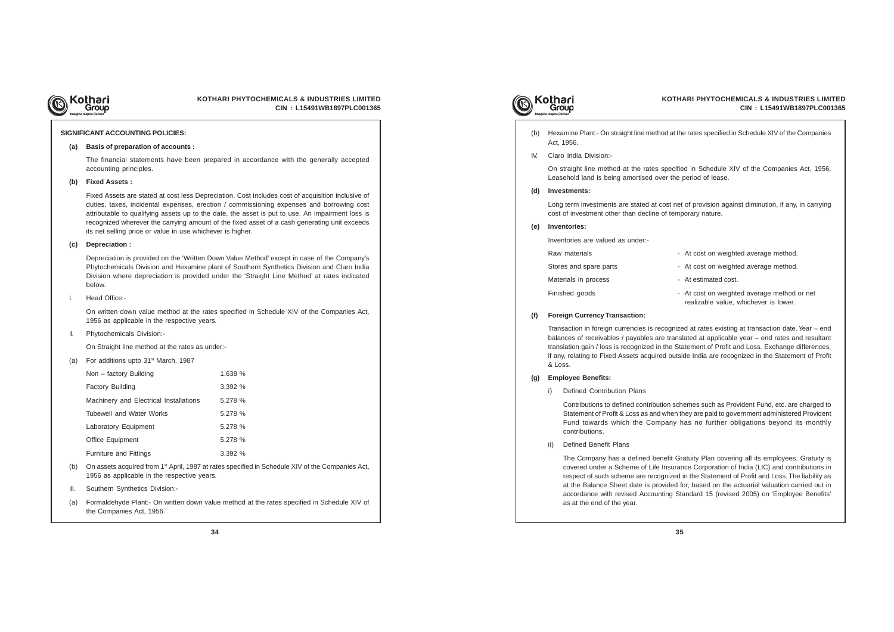

## **KOTHARI PHYTOCHEMICALS & INDUSTRIES LIMITED CIN : L15491WB1897PLC001365**

#### **SIGNIFICANT ACCOUNTING POLICIES:**

#### **(a) Basis of preparation of accounts :**

The financial statements have been prepared in accordance with the generally accepted accounting principles.

#### **(b) Fixed Assets :**

Fixed Assets are stated at cost less Depreciation. Cost includes cost of acquisition inclusive of duties, taxes, incidental expenses, erection / commissioning expenses and borrowing cost attributable to qualifying assets up to the date, the asset is put to use. An impairment loss is recognized wherever the carrying amount of the fixed asset of a cash generating unit exceeds its net selling price or value in use whichever is higher.

#### **(c) Depreciation :**

- (b) On assets acquired from 1<sup>st</sup> April, 1987 at rates specified in Schedule XIV of the Companies Act, 1956 as applicable in the respective years.
- III. Southern Synthetics Division:-
- (a) Formaldehyde Plant:- On written down value method at the rates specified in Schedule XIV of the Companies Act, 1956.



Depreciation is provided on the 'Written Down Value Method' except in case of the Company's Phytochemicals Division and Hexamine plant of Southern Synthetics Division and Claro India Division where depreciation is provided under the 'Straight Line Method' at rates indicated below.

#### I. Head Office:-

On written down value method at the rates specified in Schedule XIV of the Companies Act, 1956 as applicable in the respective years.

#### II. Phytochemicals Division:-

On Straight line method at the rates as under:-

- Raw materials **Raw materials** At cost on weighted average method.
- Stores and spare parts  **At cost on weighted average method.**
- Materials in process **Acceleration** At estimated cost.
- Finished goods **Finished** goods  **At cost on weighted average method or net** realizable value, whichever is lower.

(a) For additions upto 31st March, 1987

| Non - factory Building                 | 1.638 % |
|----------------------------------------|---------|
| Factory Building                       | 3.392%  |
| Machinery and Electrical Installations | 5.278 % |
| Tubewell and Water Works               | 5.278 % |
| Laboratory Equipment                   | 5.278 % |
| <b>Office Equipment</b>                | 5.278 % |
| <b>Furniture and Fittings</b>          | 3.392%  |

(b) Hexamine Plant:- On straight line method at the rates specified in Schedule XIV of the Companies

- 
- Act, 1956.
- IV. Claro India Division:-

On straight line method at the rates specified in Schedule XIV of the Companies Act, 1956. Leasehold land is being amortised over the period of lease.

**(d) Investments:**

Long term investments are stated at cost net of provision against diminution, if any, in carrying cost of investment other than decline of temporary nature.

**(e) Inventories:**

Inventories are valued as under:-

#### **(f) Foreign Currency Transaction:**

Transaction in foreign currencies is recognized at rates existing at transaction date. Year – end balances of receivables / payables are translated at applicable year – end rates and resultant translation gain / loss is recognized in the Statement of Profit and Loss. Exchange differences, if any, relating to Fixed Assets acquired outside India are recognized in the Statement of Profit & Loss.

## **(g) Employee Benefits:**

i) Defined Contribution Plans

Contributions to defined contribution schemes such as Provident Fund, etc. are charged to Statement of Profit & Loss as and when they are paid to government administered Provident Fund towards which the Company has no further obligations beyond its monthly contributions.

ii) Defined Benefit Plans

The Company has a defined benefit Gratuity Plan covering all its employees. Gratuity is covered under a Scheme of Life Insurance Corporation of India (LIC) and contributions in respect of such scheme are recognized in the Statement of Profit and Loss. The liability as at the Balance Sheet date is provided for, based on the actuarial valuation carried out in accordance with revised Accounting Standard 15 (revised 2005) on 'Employee Benefits' as at the end of the year.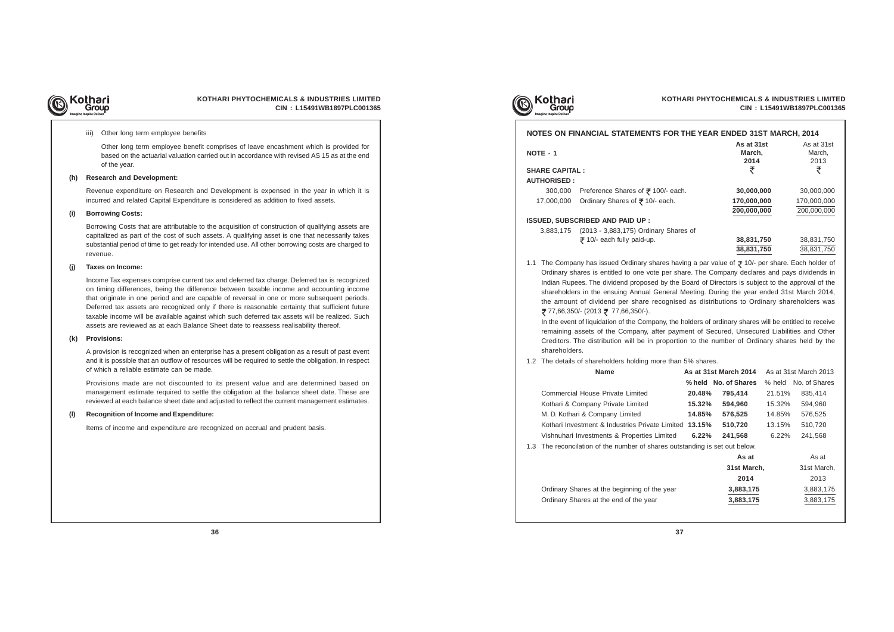

## **KOTHARI PHYTOCHEMICALS & INDUSTRIES LIMITED CIN : L15491WB1897PLC001365**

#### iii) Other long term employee benefits

Other long term employee benefit comprises of leave encashment which is provided for based on the actuarial valuation carried out in accordance with revised AS 15 as at the end of the year.

#### **(h) Research and Development:**

Revenue expenditure on Research and Development is expensed in the year in which it is incurred and related Capital Expenditure is considered as addition to fixed assets.

#### **(i) Borrowing Costs:**

Borrowing Costs that are attributable to the acquisition of construction of qualifying assets are capitalized as part of the cost of such assets. A qualifying asset is one that necessarily takes substantial period of time to get ready for intended use. All other borrowing costs are charged to revenue.

#### **(j) Taxes on Income:**

Income Tax expenses comprise current tax and deferred tax charge. Deferred tax is recognized on timing differences, being the difference between taxable income and accounting income that originate in one period and are capable of reversal in one or more subsequent periods. Deferred tax assets are recognized only if there is reasonable certainty that sufficient future taxable income will be available against which such deferred tax assets will be realized. Such assets are reviewed as at each Balance Sheet date to reassess realisability thereof.

#### **(k) Provisions:**

A provision is recognized when an enterprise has a present obligation as a result of past event and it is possible that an outflow of resources will be required to settle the obligation, in respect of which a reliable estimate can be made.

In the event of liquidation of the Company, the remaining assets of the Company, after pay Creditors. The distribution will be in propor shareholders.

1.2 The details of shareholders holding more tha

Provisions made are not discounted to its present value and are determined based on management estimate required to settle the obligation at the balance sheet date. These are reviewed at each balance sheet date and adjusted to reflect the current management estimates.

**Commercial House Private Limited** Kothari & Company Private Limited M. D. Kothari & Company Limited Kothari Investment & Industries Private Limited **13.15** Vishnuhari Investments & Properties Limited **6.22% 241,568** 6.22% 241,568

1.3 The reconcilation of the number of shares out

Ordinary Shares at the beginning of the yea Ordinary Shares at the end of the year **3,883,175** 3,883,175

#### **(l) Recognition of Income and Expenditure:**

Items of income and expenditure are recognized on accrual and prudent basis.





#### **NOTES ON FINANCIAL STATEMENTS FOR**

## **SHARE CAPITAL :**

#### **AUTHORISED :**

300,000 Preference Shares of ₹ 100/- ea 17,000,000 Ordinary Shares of  $\bar{x}$  10/- each.

#### **ISSUED, SUBSCRIBED AND PAID UP :**

3,883,175 (2013 - 3,883,175) Ordinary Sha ₹ 10/- each fully paid-up.

1.1 The Company has issued Ordinary shares ha Ordinary shares is entitled to one vote per Indian Rupees. The dividend proposed by the shareholders in the ensuing Annual General the amount of dividend per share recognistions ₹ 77,66,350/- (2013 ₹ 77,66,350/-).

| IAL STATEMENTS FOR THE YEAR ENDED 31ST MARCH, 2014                                                                                                                                                                                                                                                                                                                                                                                                                                                                  |                  |                              |                  |                              |
|---------------------------------------------------------------------------------------------------------------------------------------------------------------------------------------------------------------------------------------------------------------------------------------------------------------------------------------------------------------------------------------------------------------------------------------------------------------------------------------------------------------------|------------------|------------------------------|------------------|------------------------------|
|                                                                                                                                                                                                                                                                                                                                                                                                                                                                                                                     |                  | As at 31st<br>March,<br>2014 |                  | As at 31st<br>March,<br>2013 |
|                                                                                                                                                                                                                                                                                                                                                                                                                                                                                                                     |                  | ₹                            |                  | ₹                            |
| rence Shares of ₹ 100/- each.                                                                                                                                                                                                                                                                                                                                                                                                                                                                                       |                  | 30,000,000                   |                  | 30,000,000                   |
| ary Shares of ₹10/- each.                                                                                                                                                                                                                                                                                                                                                                                                                                                                                           |                  | 170,000,000                  |                  | 170,000,000                  |
|                                                                                                                                                                                                                                                                                                                                                                                                                                                                                                                     |                  | 200,000,000                  |                  | 200,000,000                  |
| D AND PAID UP :<br>3 - 3,883,175) Ordinary Shares of                                                                                                                                                                                                                                                                                                                                                                                                                                                                |                  |                              |                  |                              |
| - each fully paid-up.                                                                                                                                                                                                                                                                                                                                                                                                                                                                                               |                  | 38,831,750<br>38,831,750     |                  | 38,831,750<br>38,831,750     |
| e dividend proposed by the Board of Directors is subject to the approval of the<br>ie ensuing Annual General Meeting. During the year ended 31st March 2014,<br>vidend per share recognised as distributions to Ordinary shareholders was<br>13 ₹ 77,66,350/-).<br>idation of the Company, the holders of ordinary shares will be entitled to receive<br>of the Company, after payment of Secured, Unsecured Liabilities and Other<br>stribution will be in proportion to the number of Ordinary shares held by the |                  |                              |                  |                              |
| reholders holding more than 5% shares.                                                                                                                                                                                                                                                                                                                                                                                                                                                                              |                  |                              |                  |                              |
| Name                                                                                                                                                                                                                                                                                                                                                                                                                                                                                                                |                  | As at 31st March 2014        |                  | As at 31st March 2013        |
|                                                                                                                                                                                                                                                                                                                                                                                                                                                                                                                     |                  | % held No. of Shares         | % held           | No. of Shares                |
| e Private Limited                                                                                                                                                                                                                                                                                                                                                                                                                                                                                                   | 20.48%           | 795,414                      | 21.51%           | 835,414                      |
| ny Private Limited<br>mpany Limited                                                                                                                                                                                                                                                                                                                                                                                                                                                                                 | 15.32%<br>14.85% | 594,960<br>576,525           | 15.32%<br>14.85% | 594,960<br>576,525           |
| t & Industries Private Limited 13.15%                                                                                                                                                                                                                                                                                                                                                                                                                                                                               |                  | 510,720                      | 13.15%           | 510,720                      |
| nents & Properties Limited                                                                                                                                                                                                                                                                                                                                                                                                                                                                                          | 6.22%            | 241,568                      | 6.22%            | 241,568                      |
| of the number of shares outstanding is set out below.                                                                                                                                                                                                                                                                                                                                                                                                                                                               |                  |                              |                  |                              |
|                                                                                                                                                                                                                                                                                                                                                                                                                                                                                                                     |                  | As at                        |                  | As at                        |
|                                                                                                                                                                                                                                                                                                                                                                                                                                                                                                                     |                  | 31st March,                  |                  | 31st March,                  |
|                                                                                                                                                                                                                                                                                                                                                                                                                                                                                                                     |                  | 2014                         |                  | 2013                         |
| it the beginning of the year                                                                                                                                                                                                                                                                                                                                                                                                                                                                                        |                  | 3,883,175                    |                  | 3,883,175                    |
| t the end of the year.                                                                                                                                                                                                                                                                                                                                                                                                                                                                                              |                  | 3883175                      |                  | 3883175                      |

**NOTE - 1**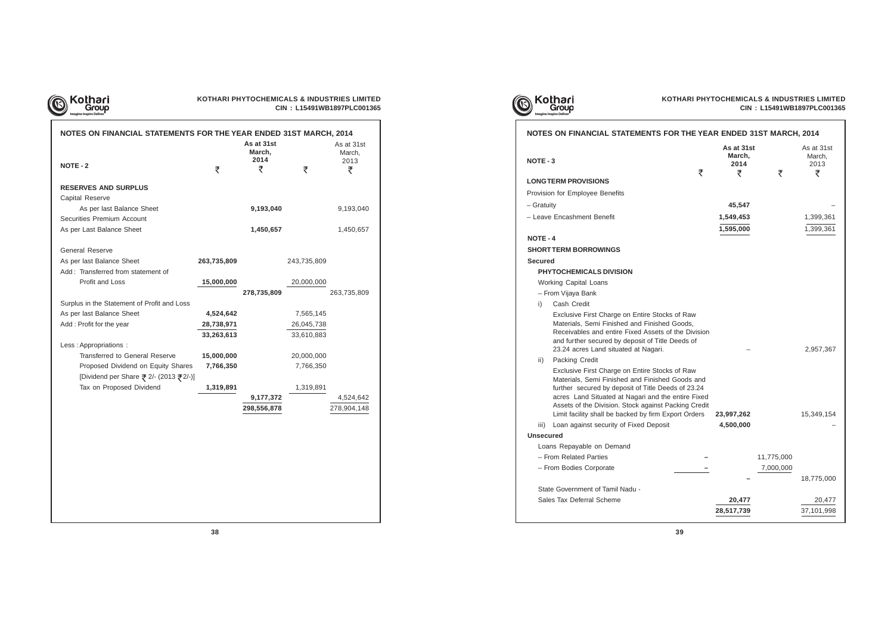

## **KOTHARI PHYTOCHEMICALS & INDUSTRIES LIMITED CIN : L15491WB1897PLC001365**

| NOTES ON FINANCIAL STATEMENTS FOR THE YEAR ENDED 31ST MARCH, 2014 |             |                              |             |                              |
|-------------------------------------------------------------------|-------------|------------------------------|-------------|------------------------------|
|                                                                   |             | As at 31st<br>March,<br>2014 |             | As at 31st<br>March,<br>2013 |
| <b>NOTE - 2</b>                                                   | ₹           | ₹                            | ₹           | ₹                            |
| <b>RESERVES AND SURPLUS</b>                                       |             |                              |             |                              |
| Capital Reserve                                                   |             |                              |             |                              |
| As per last Balance Sheet                                         |             | 9,193,040                    |             | 9,193,040                    |
| Securities Premium Account                                        |             |                              |             |                              |
| As per Last Balance Sheet                                         |             | 1,450,657                    |             | 1,450,657                    |
| <b>General Reserve</b>                                            |             |                              |             |                              |
| As per last Balance Sheet                                         | 263,735,809 |                              | 243,735,809 |                              |
| Add: Transferred from statement of                                |             |                              |             |                              |
| <b>Profit and Loss</b>                                            | 15,000,000  |                              | 20,000,000  |                              |
|                                                                   |             | 278,735,809                  |             | 263,735,809                  |
| Surplus in the Statement of Profit and Loss                       |             |                              |             |                              |
| As per last Balance Sheet                                         | 4,524,642   |                              | 7,565,145   |                              |
| Add: Profit for the year                                          | 28,738,971  |                              | 26,045,738  |                              |
|                                                                   | 33,263,613  |                              | 33,610,883  |                              |
| Less: Appropriations:                                             |             |                              |             |                              |
| Transferred to General Reserve                                    | 15,000,000  |                              | 20,000,000  |                              |
| Proposed Dividend on Equity Shares                                | 7,766,350   |                              | 7,766,350   |                              |
| [Dividend per Share ₹ 2/- (2013 ₹ 2/-)]                           |             |                              |             |                              |
| Tax on Proposed Dividend                                          | 1,319,891   |                              | 1,319,891   |                              |
|                                                                   |             | 9,177,372                    |             | 4,524,642                    |
|                                                                   |             | 298,556,878                  |             | 278,904,148                  |
|                                                                   |             |                              |             |                              |
|                                                                   |             |                              |             |                              |
|                                                                   |             |                              |             |                              |





## **NOTES ON FINANCIAL STATEMENTS FOR**

## **NOTE - 4**

## **SHORT TERM BORROWINGS Secured**

## **PHYTOCHEMICALS DIVISION**

- Working Capital Loans
- From Vijaya Bank
- i) Cash Credit
	- Exclusive First Charge on Entire Stocks Materials, Semi Finished and Finished Goods Receivables and entire Fixed Assets of the and further secured by deposit of Title De 23.24 acres Land situated at Nagari.
- ii) Packing Credit

## **Unsecured**

- Loans Repayable on Demand
- From Related Parties **–** 11,775,000
- From Bodies Corporate **–** 7,000,000

## **NOTE - 3**

|                  | NOTES ON FINANCIAL STATEMENTS FOR THE YEAR ENDED 31ST MARCH, 2014                                                                                                                                                                                                                                                                                                       |                              |            |                              |
|------------------|-------------------------------------------------------------------------------------------------------------------------------------------------------------------------------------------------------------------------------------------------------------------------------------------------------------------------------------------------------------------------|------------------------------|------------|------------------------------|
| NOTE - 3         |                                                                                                                                                                                                                                                                                                                                                                         | As at 31st<br>March,<br>2014 |            | As at 31st<br>March,<br>2013 |
|                  | ₹<br><b>LONGTERM PROVISIONS</b>                                                                                                                                                                                                                                                                                                                                         | ₹                            | ₹          | ₹                            |
|                  | Provision for Employee Benefits                                                                                                                                                                                                                                                                                                                                         |                              |            |                              |
| – Gratuity       |                                                                                                                                                                                                                                                                                                                                                                         | 45,547                       |            |                              |
|                  | - Leave Encashment Benefit                                                                                                                                                                                                                                                                                                                                              | 1,549,453                    |            | 1,399,361                    |
|                  |                                                                                                                                                                                                                                                                                                                                                                         | 1,595,000                    |            | 1,399,361                    |
| <b>NOTE - 4</b>  |                                                                                                                                                                                                                                                                                                                                                                         |                              |            |                              |
|                  | <b>SHORT TERM BORROWINGS</b>                                                                                                                                                                                                                                                                                                                                            |                              |            |                              |
| <b>Secured</b>   |                                                                                                                                                                                                                                                                                                                                                                         |                              |            |                              |
|                  | <b>PHYTOCHEMICALS DIVISION</b>                                                                                                                                                                                                                                                                                                                                          |                              |            |                              |
|                  | <b>Working Capital Loans</b>                                                                                                                                                                                                                                                                                                                                            |                              |            |                              |
|                  | - From Vijaya Bank                                                                                                                                                                                                                                                                                                                                                      |                              |            |                              |
| i)               | Cash Credit                                                                                                                                                                                                                                                                                                                                                             |                              |            |                              |
|                  | Exclusive First Charge on Entire Stocks of Raw<br>Materials, Semi Finished and Finished Goods,<br>Receivables and entire Fixed Assets of the Division<br>and further secured by deposit of Title Deeds of<br>23.24 acres Land situated at Nagari.                                                                                                                       |                              |            | 2,957,367                    |
| ii)              | Packing Credit                                                                                                                                                                                                                                                                                                                                                          |                              |            |                              |
| iii)             | Exclusive First Charge on Entire Stocks of Raw<br>Materials, Semi Finished and Finished Goods and<br>further secured by deposit of Title Deeds of 23.24<br>acres Land Situated at Nagari and the entire Fixed<br>Assets of the Division. Stock against Packing Credit<br>Limit facility shall be backed by firm Export Orders<br>Loan against security of Fixed Deposit | 23,997,262<br>4,500,000      |            | 15,349,154                   |
| <b>Unsecured</b> |                                                                                                                                                                                                                                                                                                                                                                         |                              |            |                              |
|                  | Loans Repayable on Demand                                                                                                                                                                                                                                                                                                                                               |                              |            |                              |
|                  | - From Related Parties                                                                                                                                                                                                                                                                                                                                                  |                              | 11,775,000 |                              |
|                  | - From Bodies Corporate                                                                                                                                                                                                                                                                                                                                                 |                              | 7,000,000  |                              |
|                  |                                                                                                                                                                                                                                                                                                                                                                         |                              |            | 18,775,000                   |
|                  | State Government of Tamil Nadu -                                                                                                                                                                                                                                                                                                                                        |                              |            |                              |
|                  | Sales Tax Deferral Scheme                                                                                                                                                                                                                                                                                                                                               | 20,477                       |            | 20,477                       |
|                  |                                                                                                                                                                                                                                                                                                                                                                         | 28,517,739                   |            | 37,101,998                   |
|                  |                                                                                                                                                                                                                                                                                                                                                                         |                              |            |                              |

## **LONG TERM PROVISIONS**

- Provision for Employee Benefits
- 
- Leave Encashment Benefit **1,549,453** 1,399,361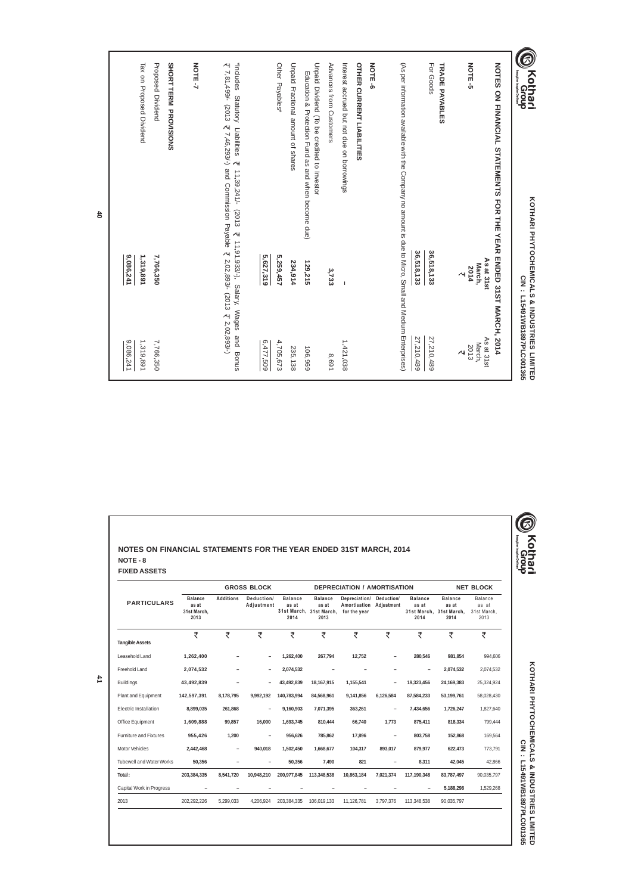| 0<br>NOTES ON FINANCIAL STATEMENTS FOR THE YEAR<br><b>Kothari</b><br>MGroup                                                                                                                                  | KOTHARI PHYTOCHEMICALS & INDUSTRIES LIMITED<br>ENDED 31ST MARCH, 2014 | CIN : L15491WB1897PLC001365                              |
|--------------------------------------------------------------------------------------------------------------------------------------------------------------------------------------------------------------|-----------------------------------------------------------------------|----------------------------------------------------------|
| NOTE-5                                                                                                                                                                                                       | As at 31st<br>March,<br>2014<br>$\overline{\mathcal{A}}$              | As at 31st<br>March,<br>2013<br>$\overline{\mathcal{A}}$ |
| For Goods<br>TRADE PAYABLES                                                                                                                                                                                  | 36,518,133<br>36,518,133                                              | 27,210,489<br>27,210,489                                 |
| (As per information available with the Company no amount is due to Micro, Small and Medium Enterprises                                                                                                       |                                                                       |                                                          |
| NOTE-6                                                                                                                                                                                                       |                                                                       |                                                          |
| <b>OTHER CURRENT LIABILITES</b><br>Interest accrued but not due on borrowings                                                                                                                                | I                                                                     | 1,421,038                                                |
| Advances from Customers                                                                                                                                                                                      | 3,733                                                                 | 8,691                                                    |
| Unpaid Dividend (To be credited to Investor<br>Education & Protection Fund as and when become due)                                                                                                           | 129,215                                                               | 106,969                                                  |
| Unpaid Fractional amount of shares                                                                                                                                                                           | 234,914                                                               | 235,138                                                  |
| Other Payables*                                                                                                                                                                                              | 5,627,319<br>5,259,457                                                | 6,477,509<br>4,705,673                                   |
| $\overline{\xi}$ 7,81,499/- (2013 $\overline{\xi}$ 7,46,293/-) and Commission Payable $\overline{\xi}$ 2,02,893/- (2013 $\overline{\xi}$ 2,02,893/-)<br>*Includes Statutory Liabilities<br>11,39,241/- (2013 | ₹ 11,91,933/-), Salary, Wages                                         | pue<br>Bonus                                             |
| <b>NOTE-7</b>                                                                                                                                                                                                |                                                                       |                                                          |
| <b>Proposed Dividend</b><br>SHORTTERM PROVISIONS                                                                                                                                                             | 7,766,350                                                             | 7,766,350                                                |
| Tax on Proposed Dividend                                                                                                                                                                                     | 9,086,241<br>1,319,891                                                | 9,086,241<br>1,319,891                                   |
|                                                                                                                                                                                                              |                                                                       |                                                          |

**40**

**41**

Freehold Land **2,074,532 – – 2,074,532 – – – – 2,074,532** 2,074,532

| NOTES ON FINANCIAL STATEMENTS FOR THE YEAR ENDED 31ST MARCH, 2014 |                                                |                  |                          |                                 |                                                            |                                                          |                          |                                 |                                                            |                                         |
|-------------------------------------------------------------------|------------------------------------------------|------------------|--------------------------|---------------------------------|------------------------------------------------------------|----------------------------------------------------------|--------------------------|---------------------------------|------------------------------------------------------------|-----------------------------------------|
| NOTE - 8                                                          |                                                |                  |                          |                                 |                                                            |                                                          |                          |                                 |                                                            |                                         |
| <b>FIXED ASSETS</b>                                               |                                                |                  |                          |                                 |                                                            |                                                          |                          |                                 |                                                            |                                         |
|                                                                   |                                                |                  | <b>GROSS BLOCK</b>       |                                 |                                                            | <b>DEPRECIATION / AMORTISATION</b>                       |                          |                                 |                                                            | <b>NET BLOCK</b>                        |
| <b>PARTICULARS</b>                                                | <b>Balance</b><br>as at<br>31st March,<br>2013 | <b>Additions</b> | Deduction/<br>Adjustment | <b>Balance</b><br>as at<br>2014 | <b>Balance</b><br>as at<br>31st March, 31st March,<br>2013 | Depreciation/<br>Amortisation Adjustment<br>for the year | Deduction/               | <b>Balance</b><br>as at<br>2014 | <b>Balance</b><br>as at<br>31st March, 31st March,<br>2014 | Balance<br>as at<br>31st March,<br>2013 |
| <b>Tangible Assets</b>                                            | ₹                                              | ₹                | ₹                        | ₹                               | ₹                                                          | ₹                                                        | ₹                        | ₹                               | ₹                                                          | ₹                                       |
| Leasehold Land                                                    | 1,262,400                                      |                  |                          | 1,262,400                       | 267,794                                                    | 12,752                                                   | $\overline{\phantom{0}}$ | 280,546                         | 981,854                                                    | 994,606                                 |

| <b>Buildings</b>                | 43,492,839  | $\overline{\phantom{0}}$ | -                        | 43,492,839  | 18,167,915  | 1,155,541                | $\overline{\phantom{0}}$ | 19,323,456               | 24,169,383 | 25,324,924 |
|---------------------------------|-------------|--------------------------|--------------------------|-------------|-------------|--------------------------|--------------------------|--------------------------|------------|------------|
| Plant and Equipment             | 142,597,391 | 8,178,795                | 9,992,192                | 140,783,994 | 84,568,961  | 9,141,856                | 6,126,584                | 87,584,233               | 53,199,761 | 58,028,430 |
| Electric Installation           | 8,899,035   | 261,868                  | -                        | 9,160,903   | 7,071,395   | 363,261                  | -                        | 7,434,656                | 1,726,247  | 1,827,640  |
| Office Equipment                | 1,609,888   | 99,857                   | 16,000                   | 1,693,745   | 810,444     | 66,740                   | 1,773                    | 875,411                  | 818,334    | 799,444    |
| <b>Furniture and Fixtures</b>   | 955,426     | 1,200                    | -                        | 956,626     | 785,862     | 17,896                   | -                        | 803,758                  | 152,868    | 169,564    |
| Motor Vehicles                  | 2,442,468   | $\qquad \qquad -$        | 940,018                  | 1,502,450   | 1,668,677   | 104,317                  | 893,017                  | 879,977                  | 622,473    | 773,791    |
| <b>Tubewell and Water Works</b> | 50,356      | -                        | -                        | 50,356      | 7,490       | 821                      |                          | 8,311                    | 42,045     | 42,866     |
| Total:                          | 203,384,335 | 8,541,720                | 10,948,210               | 200,977,845 | 113,348,538 | 10,863,184               | 7,021,374                | 117,190,348              | 83,787,497 | 90,035,797 |
| Capital Work in Progress        | -           | $\overline{\phantom{0}}$ | $\overline{\phantom{0}}$ | -           | -           | $\overline{\phantom{0}}$ |                          | $\overline{\phantom{0}}$ | 5,188,298  | 1,529,268  |
| 2013                            | 202,292,226 | 5,299,033                | 4,206,924                | 203,384,335 | 106,019,133 | 11,126,781               | 3,797,376                | 113,348,538              | 90,035,797 |            |
|                                 |             |                          |                          |             |             |                          |                          |                          |            |            |
|                                 |             |                          |                          |             |             |                          |                          |                          |            |            |
|                                 |             |                          |                          |             |             |                          |                          |                          |            |            |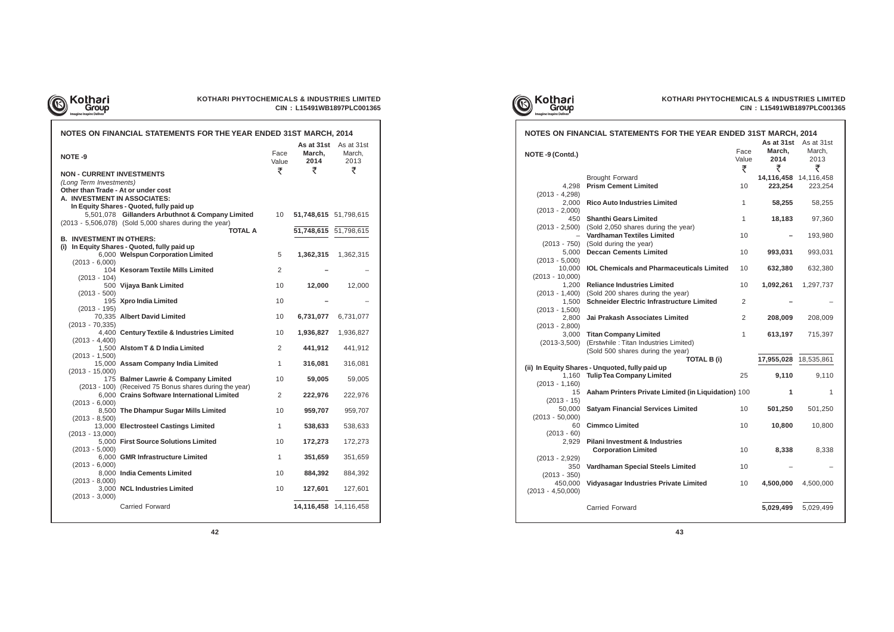

## **KOTHARI PHYTOCHEMICALS & INDUSTRIES LIMITED CIN : L15491WB1897PLC001365**

| <br><b>INVESTMENT IN STILLING:</b> |                                                         |                |           |                       |
|------------------------------------|---------------------------------------------------------|----------------|-----------|-----------------------|
|                                    | i) In Equity Shares - Quoted, fully paid up             |                |           |                       |
|                                    | 6,000 Welspun Corporation Limited                       | 5              |           | 1,362,315 1,362,315   |
| $(2013 - 6,000)$                   |                                                         |                |           |                       |
|                                    | 104 Kesoram Textile Mills Limited                       | $\overline{2}$ |           |                       |
| $(2013 - 104)$                     |                                                         |                |           |                       |
| $(2013 - 500)$                     | 500 Vijaya Bank Limited                                 | 10             | 12,000    | 12,000                |
|                                    | 195 Xpro India Limited                                  | 10             |           |                       |
| $(2013 - 195)$                     |                                                         |                |           |                       |
|                                    | 70,335 Albert David Limited                             | 10             | 6,731,077 | 6,731,077             |
| $(2013 - 70, 335)$                 |                                                         |                |           |                       |
|                                    | 4,400 Century Textile & Industries Limited              | 10             | 1,936,827 | 1,936,827             |
| $(2013 - 4,400)$                   |                                                         |                |           |                       |
|                                    | 1,500 Alstom T & D India Limited                        | $\overline{2}$ | 441,912   | 441,912               |
| $(2013 - 1,500)$                   |                                                         |                |           |                       |
|                                    | 15,000 Assam Company India Limited                      | $\mathbf{1}$   | 316,081   | 316,081               |
| $(2013 - 15,000)$                  |                                                         |                |           |                       |
|                                    | 175 Balmer Lawrie & Company Limited                     | 10             | 59,005    | 59,005                |
|                                    | (2013 - 100) (Received 75 Bonus shares during the year) |                |           |                       |
|                                    | 6,000 Crains Software International Limited             | $\overline{2}$ | 222,976   | 222,976               |
| $(2013 - 6,000)$                   |                                                         | 10             | 959,707   | 959,707               |
| $(2013 - 8,500)$                   | 8,500 The Dhampur Sugar Mills Limited                   |                |           |                       |
|                                    | 13,000 Electrosteel Castings Limited                    | 1              | 538,633   | 538,633               |
| $(2013 - 13,000)$                  |                                                         |                |           |                       |
|                                    | 5,000 First Source Solutions Limited                    | 10             | 172,273   | 172,273               |
| $(2013 - 5,000)$                   |                                                         |                |           |                       |
|                                    | 6,000 GMR Infrastructure Limited                        | 1              | 351,659   | 351,659               |
| $(2013 - 6,000)$                   |                                                         |                |           |                       |
|                                    | 8,000 India Cements Limited                             | 10             | 884,392   | 884,392               |
| $(2013 - 8,000)$                   |                                                         |                |           |                       |
|                                    | 3,000 NCL Industries Limited                            | 10             | 127,601   | 127,601               |
| $(2013 - 3,000)$                   |                                                         |                |           |                       |
|                                    | <b>Carried Forward</b>                                  |                |           | 14,116,458 14,116,458 |



# Kothari<br>Group<br>Imagine Inspire Deliver



## **NO**

#### **NOTES ON FINANCIAL STATEMENTS FOR THE YEAR ENDED 31ST MARCH, 2014** As at 31st **As at 31st March,** March, Face **NOTE -9 2014** 2013 Value ₹ ₹ ₹ **NON - CURRENT INVESTMENTS** (Long Term Investments) **Other than Trade - At or under cost A. INVESTMENT IN ASSOCIATES: In Equity Shares - Quoted, fully paid up** 5,501,078 **Gillanders Arbuthnot & Company Limited** 10 **51,748,615** 51,798,615 (2013 - 5,506,078) (Sold 5,000 shares during the year) **51,748,615** 51,798,615 **B. INVESTMENT IN OTHERS: (i) In Equity Shares - Quoted, fully paid up** 6,000 **Welspun Corporation Limited** 5 **1,362,315** 1,362,315 (2013 - 6,000) 104 **Kesoram Textile Mills Limited** 2 **–** – (2013 - 104) 500 **Vijaya Bank Limited** 10 **12,000** 12,000 (2013 - 500) 195 **Xpro India Limited** 10 **–** – (2013 - 195)

|                     | NOTES ON FINANCIAL STATEMENTS FOR THE YEAR ENDED 31ST MARCH, 2014   |              |                       |                                 |
|---------------------|---------------------------------------------------------------------|--------------|-----------------------|---------------------------------|
|                     |                                                                     | Face         | March.                | As at 31st As at 31st<br>March, |
| NOTE -9 (Contd.)    |                                                                     | Value<br>₹   | 2014<br>₹             | 2013<br>₹                       |
|                     | <b>Brought Forward</b>                                              |              | 14,116,458 14,116,458 |                                 |
| 4,298               | <b>Prism Cement Limited</b>                                         | 10           | 223,254               | 223,254                         |
| $(2013 - 4, 298)$   |                                                                     |              |                       |                                 |
| 2,000               | <b>Rico Auto Industries Limited</b>                                 | $\mathbf{1}$ | 58,255                | 58,255                          |
| $(2013 - 2,000)$    |                                                                     |              |                       |                                 |
|                     | 450 Shanthi Gears Limited                                           | $\mathbf{1}$ | 18,183                | 97,360                          |
|                     | (2013 - 2,500) (Sold 2,050 shares during the year)                  |              |                       |                                 |
|                     | <b>Vardhaman Textiles Limited</b>                                   | 10           |                       | 193,980                         |
|                     | (2013 - 750) (Sold during the year)<br>5,000 Deccan Cements Limited | 10           |                       |                                 |
|                     |                                                                     |              | 993,031               | 993,031                         |
| $(2013 - 5,000)$    | 10,000 IOL Chemicals and Pharmaceuticals Limited                    | 10           | 632,380               | 632,380                         |
| $(2013 - 10,000)$   |                                                                     |              |                       |                                 |
|                     | 1,200 Reliance Industries Limited                                   | 10           | 1,092,261             | 1,297,737                       |
| $(2013 - 1,400)$    | (Sold 200 shares during the year)                                   |              |                       |                                 |
| 1,500               | <b>Schneider Electric Infrastructure Limited</b>                    | 2            |                       |                                 |
| $(2013 - 1,500)$    |                                                                     |              |                       |                                 |
| 2,800               | Jai Prakash Associates Limited                                      | 2            | 208,009               | 208,009                         |
| $(2013 - 2,800)$    |                                                                     |              |                       |                                 |
|                     | 3,000 Titan Company Limited                                         | $\mathbf{1}$ | 613,197               | 715,397                         |
|                     | (2013-3,500) (Erstwhile: Titan Industries Limited)                  |              |                       |                                 |
|                     | (Sold 500 shares during the year)                                   |              |                       |                                 |
|                     | <b>TOTAL B (i)</b>                                                  |              | 17,955,028 18,535,861 |                                 |
|                     | (ii) In Equity Shares - Unquoted, fully paid up                     |              |                       |                                 |
|                     | 1,160 Tulip Tea Company Limited                                     | 25           | 9,110                 | 9,110                           |
| $(2013 - 1,160)$    |                                                                     |              |                       |                                 |
| 15                  | Aaham Printers Private Limited (in Liquidation) 100                 |              | 1                     | 1                               |
| $(2013 - 15)$       |                                                                     |              |                       |                                 |
| 50,000              | <b>Satyam Financial Services Limited</b>                            | 10           | 501,250               | 501,250                         |
| $(2013 - 50,000)$   |                                                                     |              |                       |                                 |
| 60                  | <b>Cimmco Limited</b>                                               | 10           | 10,800                | 10,800                          |
| $(2013 - 60)$       |                                                                     |              |                       |                                 |
|                     | 2,929 Pilani Investment & Industries                                |              |                       |                                 |
|                     | <b>Corporation Limited</b>                                          | 10           | 8,338                 | 8,338                           |
| $(2013 - 2,929)$    |                                                                     |              |                       |                                 |
| 350                 | Vardhaman Special Steels Limited                                    | 10           |                       |                                 |
| $(2013 - 350)$      |                                                                     |              |                       |                                 |
| 450,000             | Vidyasagar Industries Private Limited                               | 10           | 4,500,000             | 4,500,000                       |
| $(2013 - 4,50,000)$ |                                                                     |              |                       |                                 |
|                     | Carried Forward                                                     |              | 5,029,499             | 5,029,499                       |
|                     |                                                                     |              |                       |                                 |
|                     |                                                                     |              |                       |                                 |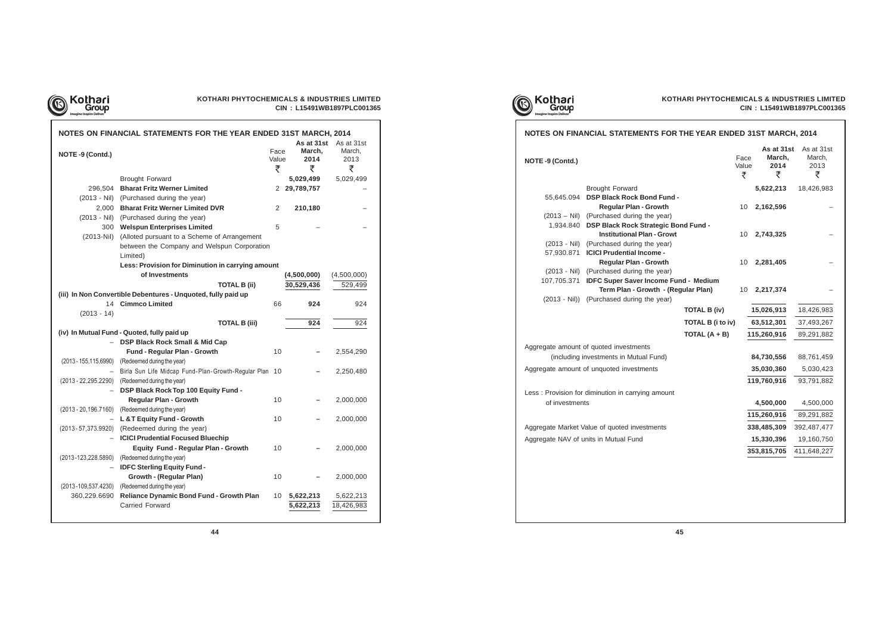

## **KOTHARI PHYTOCHEMICALS & INDUSTRIES LIMITED CIN : L15491WB1897PLC001365**

|                          | NOTES ON FINANCIAL STATEMENTS FOR THE YEAR ENDED 31ST MARCH, 2014 |                    |                                   |                                   |
|--------------------------|-------------------------------------------------------------------|--------------------|-----------------------------------|-----------------------------------|
| NOTE -9 (Contd.)         |                                                                   | Face<br>Value<br>₹ | As at 31st<br>March,<br>2014<br>₹ | As at 31st<br>March,<br>2013<br>₹ |
|                          | <b>Brought Forward</b>                                            |                    | 5,029,499                         | 5,029,499                         |
| 296,504                  | <b>Bharat Fritz Werner Limited</b>                                |                    | 2 29,789,757                      |                                   |
| $(2013 - Nil)$           | (Purchased during the year)                                       |                    |                                   |                                   |
| 2,000                    | <b>Bharat Fritz Werner Limited DVR</b>                            | 2                  | 210,180                           |                                   |
| $(2013 - Nil)$           | (Purchased during the year)                                       |                    |                                   |                                   |
| 300                      | <b>Welspun Enterprises Limited</b>                                | 5                  |                                   |                                   |
| $(2013-Nil)$             | (Alloted pursuant to a Scheme of Arrangement                      |                    |                                   |                                   |
|                          | between the Company and Welspun Corporation                       |                    |                                   |                                   |
|                          | Limited)                                                          |                    |                                   |                                   |
|                          | Less: Provision for Diminution in carrying amount                 |                    |                                   |                                   |
|                          | of Investments                                                    |                    | (4,500,000)                       | (4,500,000)                       |
|                          | <b>TOTAL B (ii)</b>                                               |                    | 30,529,436                        | 529,499                           |
|                          | (iii) In Non Convertible Debentures - Unquoted, fully paid up     |                    |                                   |                                   |
| 14                       | <b>Cimmco Limited</b>                                             | 66                 | 924                               | 924                               |
| $(2013 - 14)$            |                                                                   |                    |                                   |                                   |
|                          | <b>TOTAL B (iii)</b>                                              |                    | 924                               | 924                               |
|                          | (iv) In Mutual Fund - Quoted, fully paid up                       |                    |                                   |                                   |
|                          | <b>DSP Black Rock Small &amp; Mid Cap</b>                         |                    |                                   |                                   |
|                          | Fund - Regular Plan - Growth                                      | 10                 |                                   | 2,554,290                         |
| (2013 - 155,115.6990)    | (Redeemed during the year)                                        |                    |                                   |                                   |
| $-$                      | Birla Sun Life Midcap Fund-Plan-Growth-Regular Plan 10            |                    |                                   | 2,250,480                         |
|                          | (2013 - 22, 295. 2290) (Redeemed during the year)                 |                    |                                   |                                   |
|                          | DSP Black Rock Top 100 Equity Fund -                              |                    |                                   |                                   |
|                          | <b>Regular Plan - Growth</b>                                      | 10                 |                                   | 2,000,000                         |
| $(2013 - 20, 196.7160)$  | (Redeemed during the year)                                        |                    |                                   |                                   |
|                          | L & T Equity Fund - Growth                                        | 10                 |                                   | 2,000,000                         |
|                          | (2013-57,373.9920) (Redeemed during the year)                     |                    |                                   |                                   |
|                          | <b>ICICI Prudential Focused Bluechip</b>                          |                    |                                   |                                   |
|                          | <b>Equity Fund - Regular Plan - Growth</b>                        | 10                 |                                   | 2,000,000                         |
|                          | (2013-123,228.5890) (Redeemed during the year)                    |                    |                                   |                                   |
|                          | <b>IDFC Sterling Equity Fund-</b>                                 |                    |                                   |                                   |
|                          | <b>Growth - (Regular Plan)</b>                                    | 10                 |                                   | 2,000,000                         |
| $(2013 - 109, 537.4230)$ | (Redeemed during the year)                                        |                    |                                   |                                   |
| 360,229.6690             | Reliance Dynamic Bond Fund - Growth Plan                          | 10                 | 5,622,213                         | 5,622,213                         |
|                          | Carried Forward                                                   |                    | 5,622,213                         | 18,426,983                        |
|                          |                                                                   |                    |                                   |                                   |





**NO** 

|                                              |                                                                                                                                                                                                                                                                                                                                                                                                                                           | ₹                                                                                                                                                                                              | March,<br>2014<br>₹                  | As at 31st<br>March,<br>2013<br>₹                                                                               |
|----------------------------------------------|-------------------------------------------------------------------------------------------------------------------------------------------------------------------------------------------------------------------------------------------------------------------------------------------------------------------------------------------------------------------------------------------------------------------------------------------|------------------------------------------------------------------------------------------------------------------------------------------------------------------------------------------------|--------------------------------------|-----------------------------------------------------------------------------------------------------------------|
| <b>Brought Forward</b>                       |                                                                                                                                                                                                                                                                                                                                                                                                                                           |                                                                                                                                                                                                | 5,622,213                            | 18,426,983                                                                                                      |
|                                              |                                                                                                                                                                                                                                                                                                                                                                                                                                           |                                                                                                                                                                                                |                                      |                                                                                                                 |
|                                              |                                                                                                                                                                                                                                                                                                                                                                                                                                           |                                                                                                                                                                                                |                                      |                                                                                                                 |
|                                              |                                                                                                                                                                                                                                                                                                                                                                                                                                           |                                                                                                                                                                                                |                                      |                                                                                                                 |
|                                              |                                                                                                                                                                                                                                                                                                                                                                                                                                           |                                                                                                                                                                                                |                                      |                                                                                                                 |
|                                              |                                                                                                                                                                                                                                                                                                                                                                                                                                           |                                                                                                                                                                                                |                                      |                                                                                                                 |
|                                              |                                                                                                                                                                                                                                                                                                                                                                                                                                           |                                                                                                                                                                                                |                                      |                                                                                                                 |
|                                              |                                                                                                                                                                                                                                                                                                                                                                                                                                           | 10                                                                                                                                                                                             |                                      |                                                                                                                 |
| (Purchased during the year)                  |                                                                                                                                                                                                                                                                                                                                                                                                                                           |                                                                                                                                                                                                |                                      |                                                                                                                 |
|                                              |                                                                                                                                                                                                                                                                                                                                                                                                                                           |                                                                                                                                                                                                |                                      |                                                                                                                 |
|                                              |                                                                                                                                                                                                                                                                                                                                                                                                                                           | 10                                                                                                                                                                                             | 2,217,374                            |                                                                                                                 |
|                                              |                                                                                                                                                                                                                                                                                                                                                                                                                                           |                                                                                                                                                                                                |                                      |                                                                                                                 |
|                                              |                                                                                                                                                                                                                                                                                                                                                                                                                                           |                                                                                                                                                                                                | 15,026,913                           | 18,426,983                                                                                                      |
|                                              |                                                                                                                                                                                                                                                                                                                                                                                                                                           |                                                                                                                                                                                                | 63,512,301                           | 37,493,267                                                                                                      |
|                                              | TOTAL $(A + B)$                                                                                                                                                                                                                                                                                                                                                                                                                           |                                                                                                                                                                                                |                                      | 89,291,882                                                                                                      |
|                                              |                                                                                                                                                                                                                                                                                                                                                                                                                                           |                                                                                                                                                                                                |                                      |                                                                                                                 |
|                                              |                                                                                                                                                                                                                                                                                                                                                                                                                                           |                                                                                                                                                                                                | 84,730,556                           | 88,761,459                                                                                                      |
|                                              |                                                                                                                                                                                                                                                                                                                                                                                                                                           |                                                                                                                                                                                                | 35,030,360                           | 5,030,423                                                                                                       |
|                                              |                                                                                                                                                                                                                                                                                                                                                                                                                                           |                                                                                                                                                                                                |                                      | 93,791,882                                                                                                      |
|                                              |                                                                                                                                                                                                                                                                                                                                                                                                                                           |                                                                                                                                                                                                |                                      |                                                                                                                 |
|                                              |                                                                                                                                                                                                                                                                                                                                                                                                                                           |                                                                                                                                                                                                | 4,500,000                            | 4,500,000                                                                                                       |
|                                              |                                                                                                                                                                                                                                                                                                                                                                                                                                           |                                                                                                                                                                                                |                                      | 89,291,882                                                                                                      |
| Aggregate Market Value of quoted investments |                                                                                                                                                                                                                                                                                                                                                                                                                                           |                                                                                                                                                                                                | 338,485,309                          | 392,487,477                                                                                                     |
|                                              |                                                                                                                                                                                                                                                                                                                                                                                                                                           |                                                                                                                                                                                                |                                      |                                                                                                                 |
| Aggregate NAV of units in Mutual Fund        |                                                                                                                                                                                                                                                                                                                                                                                                                                           |                                                                                                                                                                                                | 15,330,396                           | 19,160,750                                                                                                      |
| $(2013 - Nil)$                               | <b>Regular Plan - Growth</b><br>(Purchased during the year)<br><b>Institutional Plan - Growt</b><br>(Purchased during the year)<br><b>ICICI Prudential Income -</b><br><b>Regular Plan - Growth</b><br>(Purchased during the year)<br>Aggregate amount of quoted investments<br>(including investments in Mutual Fund)<br>Aggregate amount of unquoted investments<br>Less: Provision for diminution in carrying amount<br>of investments | <b>DSP Black Rock Bond Fund -</b><br><b>DSP Black Rock Strategic Bond Fund -</b><br><b>IDFC Super Saver Income Fund - Medium</b><br>Term Plan - Growth - (Regular Plan)<br><b>TOTAL B (iv)</b> | 10<br>10<br><b>TOTAL B (i to iv)</b> | As at 31st<br>Face<br>Value<br>2,162,596<br>2,743,325<br>2,281,405<br>115,260,916<br>119,760,916<br>115,260,916 |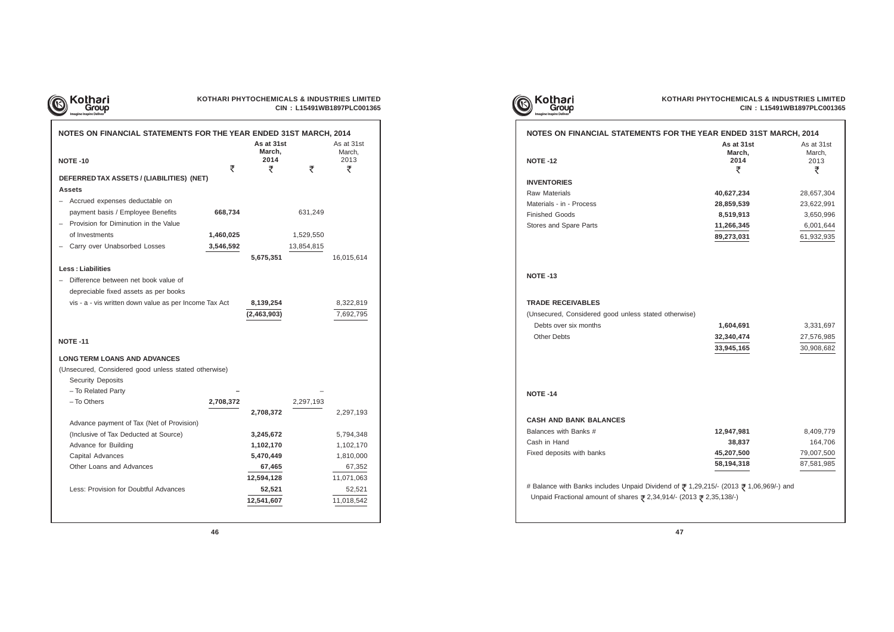

## **KOTHARI PHYTOCHEMICALS & INDUSTRIES LIMITED CIN : L15491WB1897PLC001365**

| NOTES ON FINANCIAL STATEMENTS FOR THE YEAR ENDED 31ST MARCH, 2014 |           | As at 31st<br>March,<br>2014 |            | As at 31st<br>March,<br>2013 |
|-------------------------------------------------------------------|-----------|------------------------------|------------|------------------------------|
| <b>NOTE -10</b>                                                   | ₹         | ₹                            | ₹          | ₹                            |
| DEFERRED TAX ASSETS / (LIABILITIES) (NET)                         |           |                              |            |                              |
| <b>Assets</b>                                                     |           |                              |            |                              |
| Accrued expenses deductable on                                    |           |                              |            |                              |
| payment basis / Employee Benefits                                 | 668,734   |                              | 631,249    |                              |
| Provision for Diminution in the Value                             |           |                              |            |                              |
| of Investments                                                    | 1,460,025 |                              | 1,529,550  |                              |
| Carry over Unabsorbed Losses                                      | 3,546,592 |                              | 13,854,815 |                              |
|                                                                   |           | 5,675,351                    |            | 16,015,614                   |
| <b>Less: Liabilities</b>                                          |           |                              |            |                              |
| Difference between net book value of                              |           |                              |            |                              |
| depreciable fixed assets as per books                             |           |                              |            |                              |
| vis - a - vis written down value as per Income Tax Act            |           | 8,139,254                    |            | 8,322,819                    |
|                                                                   |           | (2,463,903)                  |            | 7,692,795                    |
|                                                                   |           |                              |            |                              |
| <b>NOTE -11</b>                                                   |           |                              |            |                              |
| <b>LONG TERM LOANS AND ADVANCES</b>                               |           |                              |            |                              |
| (Unsecured, Considered good unless stated otherwise)              |           |                              |            |                              |
| <b>Security Deposits</b>                                          |           |                              |            |                              |
| - To Related Party                                                |           |                              |            |                              |
| - To Others                                                       | 2,708,372 |                              | 2,297,193  |                              |
|                                                                   |           | 2,708,372                    |            | 2,297,193                    |
| Advance payment of Tax (Net of Provision)                         |           |                              |            |                              |
| (Inclusive of Tax Deducted at Source)                             |           | 3,245,672                    |            | 5,794,348                    |
| Advance for Building                                              |           | 1,102,170                    |            | 1,102,170                    |
| Capital Advances                                                  |           | 5,470,449                    |            | 1,810,000                    |
| Other Loans and Advances                                          |           | 67,465                       |            | 67,352                       |
|                                                                   |           | 12,594,128                   |            | 11,071,063                   |
| Less: Provision for Doubtful Advances                             |           | 52,521                       |            | 52,521                       |
|                                                                   |           | 12,541,607                   |            | 11,018,542                   |
|                                                                   |           |                              |            |                              |



## **NOTES ON FINANCIAL STATEMENTS FOR THE YEAR ENDED 31ST MARCH, 2014**

**NOTE -12**

## **INVENTORIES**

**Raw Materials Materials - in - Process Finished Goods Stores and Spare Parts** 

## **NOTE -13**

## **TRADE RECEIVABLES**

(Unsecured, Considered good unless stated other **Debts over six months Other Debts** 

## **NOTE -14**

## **CASH AND BANK BALANCES**

Balances with Banks # **Cash in Hand Fixed deposits with banks** 

# Balance with Banks includes Unpaid Dividend of Unpaid Fractional amount of shares  $\bar{z}$  2,34,914/-

| THE TEAR ENDED 3131 MARGH, 2014                                   |                                       |
|-------------------------------------------------------------------|---------------------------------------|
| As at 31st<br>March,<br>2014<br>₹                                 | As at 31st<br>March,<br>2013<br>₹     |
| 40,627,234                                                        | 28,657,304                            |
| 28,859,539                                                        | 23,622,991                            |
| 8,519,913                                                         | 3,650,996                             |
| 11,266,345                                                        | 6,001,644                             |
| 89,273,031                                                        | 61,932,935                            |
| rwise)<br>1,604,691<br>32,340,474<br>33,945,165                   | 3,331,697<br>27,576,985<br>30,908,682 |
|                                                                   |                                       |
| 12,947,981                                                        | 8,409,779                             |
| 38,837                                                            | 164,706                               |
| 45,207,500                                                        | 79,007,500                            |
| 58,194,318                                                        | 87,581,985                            |
| f ₹ 1,29,215/- (2013 ₹ 1,06,969/-) and<br>$(2013 \; 2,35,138)$ -) |                                       |
| 47                                                                |                                       |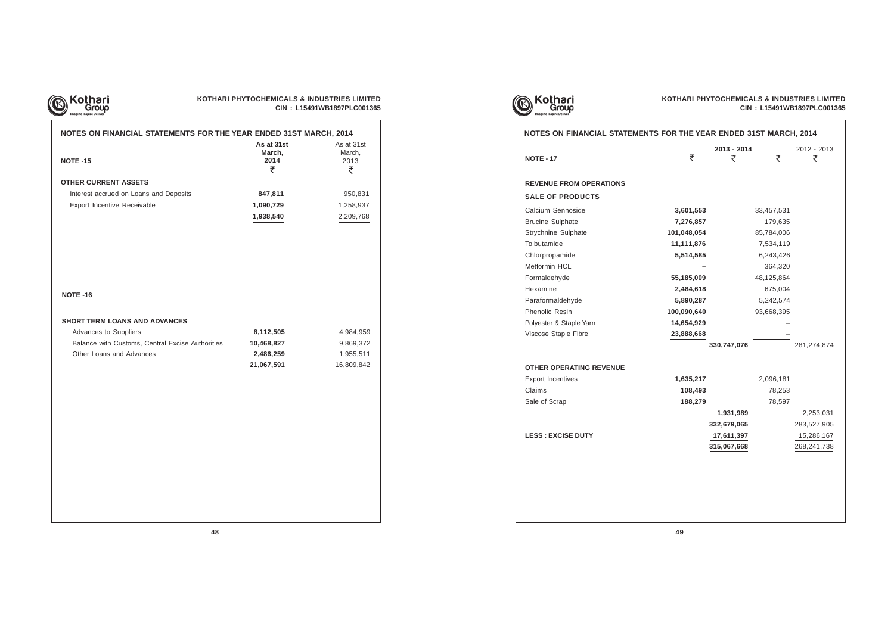| NOTES ON FINANCIAL STATEMENTS FOR THE YEAR ENDED 31ST MARCH, 2014 |                                   |                                   |
|-------------------------------------------------------------------|-----------------------------------|-----------------------------------|
| <b>NOTE -15</b>                                                   | As at 31st<br>March,<br>2014<br>₹ | As at 31st<br>March,<br>2013<br>₹ |
| <b>OTHER CURRENT ASSETS</b>                                       |                                   |                                   |
| Interest accrued on Loans and Deposits                            | 847,811                           | 950,831                           |
| Export Incentive Receivable                                       | 1,090,729                         | 1,258,937                         |
|                                                                   | 1,938,540                         | 2,209,768                         |
|                                                                   |                                   |                                   |
| <b>NOTE -16</b>                                                   |                                   |                                   |
| <b>SHORT TERM LOANS AND ADVANCES</b>                              |                                   |                                   |
| Advances to Suppliers                                             | 8,112,505                         | 4,984,959                         |
| Balance with Customs, Central Excise Authorities                  | 10,468,827                        | 9,869,372                         |
| Other Loans and Advances                                          | 2,486,259                         | 1,955,511                         |
|                                                                   | 21,067,591                        | 16,809,842                        |
|                                                                   |                                   |                                   |
|                                                                   |                                   |                                   |
|                                                                   |                                   |                                   |
|                                                                   |                                   |                                   |
|                                                                   |                                   |                                   |
|                                                                   |                                   |                                   |
|                                                                   |                                   |                                   |
|                                                                   |                                   |                                   |



| <b>NOTE - 17</b>               | ₹           | 2013 - 2014<br>₹ | ₹          | 2012 - 2013<br>₹ |
|--------------------------------|-------------|------------------|------------|------------------|
|                                |             |                  |            |                  |
| <b>REVENUE FROM OPERATIONS</b> |             |                  |            |                  |
| <b>SALE OF PRODUCTS</b>        |             |                  |            |                  |
| Calcium Sennoside              | 3,601,553   |                  | 33,457,531 |                  |
| <b>Brucine Sulphate</b>        | 7,276,857   |                  | 179,635    |                  |
| Strychnine Sulphate            | 101,048,054 |                  | 85,784,006 |                  |
| Tolbutamide                    | 11,111,876  |                  | 7,534,119  |                  |
| Chlorpropamide                 | 5,514,585   |                  | 6,243,426  |                  |
| Metformin HCL                  |             |                  | 364,320    |                  |
| Formaldehyde                   | 55,185,009  |                  | 48,125,864 |                  |
| Hexamine                       | 2,484,618   |                  | 675,004    |                  |
| Paraformaldehyde               | 5,890,287   |                  | 5,242,574  |                  |
| Phenolic Resin                 | 100,090,640 |                  | 93,668,395 |                  |
| Polyester & Staple Yarn        | 14,654,929  |                  |            |                  |
| Viscose Staple Fibre           | 23,888,668  |                  |            |                  |
|                                |             | 330,747,076      |            | 281,274,874      |
| OTHER OPERATING REVENUE        |             |                  |            |                  |
| <b>Export Incentives</b>       | 1,635,217   |                  | 2,096,181  |                  |
| Claims                         | 108,493     |                  | 78,253     |                  |
| Sale of Scrap                  | 188,279     |                  | 78,597     |                  |
|                                |             | 1,931,989        |            | 2,253,031        |
|                                |             | 332,679,065      |            | 283,527,905      |
| <b>LESS : EXCISE DUTY</b>      |             | 17,611,397       |            | 15,286,167       |
|                                |             | 315,067,668      |            | 268, 241, 738    |

| ncentives |  |  |
|-----------|--|--|
| Scrap     |  |  |

| TE - 17                      | ₹           | 2013 - 2014<br>₹ | ₹          | 2012 - 2013<br>₹ |
|------------------------------|-------------|------------------|------------|------------------|
| <b>VENUE FROM OPERATIONS</b> |             |                  |            |                  |
| <b>LE OF PRODUCTS</b>        |             |                  |            |                  |
| Icium Sennoside              | 3,601,553   |                  | 33,457,531 |                  |
| ucine Sulphate               | 7,276,857   |                  | 179,635    |                  |
| ychnine Sulphate             | 101,048,054 |                  | 85,784,006 |                  |
| butamide                     | 11,111,876  |                  | 7,534,119  |                  |
| lorpropamide                 | 5,514,585   |                  | 6,243,426  |                  |
| tformin HCL                  |             |                  | 364,320    |                  |
| rmaldehyde                   | 55,185,009  |                  | 48,125,864 |                  |
| xamine                       | 2,484,618   |                  | 675,004    |                  |
| raformaldehyde               | 5,890,287   |                  | 5,242,574  |                  |
| enolic Resin                 | 100,090,640 |                  | 93,668,395 |                  |
| yester & Staple Yarn         | 14,654,929  |                  |            |                  |
| cose Staple Fibre            | 23,888,668  |                  |            |                  |
|                              |             | 330,747,076      |            | 281,274,874      |
| <b>HER OPERATING REVENUE</b> |             |                  |            |                  |
| port Incentives              | 1,635,217   |                  | 2,096,181  |                  |
| aims                         | 108,493     |                  | 78,253     |                  |
| le of Scrap                  | 188,279     |                  | 78,597     |                  |
|                              |             | 1,931,989        |            | 2,253,031        |
|                              |             | 332,679,065      |            | 283,527,905      |
| <b>SS : EXCISE DUTY</b>      |             | 17,611,397       |            | 15,286,167       |
|                              |             | 315,067,668      |            | 268,241,738      |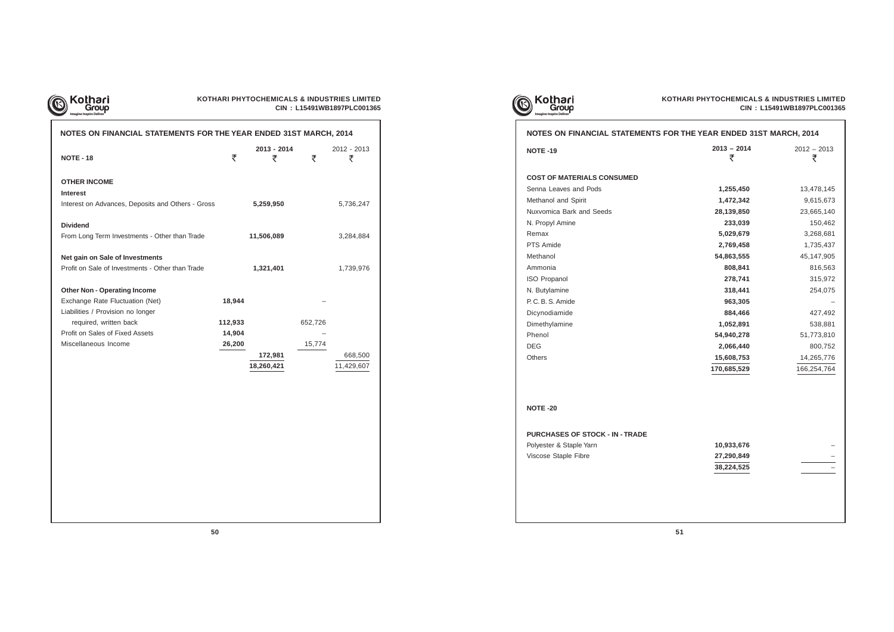

## **KOTHARI PHYTOCHEMICALS & INDUSTRIES LIMITED CIN : L15491WB1897PLC001365**

| NOTES ON FINANCIAL STATEMENTS FOR THE YEAR ENDED 31ST MARCH, 2014 |         |                  |         |                  |
|-------------------------------------------------------------------|---------|------------------|---------|------------------|
| <b>NOTE - 18</b>                                                  | ₹       | 2013 - 2014<br>₹ | ₹       | 2012 - 2013<br>₹ |
| <b>OTHER INCOME</b>                                               |         |                  |         |                  |
| <b>Interest</b>                                                   |         |                  |         |                  |
| Interest on Advances, Deposits and Others - Gross                 |         | 5,259,950        |         | 5,736,247        |
| <b>Dividend</b>                                                   |         |                  |         |                  |
| From Long Term Investments - Other than Trade                     |         | 11,506,089       |         | 3,284,884        |
| Net gain on Sale of Investments                                   |         |                  |         |                  |
| Profit on Sale of Investments - Other than Trade                  |         | 1,321,401        |         | 1,739,976        |
| <b>Other Non - Operating Income</b>                               |         |                  |         |                  |
| Exchange Rate Fluctuation (Net)                                   | 18,944  |                  |         |                  |
| Liabilities / Provision no longer                                 |         |                  |         |                  |
| required, written back                                            | 112,933 |                  | 652,726 |                  |
| Profit on Sales of Fixed Assets                                   | 14,904  |                  |         |                  |
| Miscellaneous Income                                              | 26,200  |                  | 15,774  |                  |
|                                                                   |         | 172,981          |         | 668,500          |
|                                                                   |         | 18,260,421       |         | 11,429,607       |
|                                                                   |         |                  |         |                  |







**2013 - 2014** 2012 - 2013 **NOTE -19**

| <b>COST OF MATERIALS CONSUMED</b> |
|-----------------------------------|
| Senna Leaves and Pods             |
| Methanol and Spirit               |
| Nuxvomica Bark and Seeds          |
| N. Propyl Amine                   |
| Remax                             |
| PTS Amide                         |
| Methanol                          |
| Ammonia                           |
| <b>ISO Propanol</b>               |
| N. Butylamine                     |
| P. C. B. S. Amide                 |
| Dicynodiamide                     |
| Dimethylamine                     |
| Phenol                            |
| DEG                               |
| Others                            |

| <b>NOTE -19</b>                        | $2013 - 2014$ | $2012 - 2013$ |
|----------------------------------------|---------------|---------------|
|                                        | ₹             | ₹             |
| <b>COST OF MATERIALS CONSUMED</b>      |               |               |
| Senna Leaves and Pods                  | 1,255,450     | 13,478,145    |
| Methanol and Spirit                    | 1,472,342     | 9,615,673     |
| Nuxvomica Bark and Seeds               | 28,139,850    | 23,665,140    |
| N. Propyl Amine                        | 233,039       | 150,462       |
| Remax                                  | 5,029,679     | 3,268,681     |
| <b>PTS Amide</b>                       | 2,769,458     | 1,735,437     |
| Methanol                               | 54,863,555    | 45,147,905    |
| Ammonia                                | 808,841       | 816,563       |
| <b>ISO Propanol</b>                    | 278,741       | 315,972       |
| N. Butylamine                          | 318,441       | 254,075       |
| P.C.B.S. Amide                         | 963,305       |               |
| Dicynodiamide                          | 884,466       | 427,492       |
| Dimethylamine                          | 1,052,891     | 538,881       |
| Phenol                                 | 54,940,278    | 51,773,810    |
| DEG                                    | 2,066,440     | 800,752       |
| Others                                 | 15,608,753    | 14,265,776    |
|                                        | 170,685,529   | 166,254,764   |
|                                        |               |               |
| <b>NOTE -20</b>                        |               |               |
| <b>PURCHASES OF STOCK - IN - TRADE</b> |               |               |
| Polyester & Staple Yarn                | 10,933,676    |               |
| Viscose Staple Fibre                   | 27,290,849    |               |
|                                        | 38,224,525    |               |
|                                        |               |               |

**NOTE -20**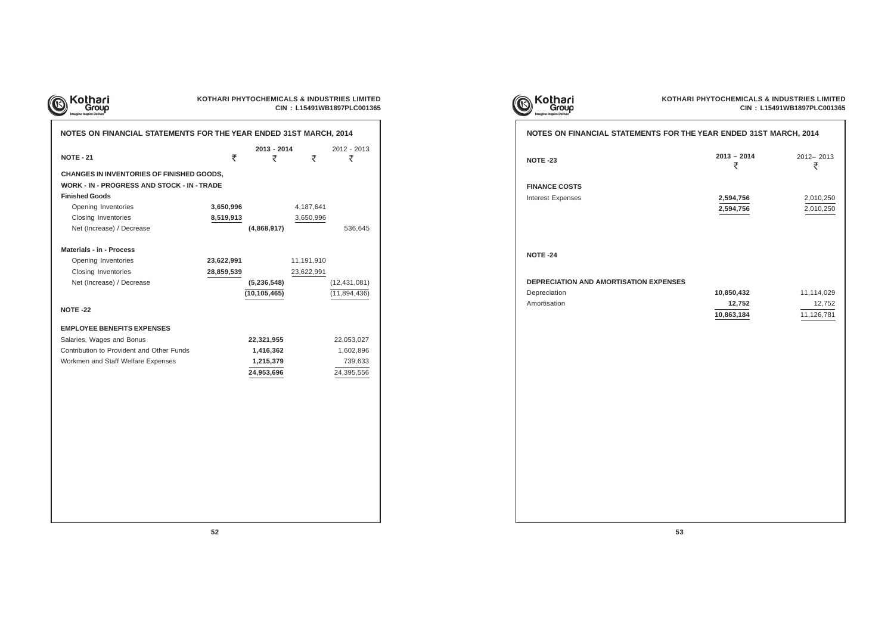

## **KOTHARI PHYTOCHEMICALS & INDUSTRIES LIMITED CIN : L15491WB1897PLC001365**

**FINANCE COSTS Interest Expenses** 

| <b>NOTE - 21</b><br><b>CHANGES IN INVENTORIES OF FINISHED GOODS,</b><br><b>WORK - IN - PROGRESS AND STOCK - IN - TRADE</b><br><b>Finished Goods</b><br>Opening Inventories<br>3,650,996<br>Closing Inventories<br>8,519,913<br>Net (Increase) / Decrease<br><b>Materials - in - Process</b><br>Opening Inventories<br>23,622,991<br>Closing Inventories<br>28,859,539 | 2013 - 2014<br>₹<br>₹<br>(4,868,917) | ₹<br>4,187,641<br>3,650,996 | 2012 - 2013<br>₹<br>536,645 |
|-----------------------------------------------------------------------------------------------------------------------------------------------------------------------------------------------------------------------------------------------------------------------------------------------------------------------------------------------------------------------|--------------------------------------|-----------------------------|-----------------------------|
|                                                                                                                                                                                                                                                                                                                                                                       |                                      |                             |                             |
|                                                                                                                                                                                                                                                                                                                                                                       |                                      |                             |                             |
|                                                                                                                                                                                                                                                                                                                                                                       |                                      |                             |                             |
|                                                                                                                                                                                                                                                                                                                                                                       |                                      |                             |                             |
|                                                                                                                                                                                                                                                                                                                                                                       |                                      |                             |                             |
|                                                                                                                                                                                                                                                                                                                                                                       |                                      |                             |                             |
|                                                                                                                                                                                                                                                                                                                                                                       |                                      |                             |                             |
|                                                                                                                                                                                                                                                                                                                                                                       |                                      |                             |                             |
|                                                                                                                                                                                                                                                                                                                                                                       |                                      |                             |                             |
|                                                                                                                                                                                                                                                                                                                                                                       |                                      | 11,191,910                  |                             |
|                                                                                                                                                                                                                                                                                                                                                                       |                                      | 23,622,991                  |                             |
| Net (Increase) / Decrease                                                                                                                                                                                                                                                                                                                                             | (5, 236, 548)                        |                             | (12, 431, 081)              |
|                                                                                                                                                                                                                                                                                                                                                                       | (10, 105, 465)                       |                             | (11, 894, 436)              |
| <b>NOTE -22</b>                                                                                                                                                                                                                                                                                                                                                       |                                      |                             |                             |
| <b>EMPLOYEE BENEFITS EXPENSES</b>                                                                                                                                                                                                                                                                                                                                     |                                      |                             |                             |
| Salaries, Wages and Bonus                                                                                                                                                                                                                                                                                                                                             | 22,321,955                           |                             | 22,053,027                  |
| Contribution to Provident and Other Funds                                                                                                                                                                                                                                                                                                                             | 1,416,362                            |                             | 1,602,896                   |
| Workmen and Staff Welfare Expenses                                                                                                                                                                                                                                                                                                                                    | 1,215,379                            |                             | 739,633                     |
|                                                                                                                                                                                                                                                                                                                                                                       | 24,953,696                           |                             | 24,395,556                  |

| Kothari<br>Group |  |
|------------------|--|
|                  |  |



## **NOTES ON FINANCIAL STATEMENTS FOR**

**52 53**

**NOTE -23**

**NOTE -24**

## **DEPRECIATION AND AMORTISATION EXPENSE**

**Depreciation Amortisation** 

| <b>R THE YEAR ENDED 31ST MARCH, 2014</b> |                                    |  |  |  |  |
|------------------------------------------|------------------------------------|--|--|--|--|
| $2013 - 2014$<br>₹                       | 2012-2013<br>₹                     |  |  |  |  |
| 2,594,756<br>2,594,756                   | 2,010,250<br>2,010,250             |  |  |  |  |
| ES<br>10,850,432<br>12,752<br>10,863,184 | 11,114,029<br>12,752<br>11,126,781 |  |  |  |  |
|                                          |                                    |  |  |  |  |
|                                          |                                    |  |  |  |  |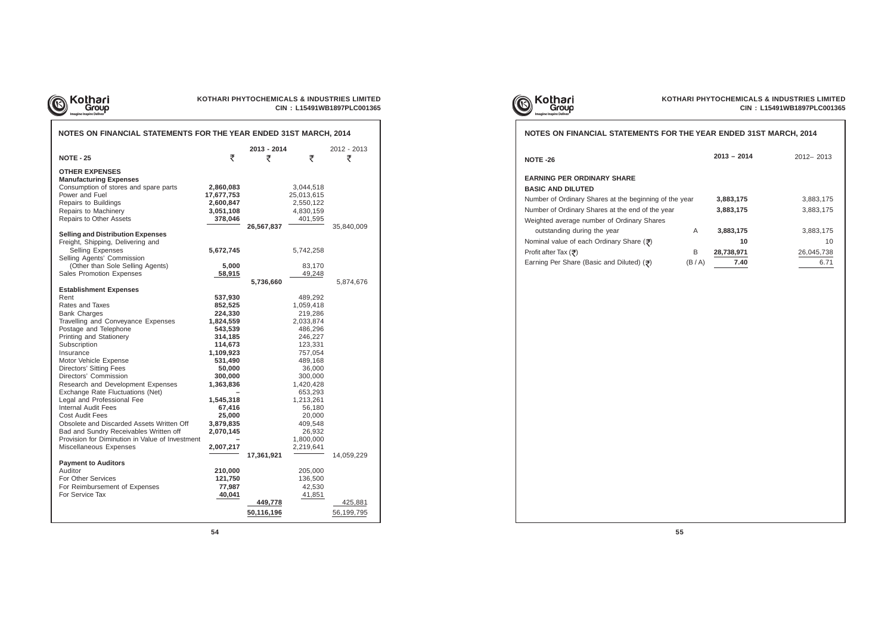

## **KOTHARI PHYTOCHEMICALS & INDUSTRIES LIMITED CIN : L15491WB1897PLC001365**

| NOTES ON FINANCIAL STATEMENTS FOR THE YEAR ENDED 31ST MARCH, 2014                                                                                                                                                                                                                                                                                                                                                                                                                                                                                                                                                             |                                                                                                                                                                                                               |                                     |                                                                                                                                                                                                                                  |                                     |
|-------------------------------------------------------------------------------------------------------------------------------------------------------------------------------------------------------------------------------------------------------------------------------------------------------------------------------------------------------------------------------------------------------------------------------------------------------------------------------------------------------------------------------------------------------------------------------------------------------------------------------|---------------------------------------------------------------------------------------------------------------------------------------------------------------------------------------------------------------|-------------------------------------|----------------------------------------------------------------------------------------------------------------------------------------------------------------------------------------------------------------------------------|-------------------------------------|
| <b>NOTE - 25</b>                                                                                                                                                                                                                                                                                                                                                                                                                                                                                                                                                                                                              | ₹                                                                                                                                                                                                             | 2013 - 2014<br>₹                    | ₹                                                                                                                                                                                                                                | 2012 - 2013<br>₹                    |
| <b>OTHER EXPENSES</b><br><b>Manufacturing Expenses</b><br>Consumption of stores and spare parts<br>Power and Fuel<br>Repairs to Buildings<br>Repairs to Machinery<br>Repairs to Other Assets                                                                                                                                                                                                                                                                                                                                                                                                                                  | 2,860,083<br>17,677,753<br>2,600,847<br>3,051,108<br>378,046                                                                                                                                                  | 26,567,837                          | 3,044,518<br>25,013,615<br>2,550,122<br>4,830,159<br>401,595                                                                                                                                                                     | 35,840,009                          |
| <b>Selling and Distribution Expenses</b><br>Freight, Shipping, Delivering and<br>Selling Expenses<br>Selling Agents' Commission<br>(Other than Sole Selling Agents)<br>Sales Promotion Expenses                                                                                                                                                                                                                                                                                                                                                                                                                               | 5,672,745<br>5,000<br>58,915                                                                                                                                                                                  | 5,736,660                           | 5,742,258<br>83,170<br>49,248                                                                                                                                                                                                    | 5,874,676                           |
| <b>Establishment Expenses</b><br>Rent<br>Rates and Taxes<br><b>Bank Charges</b><br>Travelling and Conveyance Expenses<br>Postage and Telephone<br>Printing and Stationery<br>Subscription<br>Insurance<br>Motor Vehicle Expense<br><b>Directors' Sitting Fees</b><br>Directors' Commission<br>Research and Development Expenses<br>Exchange Rate Fluctuations (Net)<br>Legal and Professional Fee<br><b>Internal Audit Fees</b><br><b>Cost Audit Fees</b><br>Obsolete and Discarded Assets Written Off<br>Bad and Sundry Receivables Written off<br>Provision for Diminution in Value of Investment<br>Miscellaneous Expenses | 537,930<br>852,525<br>224,330<br>1,824,559<br>543,539<br>314,185<br>114,673<br>1,109,923<br>531,490<br>50,000<br>300,000<br>1,363,836<br>1,545,318<br>67,416<br>25,000<br>3,879,835<br>2,070,145<br>2,007,217 |                                     | 489,292<br>1,059,418<br>219,286<br>2,033,874<br>486,296<br>246,227<br>123,331<br>757,054<br>489,168<br>36,000<br>300,000<br>1,420,428<br>653,293<br>1,213,261<br>56,180<br>20,000<br>409,548<br>26,932<br>1,800,000<br>2,219,641 |                                     |
| <b>Payment to Auditors</b><br>Auditor<br>For Other Services<br>For Reimbursement of Expenses<br>For Service Tax                                                                                                                                                                                                                                                                                                                                                                                                                                                                                                               | 210,000<br>121,750<br>77,987<br>40,041                                                                                                                                                                        | 17,361,921<br>449,778<br>50,116,196 | 205,000<br>136,500<br>42,530<br>41,851                                                                                                                                                                                           | 14,059,229<br>425,881<br>56,199,795 |





## **NOTES ON FINANCIAL STATEMENTS FOR**

**NOTE -26**

## **EARNING PER ORDINARY SHARE BASIC AND DILUTED**

Number of Ordinary Shares at the beginning of the Number of Ordinary Shares at the end of the year Weighted average number of Ordinary Shares outstanding during the year

**Nominal value of each Ordinary Share (₹)** 

**Profit after Tax (ह)** 

Earning Per Share (Basic and Diluted) ( $\overline{\overline{z}}$ )

|        | THE YEAR ENDED 31ST MARCH, 2014 |                  |  |  |  |  |  |
|--------|---------------------------------|------------------|--|--|--|--|--|
|        | $2013 - 2014$                   | $2012 - 2013$    |  |  |  |  |  |
| e year | 3,883,175                       | 3,883,175        |  |  |  |  |  |
|        | 3,883,175                       | 3,883,175        |  |  |  |  |  |
| A      | 3,883,175                       | 3,883,175        |  |  |  |  |  |
| В      | 10<br>28,738,971                | 10<br>26,045,738 |  |  |  |  |  |
| (B/A)  | 7.40                            | 6.71             |  |  |  |  |  |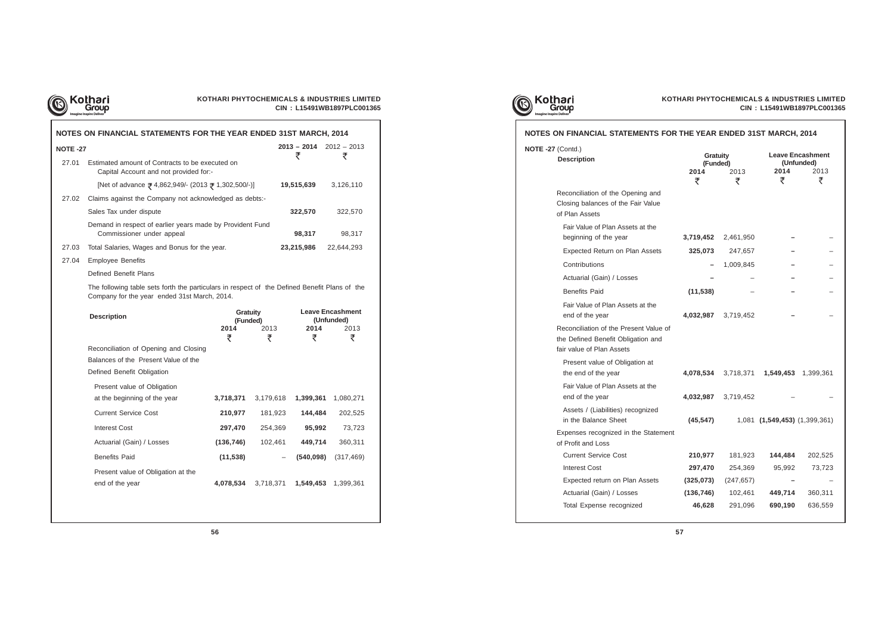

| KOTHARI PHYTOCHEMICALS & INDUSTRIES LIMITED |
|---------------------------------------------|
| CIN: L15491WB1897PLC001365                  |

|                                                                                                                                                                                                                                                                                                                                                 |                                                                         |                                                                                                                                                                                                 |                                                                                                                                                                                                                | $2012 - 2013$                                                                                                                                                                                                                                                                                                        |
|-------------------------------------------------------------------------------------------------------------------------------------------------------------------------------------------------------------------------------------------------------------------------------------------------------------------------------------------------|-------------------------------------------------------------------------|-------------------------------------------------------------------------------------------------------------------------------------------------------------------------------------------------|----------------------------------------------------------------------------------------------------------------------------------------------------------------------------------------------------------------|----------------------------------------------------------------------------------------------------------------------------------------------------------------------------------------------------------------------------------------------------------------------------------------------------------------------|
|                                                                                                                                                                                                                                                                                                                                                 |                                                                         |                                                                                                                                                                                                 |                                                                                                                                                                                                                | ₹                                                                                                                                                                                                                                                                                                                    |
|                                                                                                                                                                                                                                                                                                                                                 |                                                                         |                                                                                                                                                                                                 |                                                                                                                                                                                                                | 3,126,110                                                                                                                                                                                                                                                                                                            |
|                                                                                                                                                                                                                                                                                                                                                 |                                                                         |                                                                                                                                                                                                 |                                                                                                                                                                                                                |                                                                                                                                                                                                                                                                                                                      |
| Sales Tax under dispute                                                                                                                                                                                                                                                                                                                         |                                                                         |                                                                                                                                                                                                 |                                                                                                                                                                                                                | 322,570                                                                                                                                                                                                                                                                                                              |
| Commissioner under appeal                                                                                                                                                                                                                                                                                                                       |                                                                         |                                                                                                                                                                                                 | 98,317                                                                                                                                                                                                         | 98,317                                                                                                                                                                                                                                                                                                               |
|                                                                                                                                                                                                                                                                                                                                                 |                                                                         |                                                                                                                                                                                                 |                                                                                                                                                                                                                | 22,644,293                                                                                                                                                                                                                                                                                                           |
| <b>Employee Benefits</b>                                                                                                                                                                                                                                                                                                                        |                                                                         |                                                                                                                                                                                                 |                                                                                                                                                                                                                |                                                                                                                                                                                                                                                                                                                      |
| Defined Benefit Plans                                                                                                                                                                                                                                                                                                                           |                                                                         |                                                                                                                                                                                                 |                                                                                                                                                                                                                |                                                                                                                                                                                                                                                                                                                      |
|                                                                                                                                                                                                                                                                                                                                                 |                                                                         |                                                                                                                                                                                                 |                                                                                                                                                                                                                |                                                                                                                                                                                                                                                                                                                      |
| <b>Description</b>                                                                                                                                                                                                                                                                                                                              | 2014                                                                    | 2013                                                                                                                                                                                            |                                                                                                                                                                                                                | <b>Leave Encashment</b><br>(Unfunded)<br>2013                                                                                                                                                                                                                                                                        |
| Reconciliation of Opening and Closing<br>Balances of the Present Value of the<br>Defined Benefit Obligation<br>Present value of Obligation<br>at the beginning of the year<br><b>Current Service Cost</b><br><b>Interest Cost</b><br>Actuarial (Gain) / Losses<br><b>Benefits Paid</b><br>Present value of Obligation at the<br>end of the year | 3,718,371<br>210,977<br>297,470<br>(136, 746)<br>(11, 538)<br>4,078,534 | 3,179,618<br>181,923<br>254,369<br>102,461<br>3,718,371                                                                                                                                         |                                                                                                                                                                                                                | ₹<br>1,080,271<br>202,525<br>73,723<br>360,311<br>(317, 469)<br>1,399,361                                                                                                                                                                                                                                            |
|                                                                                                                                                                                                                                                                                                                                                 | <b>NOTE -27</b>                                                         | Estimated amount of Contracts to be executed on<br>Capital Account and not provided for:-<br>Total Salaries, Wages and Bonus for the year.<br>Company for the year ended 31st March, 2014.<br>₹ | [Net of advance ₹ 4,862,949/- (2013 ₹ 1,302,500/-)]<br>Claims against the Company not acknowledged as debts:-<br>Demand in respect of earlier years made by Provident Fund<br><b>Gratuity</b><br>(Funded)<br>₹ | NOTES ON FINANCIAL STATEMENTS FOR THE YEAR ENDED 31ST MARCH, 2014<br>$2013 - 2014$<br>₹<br>19,515,639<br>322,570<br>23,215,986<br>The following table sets forth the particulars in respect of the Defined Benefit Plans of the<br>2014<br>₹<br>1,399,361<br>144,484<br>95,992<br>449,714<br>(540, 098)<br>1,549,453 |



|                                                    | THE YEAR ENDED 31ST MARCH, 2014 |                                  | NOTES ON FINANCIAL STATEMENTS FOR THE YEAR ENDED 31ST MARCH, 2014 |                                            |                |
|----------------------------------------------------|---------------------------------|----------------------------------|-------------------------------------------------------------------|--------------------------------------------|----------------|
|                                                    | ₹                               | $2013 - 2014$ $2012 - 2013$<br>₹ | <b>Gratuity</b><br>(Funded)<br>2014<br>2013                       | <b>Leave Encashr</b><br>(Unfunded)<br>2014 |                |
|                                                    | 19,515,639                      | 3,126,110                        | ₹<br>₹                                                            | ₹                                          |                |
| 322,570                                            |                                 | 322,570                          |                                                                   |                                            |                |
| 98,317                                             |                                 | 98,317                           |                                                                   |                                            |                |
| 23,215,986                                         |                                 |                                  | 2,461,950<br>3,719,452                                            |                                            |                |
| 22,644,293                                         |                                 |                                  | 325,073<br>247,657                                                |                                            |                |
|                                                    |                                 |                                  | 1,009,845                                                         |                                            |                |
|                                                    |                                 |                                  |                                                                   |                                            |                |
| ars in respect of the Defined Benefit Plans of the |                                 |                                  | (11, 538)                                                         |                                            |                |
| <b>Leave Encashment</b><br>(Unfunded)              |                                 |                                  | 4,032,987 3,719,452                                               |                                            |                |
| 2013<br>2014<br>₹<br>₹                             |                                 |                                  | Reconciliation of the Present Value of                            |                                            |                |
|                                                    |                                 |                                  | 4,078,534 3,718,371 1,549,453 1,39                                |                                            |                |
| 3,179,618<br>1,399,361 1,080,271                   |                                 |                                  | 4,032,987 3,719,452                                               |                                            |                |
| 181,923<br>144,484<br>202,525                      |                                 |                                  | (45, 547)                                                         | 1,081 (1,549,453) (1,399                   |                |
| 254,369<br>95,992<br>73,723                        |                                 |                                  | Expenses recognized in the Statement                              |                                            |                |
| 449,714<br>102,461<br>360,311                      |                                 |                                  |                                                                   |                                            |                |
| $(540,098)$ $(317,469)$<br>$-$                     |                                 |                                  | 210,977<br>181,923                                                | 144,484                                    | 20             |
|                                                    |                                 |                                  | 297,470<br>254,369                                                | 95,992                                     | $\overline{7}$ |
|                                                    |                                 |                                  | (325, 073)<br>(247, 657)                                          |                                            |                |
|                                                    |                                 |                                  | (136, 746)<br>102,461                                             | 449,714                                    | 36             |
|                                                    |                                 |                                  | 46,628<br>291,096                                                 | 690,190                                    | 63             |

| FINANCIAL STATEMENTS FOR THE YEAR ENDED 31ST MARCH, 2014                                             |                                          |                     |                               |                                                    |
|------------------------------------------------------------------------------------------------------|------------------------------------------|---------------------|-------------------------------|----------------------------------------------------|
| ontd.)<br>escription                                                                                 | <b>Gratuity</b><br>(Funded)<br>2014<br>₹ | 2013<br>₹           | 2014<br>₹                     | <b>Leave Encashment</b><br>(Unfunded)<br>2013<br>₹ |
| econciliation of the Opening and<br>osing balances of the Fair Value<br><b>Plan Assets</b>           |                                          |                     |                               |                                                    |
| Fair Value of Plan Assets at the<br>beginning of the year                                            | 3,719,452                                | 2,461,950           |                               |                                                    |
| <b>Expected Return on Plan Assets</b>                                                                | 325,073                                  | 247,657             |                               |                                                    |
| Contributions                                                                                        |                                          | 1,009,845           |                               |                                                    |
| Actuarial (Gain) / Losses                                                                            |                                          |                     |                               |                                                    |
| <b>Benefits Paid</b>                                                                                 | (11, 538)                                |                     |                               |                                                    |
| Fair Value of Plan Assets at the<br>end of the year                                                  |                                          | 4,032,987 3,719,452 |                               |                                                    |
| econciliation of the Present Value of<br>e Defined Benefit Obligation and<br>ir value of Plan Assets |                                          |                     |                               |                                                    |
| Present value of Obligation at<br>the end of the year                                                | 4,078,534                                | 3,718,371           | 1,549,453                     | 1,399,361                                          |
| Fair Value of Plan Assets at the<br>end of the year                                                  |                                          | 4,032,987 3,719,452 |                               |                                                    |
| Assets / (Liabilities) recognized<br>in the Balance Sheet                                            | (45, 547)                                |                     | 1,081 (1,549,453) (1,399,361) |                                                    |
| penses recognized in the Statement<br>Profit and Loss                                                |                                          |                     |                               |                                                    |
| <b>Current Service Cost</b>                                                                          | 210,977                                  | 181,923             | 144,484                       | 202,525                                            |
| <b>Interest Cost</b>                                                                                 | 297,470                                  | 254,369             | 95,992                        | 73,723                                             |
| Expected return on Plan Assets                                                                       | (325,073)                                | (247, 657)          |                               |                                                    |
| Actuarial (Gain) / Losses                                                                            | (136, 746)                               | 102,461             | 449,714                       | 360,311                                            |
| <b>Total Expense recognized</b>                                                                      | 46,628                                   | 291,096             | 690,190                       | 636,559                                            |
|                                                                                                      |                                          |                     |                               |                                                    |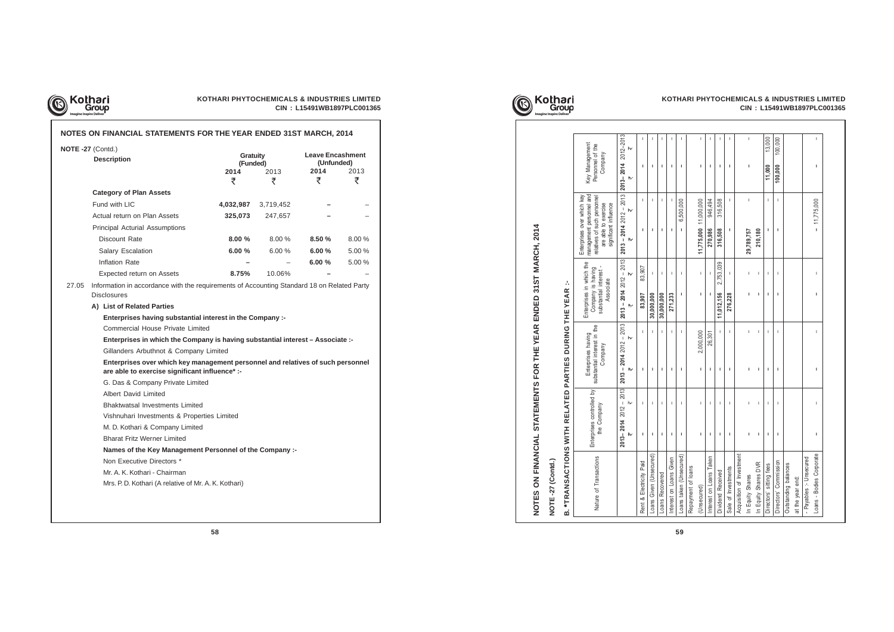

| NOTE -27 (Contd.)<br><b>Description</b>                                                                                                                                                                     | <b>Gratuity</b><br>(Funded)<br>2014<br>₹ | 2013<br>₹                                                                                  | Leave Encashment<br>(Unfunded)<br>2014<br>₹ | 2013<br>₹ |
|-------------------------------------------------------------------------------------------------------------------------------------------------------------------------------------------------------------|------------------------------------------|--------------------------------------------------------------------------------------------|---------------------------------------------|-----------|
| <b>Category of Plan Assets</b>                                                                                                                                                                              |                                          |                                                                                            |                                             |           |
| Fund with LIC                                                                                                                                                                                               | 4,032,987                                | 3,719,452                                                                                  |                                             |           |
| Actual return on Plan Assets                                                                                                                                                                                | 325,073                                  | 247,657                                                                                    |                                             |           |
| Principal Acturial Assumptions                                                                                                                                                                              |                                          |                                                                                            |                                             |           |
| Discount Rate                                                                                                                                                                                               | 8.00%                                    | $8.00\%$                                                                                   | $8.50 \%$                                   | 8.00%     |
| Salary Escalation                                                                                                                                                                                           | 6.00%                                    | 6.00%                                                                                      | $6.00 \%$                                   | 5.00 %    |
| Inflation Rate                                                                                                                                                                                              |                                          |                                                                                            | $6.00 \%$                                   | 5.00 %    |
| Expected return on Assets                                                                                                                                                                                   | 8.75%                                    | 10.06%                                                                                     |                                             |           |
| <b>Disclosures</b><br>A) List of Related Parties<br>Enterprises having substantial interest in the Company :-<br><b>Commercial House Private Limited</b>                                                    |                                          | Information in accordance with the requirements of Accounting Standard 18 on Related Party |                                             |           |
| Enterprises in which the Company is having substantial interest – Associate :-<br>Gillanders Arbuthnot & Company Limited<br>Enterprises over which key management personnel and relatives of such personnel |                                          |                                                                                            |                                             |           |
| are able to exercise significant influence* :-<br>G. Das & Company Private Limited                                                                                                                          |                                          |                                                                                            |                                             |           |
| Albert David Limited                                                                                                                                                                                        |                                          |                                                                                            |                                             |           |
| <b>Bhaktwatsal Investments Limited</b>                                                                                                                                                                      |                                          |                                                                                            |                                             |           |
| Vishnuhari Investments & Properties Limited                                                                                                                                                                 |                                          |                                                                                            |                                             |           |
| M. D. Kothari & Company Limited                                                                                                                                                                             |                                          |                                                                                            |                                             |           |
| <b>Bharat Fritz Werner Limited</b>                                                                                                                                                                          |                                          |                                                                                            |                                             |           |
| Names of the Key Management Personnel of the Company :-                                                                                                                                                     |                                          |                                                                                            |                                             |           |
| Non Executive Directors *<br>Mr. A. K. Kothari - Chairman                                                                                                                                                   |                                          |                                                                                            |                                             |           |



|                                          |                                          | NOTES ON FINANCIAL STATEMENTS FOR THE YEAR ENDED 31ST MARCH, 2014 |                                                                                      |                          |                                                                                                                                        |                                               |
|------------------------------------------|------------------------------------------|-------------------------------------------------------------------|--------------------------------------------------------------------------------------|--------------------------|----------------------------------------------------------------------------------------------------------------------------------------|-----------------------------------------------|
| NOTE-27 (Contd.)                         |                                          |                                                                   |                                                                                      |                          |                                                                                                                                        |                                               |
| <b>B. *TRANSACT</b>                      |                                          | ONS WITH RELATED PARTIES DURING THE YEAR                          |                                                                                      | A,                       |                                                                                                                                        |                                               |
| Nature of Transactions                   | Enterprises controlled by<br>the Company | substantial interest in the<br>Enterprises having<br>Company      | Enterprises in which the<br>substantial interest -<br>Company is having<br>Associate |                          | management personnel and<br>Enterprises over which key<br>relatives of such personnel<br>are able to exercise<br>significant influence | Key Management<br>Personnel of the<br>Company |
|                                          | $2013 - 2014$ $2012 - 2013$<br>₩<br>₩    | $-2013$<br>₩<br>$2013 - 20142012$<br>₩                            | $2013 - 20142012 - 2013$<br>₩                                                        | ₩                        | $2013 - 2014$ $2012 - 2013$<br>$\mathsf{h}\mathsf{v}$<br>₩                                                                             | 2013-2014 2012-2013<br>₩<br>₩                 |
| Rent & Electricity Paid                  | $\mathbf{I}$<br>T.                       | $\mathbf{I}$<br>I.                                                | 83,907                                                                               | 83,907                   | $\mathbf{I}$<br>I.                                                                                                                     | J.<br>I.                                      |
| Loans Given (Unsecured)                  | $\mathbf{I}$<br>п.                       | $\overline{\phantom{a}}$<br>J.                                    | 30,000,000                                                                           | $\mathbf{I}$             | J.<br>-1                                                                                                                               | $\mathbf{I}$<br>-1                            |
| Loans Recovered                          | ı<br>т                                   | $\mathbf{I}$<br>ı                                                 | 30,000,000                                                                           | 1                        | I.<br>л                                                                                                                                | $\overline{\phantom{a}}$<br>л                 |
| Interest on Loans Given                  | $\overline{\phantom{a}}$<br>J.           | $\mathbf{I}$<br>J.                                                | 271,233                                                                              | $\overline{\phantom{a}}$ | $\overline{\phantom{a}}$<br>J.                                                                                                         | $\overline{\phantom{a}}$<br>J.                |
| Loans taken (Unsecured)                  | -1<br>J.                                 | $\mathbf{I}$<br>ı                                                 | I.                                                                                   | -1                       | 6,500,000<br>ı                                                                                                                         | J.<br>п                                       |
| Repayment of loans                       |                                          |                                                                   |                                                                                      |                          |                                                                                                                                        |                                               |
| (Unsecured)                              | T<br>I.                                  | 2,000,000<br>I.                                                   | I.                                                                                   | T                        | 11,775,000 11,000,000                                                                                                                  | T<br>I.                                       |
| ken<br>Interest on Loans Tak             | -1<br>т.                                 | 26,301<br>ı                                                       | ш                                                                                    |                          | 946,494<br>270,986                                                                                                                     | J.<br>т.                                      |
| Dividend Received                        | т                                        | ı                                                                 | 11,012,156                                                                           | 2,753,039                | 316,508<br>316,508                                                                                                                     | ı<br>ı                                        |
| Sale of Investments                      | J.<br>I.                                 | $\mathbf{I}$<br>I.                                                | 276,228                                                                              | J.                       | $\mathbf{I}$<br>т                                                                                                                      | T<br>I.                                       |
| Acquisition of Investment                |                                          |                                                                   |                                                                                      |                          |                                                                                                                                        |                                               |
| In Equity Shares                         | ı<br>ı                                   | I<br>ı                                                            |                                                                                      | T                        | T<br>29,789,757                                                                                                                        | ı<br>ı                                        |
| In Equity Shares DVR                     | $\mathbf I$<br>T                         | $\mathsf I$<br>I.                                                 | T                                                                                    | 1                        | 210,180                                                                                                                                |                                               |
| Directors' sitting fees                  | T<br>T                                   | T<br>ı                                                            | J.                                                                                   | T                        | $\mathbf{I}$<br>т                                                                                                                      | 13,000<br>11,000                              |
| Directors' Commission                    | ı<br>I.                                  | I.<br>ı                                                           | I.                                                                                   | $\overline{\phantom{a}}$ | T<br>т                                                                                                                                 | 100,000<br>100,000                            |
| Outstanding balances<br>at the year end: |                                          |                                                                   |                                                                                      |                          |                                                                                                                                        |                                               |
| - Payables :- Unsecured                  |                                          |                                                                   |                                                                                      |                          |                                                                                                                                        |                                               |
| Loans - Bodies Corporate                 | $\mathsf I$<br>T                         | $\mathsf I$<br>J.                                                 | I.                                                                                   | $\mathsf{I}$             | $-11,775,000$                                                                                                                          | $\begin{array}{c} \hline \end{array}$<br>I.   |
|                                          |                                          |                                                                   |                                                                                      |                          |                                                                                                                                        |                                               |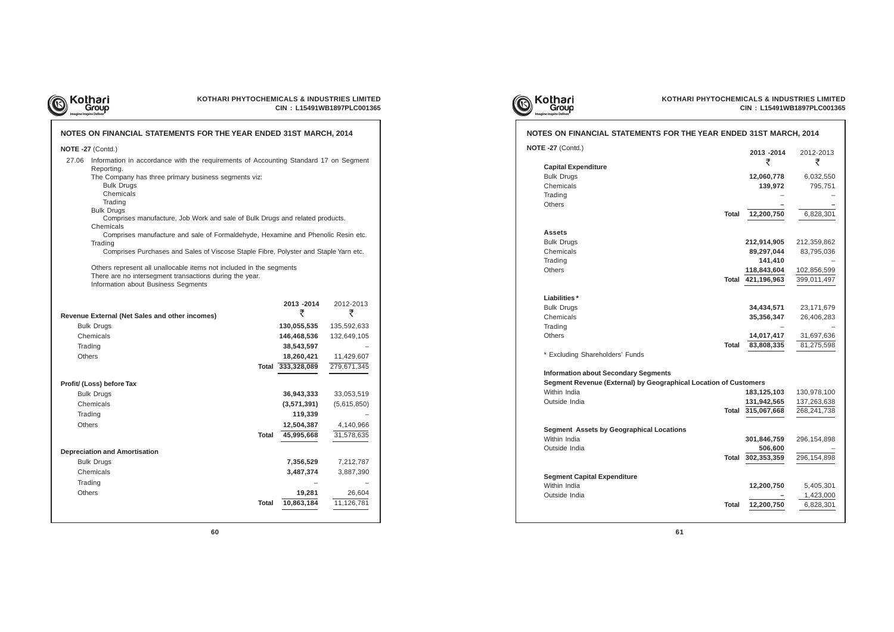

## **KOTHARI PHYTOCHEMICALS & INDUSTRIES LIMITED CIN : L15491WB1897PLC001365**

**Capital Expenditure Bulk Drugs**  $Chemicals$ 

| NOTES ON FINANCIAL STATEMENTS FOR THE YEAR ENDED 31ST MARCH, 2014                                                                                                                                                                                                                                                                                                                                                                                                                                                                                                                                                                                                                               |                                                                  |                                                      |
|-------------------------------------------------------------------------------------------------------------------------------------------------------------------------------------------------------------------------------------------------------------------------------------------------------------------------------------------------------------------------------------------------------------------------------------------------------------------------------------------------------------------------------------------------------------------------------------------------------------------------------------------------------------------------------------------------|------------------------------------------------------------------|------------------------------------------------------|
| NOTE -27 (Contd.)                                                                                                                                                                                                                                                                                                                                                                                                                                                                                                                                                                                                                                                                               |                                                                  |                                                      |
| 27.06 Information in accordance with the requirements of Accounting Standard 17 on Segment<br>Reporting.<br>The Company has three primary business segments viz:<br><b>Bulk Drugs</b><br>Chemicals<br>Trading<br><b>Bulk Drugs</b><br>Comprises manufacture, Job Work and sale of Bulk Drugs and related products.<br>Chemicals<br>Comprises manufacture and sale of Formaldehyde, Hexamine and Phenolic Resin etc.<br>Trading<br>Comprises Purchases and Sales of Viscose Staple Fibre, Polyster and Staple Yarn etc.<br>Others represent all unallocable items not included in the segments<br>There are no intersegment transactions during the year.<br>Information about Business Segments |                                                                  |                                                      |
| <b>Revenue External (Net Sales and other incomes)</b><br><b>Bulk Drugs</b><br>Chemicals<br>Trading                                                                                                                                                                                                                                                                                                                                                                                                                                                                                                                                                                                              | 2013 - 2014<br>₹<br>130,055,535<br>146,468,536<br>38,543,597     | 2012-2013<br>₹<br>135,592,633<br>132,649,105         |
| Others                                                                                                                                                                                                                                                                                                                                                                                                                                                                                                                                                                                                                                                                                          | 18,260,421<br>Total 333,328,089                                  | 11,429,607<br>279,671,345                            |
| Profit/ (Loss) before Tax                                                                                                                                                                                                                                                                                                                                                                                                                                                                                                                                                                                                                                                                       |                                                                  |                                                      |
| <b>Bulk Drugs</b><br>Chemicals<br>Trading<br><b>Others</b><br>Total                                                                                                                                                                                                                                                                                                                                                                                                                                                                                                                                                                                                                             | 36,943,333<br>(3,571,391)<br>119,339<br>12,504,387<br>45,995,668 | 33,053,519<br>(5,615,850)<br>4,140,966<br>31,578,635 |
| <b>Depreciation and Amortisation</b><br><b>Bulk Drugs</b><br>Chemicals<br>Trading<br>Others<br><b>Total</b>                                                                                                                                                                                                                                                                                                                                                                                                                                                                                                                                                                                     | 7,356,529<br>3,487,374<br>19,281<br>10,863,184                   | 7,212,787<br>3,887,390<br>26,604<br>11,126,781       |





## **NOTES ON FINANCIAL STATEMENTS FOR**

## **Assets**

**Bulk Drugs**  $Chemicals$ 

## **Liabilities \***

**Bulk Drugs**  $Chemicals$ 

| ES ON FINANCIAL STATEMENTS FOR THE YEAR ENDED 31ST MARCH, 2014   |              |                   |                |
|------------------------------------------------------------------|--------------|-------------------|----------------|
| $\equiv$ -27 (Contd.)                                            |              | 2013 - 2014<br>₹  | 2012-2013<br>₹ |
| <b>Capital Expenditure</b>                                       |              |                   |                |
| <b>Bulk Drugs</b>                                                |              | 12,060,778        | 6,032,550      |
| Chemicals                                                        |              | 139,972           | 795,751        |
| Trading                                                          |              |                   |                |
| Others                                                           |              |                   |                |
| <b>Total</b>                                                     |              | 12,200,750        | 6,828,301      |
| Assets                                                           |              |                   |                |
| <b>Bulk Drugs</b>                                                |              | 212,914,905       | 212,359,862    |
| Chemicals                                                        |              | 89,297,044        | 83,795,036     |
| Trading                                                          |              | 141,410           |                |
| Others                                                           |              | 118,843,604       | 102,856,599    |
|                                                                  |              | Total 421,196,963 | 399,011,497    |
|                                                                  |              |                   |                |
| Liabilities*                                                     |              |                   |                |
| <b>Bulk Drugs</b>                                                |              | 34,434,571        | 23,171,679     |
| Chemicals                                                        |              | 35,356,347        | 26,406,283     |
| Trading                                                          |              |                   |                |
| <b>Others</b>                                                    |              | 14,017,417        | 31,697,636     |
| <b>Total</b>                                                     |              | 83,808,335        | 81,275,598     |
| * Excluding Shareholders' Funds                                  |              |                   |                |
| <b>Information about Secondary Segments</b>                      |              |                   |                |
| Segment Revenue (External) by Geographical Location of Customers |              |                   |                |
| Within India                                                     |              | 183,125,103       | 130,978,100    |
| Outside India                                                    |              | 131,942,565       | 137,263,638    |
|                                                                  |              | Total 315,067,668 | 268,241,738    |
| <b>Segment Assets by Geographical Locations</b>                  |              |                   |                |
| Within India                                                     |              | 301,846,759       | 296, 154, 898  |
| Outside India                                                    |              | 506,600           |                |
|                                                                  | <b>Total</b> | 302,353,359       | 296,154,898    |
|                                                                  |              |                   |                |
| <b>Segment Capital Expenditure</b>                               |              |                   |                |
| Within India                                                     |              | 12,200,750        | 5,405,301      |
| Outside India                                                    |              |                   | 1,423,000      |
| <b>Total</b>                                                     |              | 12,200,750        | 6,828,301      |
|                                                                  |              |                   |                |

**NOTE -27** (Contd.)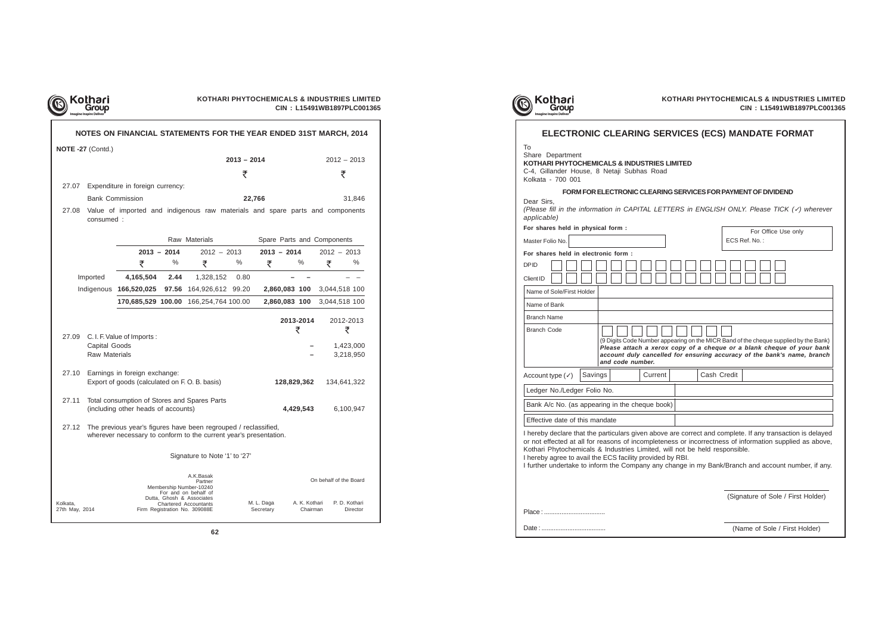| Kothari                                                         | <b>KOTHARI PHYTOCHEMICALS &amp; INDUSTRIES LIMITED</b><br>CIN: L15491WB1897PLC00136                                                     |                                                                                                                                                                                                                                                                                                                            |  |  |  |  |
|-----------------------------------------------------------------|-----------------------------------------------------------------------------------------------------------------------------------------|----------------------------------------------------------------------------------------------------------------------------------------------------------------------------------------------------------------------------------------------------------------------------------------------------------------------------|--|--|--|--|
|                                                                 |                                                                                                                                         | ELECTRONIC CLEARING SERVICES (ECS) MANDATE FORMAT                                                                                                                                                                                                                                                                          |  |  |  |  |
| To<br>Share Department<br>Kolkata - 700 001                     | KOTHARI PHYTOCHEMICALS & INDUSTRIES LIMITED<br>C-4, Gillander House, 8 Netaji Subhas Road                                               |                                                                                                                                                                                                                                                                                                                            |  |  |  |  |
| Dear Sirs,                                                      | FORM FOR ELECTRONIC CLEARING SERVICES FOR PAYMENT OF DIVIDEND                                                                           | (Please fill in the information in CAPITAL LETTERS in ENGLISH ONLY. Please TICK $(V)$ wherever                                                                                                                                                                                                                             |  |  |  |  |
| applicable)<br>For shares held in physical form :               |                                                                                                                                         |                                                                                                                                                                                                                                                                                                                            |  |  |  |  |
|                                                                 |                                                                                                                                         | For Office Use only                                                                                                                                                                                                                                                                                                        |  |  |  |  |
| Master Folio No.                                                |                                                                                                                                         | ECS Ref. No.:                                                                                                                                                                                                                                                                                                              |  |  |  |  |
| For shares held in electronic form:<br><b>DPID</b><br>Client ID |                                                                                                                                         |                                                                                                                                                                                                                                                                                                                            |  |  |  |  |
| Name of Sole/First Holder                                       |                                                                                                                                         |                                                                                                                                                                                                                                                                                                                            |  |  |  |  |
| Name of Bank                                                    |                                                                                                                                         |                                                                                                                                                                                                                                                                                                                            |  |  |  |  |
| <b>Branch Name</b>                                              |                                                                                                                                         |                                                                                                                                                                                                                                                                                                                            |  |  |  |  |
| <b>Branch Code</b>                                              | and code number.                                                                                                                        | (9 Digits Code Number appearing on the MICR Band of the cheque supplied by the Bank)<br>Please attach a xerox copy of a cheque or a blank cheque of your bank<br>account duly cancelled for ensuring accuracy of the bank's name, branch                                                                                   |  |  |  |  |
| Account type $(\checkmark)$                                     | Savings<br>Current                                                                                                                      | Cash Credit                                                                                                                                                                                                                                                                                                                |  |  |  |  |
| Ledger No./Ledger Folio No.                                     |                                                                                                                                         |                                                                                                                                                                                                                                                                                                                            |  |  |  |  |
|                                                                 | Bank A/c No. (as appearing in the cheque book)                                                                                          |                                                                                                                                                                                                                                                                                                                            |  |  |  |  |
| Effective date of this mandate                                  |                                                                                                                                         |                                                                                                                                                                                                                                                                                                                            |  |  |  |  |
|                                                                 | Kothari Phytochemicals & Industries Limited, will not be held responsible.<br>I hereby agree to avail the ECS facility provided by RBI. | I hereby declare that the particulars given above are correct and complete. If any transaction is delayed<br>or not effected at all for reasons of incompleteness or incorrectness of information supplied as above,<br>I further undertake to inform the Company any change in my Bank/Branch and account number, if any. |  |  |  |  |
|                                                                 |                                                                                                                                         | (Signature of Sole / First Holder)                                                                                                                                                                                                                                                                                         |  |  |  |  |
| Place:                                                          |                                                                                                                                         |                                                                                                                                                                                                                                                                                                                            |  |  |  |  |
|                                                                 |                                                                                                                                         | (Name of Sole / First Holder)                                                                                                                                                                                                                                                                                              |  |  |  |  |

|          | KOTHARI PHYTOCHEMICALS & INDUSTRIES LIMITED<br>Kothari<br>CIN: L15491WB1897PLC001365 |                                                                                                                                      |                                             |                                                                                                                                      |      |               |                             |                        |                        |  |
|----------|--------------------------------------------------------------------------------------|--------------------------------------------------------------------------------------------------------------------------------------|---------------------------------------------|--------------------------------------------------------------------------------------------------------------------------------------|------|---------------|-----------------------------|------------------------|------------------------|--|
|          |                                                                                      | NOTES ON FINANCIAL STATEMENTS FOR THE YEAR ENDED 31ST MARCH, 2014                                                                    |                                             |                                                                                                                                      |      |               |                             |                        |                        |  |
|          | NOTE -27 (Contd.)                                                                    |                                                                                                                                      |                                             |                                                                                                                                      |      |               |                             |                        |                        |  |
|          |                                                                                      |                                                                                                                                      |                                             | $2013 - 2014$                                                                                                                        |      |               |                             | $2012 - 2013$          |                        |  |
|          |                                                                                      |                                                                                                                                      |                                             |                                                                                                                                      | ₹    |               |                             |                        | ₹                      |  |
| 27.07    | Expenditure in foreign currency:                                                     |                                                                                                                                      |                                             |                                                                                                                                      |      |               |                             |                        |                        |  |
|          |                                                                                      | <b>Bank Commission</b>                                                                                                               |                                             | 22,766                                                                                                                               |      |               |                             | 31,846                 |                        |  |
| 27.08    | consumed:                                                                            | Value of imported and indigenous raw materials and spare parts and components                                                        |                                             |                                                                                                                                      |      |               |                             |                        |                        |  |
|          |                                                                                      |                                                                                                                                      | Raw Materials<br>Spare Parts and Components |                                                                                                                                      |      |               |                             |                        |                        |  |
|          |                                                                                      |                                                                                                                                      | $2013 - 2014$                               | $2012 - 2013$                                                                                                                        |      | $2013 - 2014$ |                             | $2012 - 2013$          |                        |  |
|          |                                                                                      | ₹                                                                                                                                    | %                                           | ₹                                                                                                                                    | %    | ₹             | %                           | ₹                      | %                      |  |
|          | Imported                                                                             | 4,165,504                                                                                                                            | 2.44                                        | 1,328,152                                                                                                                            | 0.80 |               |                             |                        |                        |  |
|          |                                                                                      | Indigenous 166,520,025 97.56 164,926,612 99.20                                                                                       |                                             |                                                                                                                                      |      |               | 2,860,083 100 3,044,518 100 |                        |                        |  |
|          |                                                                                      | 170,685,529 100.00 166,254,764 100.00                                                                                                |                                             |                                                                                                                                      |      |               | 2,860,083 100               | 3,044,518 100          |                        |  |
|          |                                                                                      |                                                                                                                                      |                                             |                                                                                                                                      |      |               | 2013-2014<br>₹              |                        | 2012-2013<br>₹         |  |
| 27.09    | Capital Goods<br><b>Raw Materials</b>                                                | C. I. F. Value of Imports:                                                                                                           |                                             |                                                                                                                                      |      |               |                             |                        | 1,423,000<br>3,218,950 |  |
| 27.10    | Earnings in foreign exchange:<br>Export of goods (calculated on F.O.B. basis)        |                                                                                                                                      |                                             |                                                                                                                                      |      |               | 128,829,362                 |                        | 134,641,322            |  |
| 27.11    | Total consumption of Stores and Spares Parts<br>(including other heads of accounts)  |                                                                                                                                      |                                             |                                                                                                                                      |      |               | 4,429,543                   |                        | 6,100,947              |  |
| 27.12    |                                                                                      | The previous year's figures have been regrouped / reclassified,<br>wherever necessary to conform to the current year's presentation. |                                             |                                                                                                                                      |      |               |                             |                        |                        |  |
|          |                                                                                      |                                                                                                                                      |                                             | Signature to Note '1' to '27'                                                                                                        |      |               |                             |                        |                        |  |
| Kolkata, |                                                                                      |                                                                                                                                      |                                             | A.K.Basak<br>Partner<br>Membership Number-10240<br>For and on behalf of<br>Dutta, Ghosh & Associates<br><b>Chartered Accountants</b> |      | M. L. Daga    | A. K. Kothari               | On behalf of the Board | P. D. Kothari          |  |